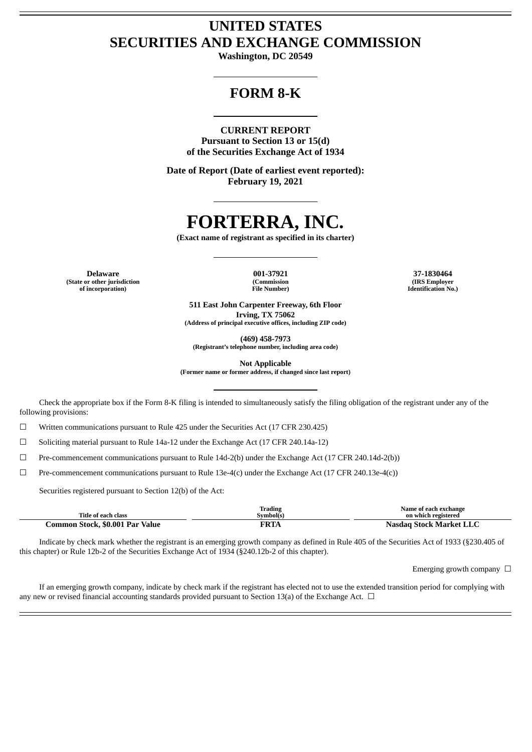# **UNITED STATES SECURITIES AND EXCHANGE COMMISSION**

**Washington, DC 20549**

## **FORM 8-K**

#### **CURRENT REPORT**

**Pursuant to Section 13 or 15(d) of the Securities Exchange Act of 1934**

**Date of Report (Date of earliest event reported): February 19, 2021**

# **FORTERRA, INC.**

**(Exact name of registrant as specified in its charter)**

**(State or other jurisdiction of incorporation)**

**(Commission File Number)**

**Delaware 001-37921 37-1830464 (IRS Employer Identification No.)**

> **511 East John Carpenter Freeway, 6th Floor Irving, TX 75062 (Address of principal executive offices, including ZIP code)**

> > **(469) 458-7973**

**(Registrant's telephone number, including area code)**

**Not Applicable**

**(Former name or former address, if changed since last report)**

Check the appropriate box if the Form 8-K filing is intended to simultaneously satisfy the filing obligation of the registrant under any of the following provisions:

☐ Written communications pursuant to Rule 425 under the Securities Act (17 CFR 230.425)

 $\Box$  Soliciting material pursuant to Rule 14a-12 under the Exchange Act (17 CFR 240.14a-12)

 $\Box$  Pre-commencement communications pursuant to Rule 14d-2(b) under the Exchange Act (17 CFR 240.14d-2(b))

 $□$  Pre-commencement communications pursuant to Rule 13e-4(c) under the Exchange Act (17 CFR 240.13e-4(c))

Securities registered pursuant to Section 12(b) of the Act:

|                                 | Trading     | Name of each exchange   |
|---------------------------------|-------------|-------------------------|
| Title of each class             | Svmbol(s)   | on which registered     |
| Common Stock, \$0.001 Par Value | <b>FRTA</b> | Nasdag Stock Market LLC |

Indicate by check mark whether the registrant is an emerging growth company as defined in Rule 405 of the Securities Act of 1933 (§230.405 of this chapter) or Rule 12b-2 of the Securities Exchange Act of 1934 (§240.12b-2 of this chapter).

Emerging growth company  $\Box$ 

If an emerging growth company, indicate by check mark if the registrant has elected not to use the extended transition period for complying with any new or revised financial accounting standards provided pursuant to Section 13(a) of the Exchange Act.  $\Box$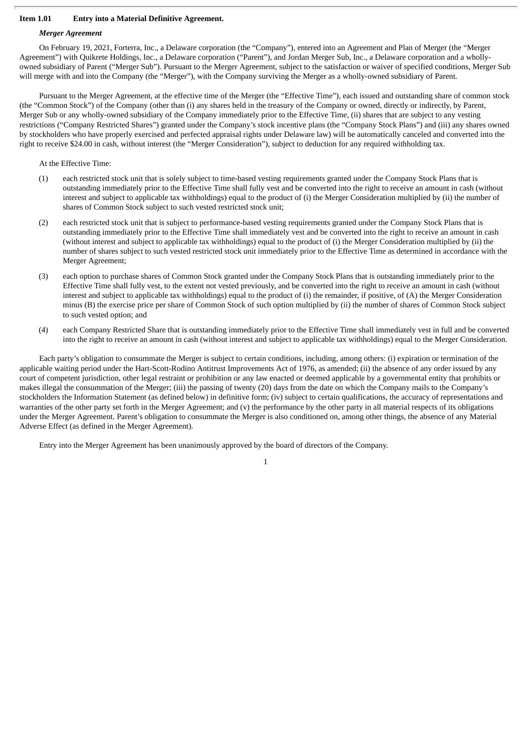#### **Item 1.01 Entry into a Material Definitive Agreement.**

#### *Merger Agreement*

On February 19, 2021, Forterra, Inc., a Delaware corporation (the "Company"), entered into an Agreement and Plan of Merger (the "Merger Agreement") with Quikrete Holdings, Inc., a Delaware corporation ("Parent"), and Jordan Merger Sub, Inc., a Delaware corporation and a whollyowned subsidiary of Parent ("Merger Sub"). Pursuant to the Merger Agreement, subject to the satisfaction or waiver of specified conditions, Merger Sub will merge with and into the Company (the "Merger"), with the Company surviving the Merger as a wholly-owned subsidiary of Parent.

Pursuant to the Merger Agreement, at the effective time of the Merger (the "Effective Time"), each issued and outstanding share of common stock (the "Common Stock") of the Company (other than (i) any shares held in the treasury of the Company or owned, directly or indirectly, by Parent, Merger Sub or any wholly-owned subsidiary of the Company immediately prior to the Effective Time, (ii) shares that are subject to any vesting restrictions ("Company Restricted Shares") granted under the Company's stock incentive plans (the "Company Stock Plans") and (iii) any shares owned by stockholders who have properly exercised and perfected appraisal rights under Delaware law) will be automatically canceled and converted into the right to receive \$24.00 in cash, without interest (the "Merger Consideration"), subject to deduction for any required withholding tax.

At the Effective Time:

- (1) each restricted stock unit that is solely subject to time-based vesting requirements granted under the Company Stock Plans that is outstanding immediately prior to the Effective Time shall fully vest and be converted into the right to receive an amount in cash (without interest and subject to applicable tax withholdings) equal to the product of (i) the Merger Consideration multiplied by (ii) the number of shares of Common Stock subject to such vested restricted stock unit;
- (2) each restricted stock unit that is subject to performance-based vesting requirements granted under the Company Stock Plans that is outstanding immediately prior to the Effective Time shall immediately vest and be converted into the right to receive an amount in cash (without interest and subject to applicable tax withholdings) equal to the product of (i) the Merger Consideration multiplied by (ii) the number of shares subject to such vested restricted stock unit immediately prior to the Effective Time as determined in accordance with the Merger Agreement;
- (3) each option to purchase shares of Common Stock granted under the Company Stock Plans that is outstanding immediately prior to the Effective Time shall fully vest, to the extent not vested previously, and be converted into the right to receive an amount in cash (without interest and subject to applicable tax withholdings) equal to the product of (i) the remainder, if positive, of (A) the Merger Consideration minus (B) the exercise price per share of Common Stock of such option multiplied by (ii) the number of shares of Common Stock subject to such vested option; and
- (4) each Company Restricted Share that is outstanding immediately prior to the Effective Time shall immediately vest in full and be converted into the right to receive an amount in cash (without interest and subject to applicable tax withholdings) equal to the Merger Consideration.

Each party's obligation to consummate the Merger is subject to certain conditions, including, among others: (i) expiration or termination of the applicable waiting period under the Hart-Scott-Rodino Antitrust Improvements Act of 1976, as amended; (ii) the absence of any order issued by any court of competent jurisdiction, other legal restraint or prohibition or any law enacted or deemed applicable by a governmental entity that prohibits or makes illegal the consummation of the Merger; (iii) the passing of twenty (20) days from the date on which the Company mails to the Company's stockholders the Information Statement (as defined below) in definitive form; (iv) subject to certain qualifications, the accuracy of representations and warranties of the other party set forth in the Merger Agreement; and (v) the performance by the other party in all material respects of its obligations under the Merger Agreement. Parent's obligation to consummate the Merger is also conditioned on, among other things, the absence of any Material Adverse Effect (as defined in the Merger Agreement).

Entry into the Merger Agreement has been unanimously approved by the board of directors of the Company.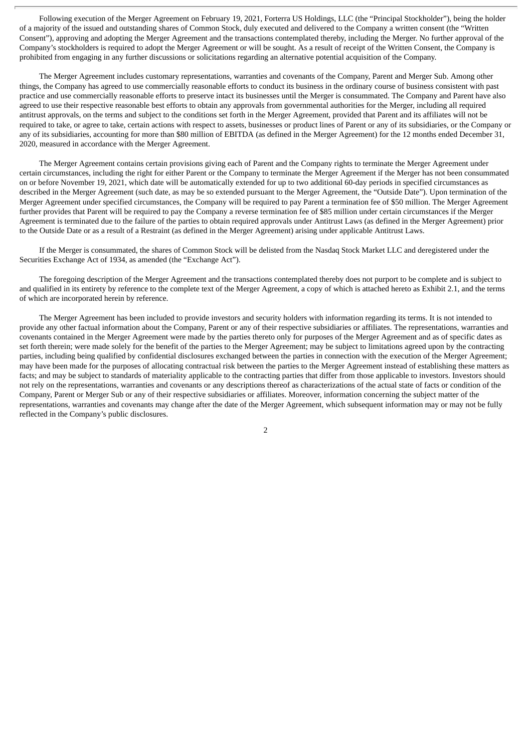Following execution of the Merger Agreement on February 19, 2021, Forterra US Holdings, LLC (the "Principal Stockholder"), being the holder of a majority of the issued and outstanding shares of Common Stock, duly executed and delivered to the Company a written consent (the "Written Consent"), approving and adopting the Merger Agreement and the transactions contemplated thereby, including the Merger. No further approval of the Company's stockholders is required to adopt the Merger Agreement or will be sought. As a result of receipt of the Written Consent, the Company is prohibited from engaging in any further discussions or solicitations regarding an alternative potential acquisition of the Company.

The Merger Agreement includes customary representations, warranties and covenants of the Company, Parent and Merger Sub. Among other things, the Company has agreed to use commercially reasonable efforts to conduct its business in the ordinary course of business consistent with past practice and use commercially reasonable efforts to preserve intact its businesses until the Merger is consummated. The Company and Parent have also agreed to use their respective reasonable best efforts to obtain any approvals from governmental authorities for the Merger, including all required antitrust approvals, on the terms and subject to the conditions set forth in the Merger Agreement, provided that Parent and its affiliates will not be required to take, or agree to take, certain actions with respect to assets, businesses or product lines of Parent or any of its subsidiaries, or the Company or any of its subsidiaries, accounting for more than \$80 million of EBITDA (as defined in the Merger Agreement) for the 12 months ended December 31, 2020, measured in accordance with the Merger Agreement.

The Merger Agreement contains certain provisions giving each of Parent and the Company rights to terminate the Merger Agreement under certain circumstances, including the right for either Parent or the Company to terminate the Merger Agreement if the Merger has not been consummated on or before November 19, 2021, which date will be automatically extended for up to two additional 60-day periods in specified circumstances as described in the Merger Agreement (such date, as may be so extended pursuant to the Merger Agreement, the "Outside Date"). Upon termination of the Merger Agreement under specified circumstances, the Company will be required to pay Parent a termination fee of \$50 million. The Merger Agreement further provides that Parent will be required to pay the Company a reverse termination fee of \$85 million under certain circumstances if the Merger Agreement is terminated due to the failure of the parties to obtain required approvals under Antitrust Laws (as defined in the Merger Agreement) prior to the Outside Date or as a result of a Restraint (as defined in the Merger Agreement) arising under applicable Antitrust Laws.

If the Merger is consummated, the shares of Common Stock will be delisted from the Nasdaq Stock Market LLC and deregistered under the Securities Exchange Act of 1934, as amended (the "Exchange Act").

The foregoing description of the Merger Agreement and the transactions contemplated thereby does not purport to be complete and is subject to and qualified in its entirety by reference to the complete text of the Merger Agreement, a copy of which is attached hereto as Exhibit 2.1, and the terms of which are incorporated herein by reference.

The Merger Agreement has been included to provide investors and security holders with information regarding its terms. It is not intended to provide any other factual information about the Company, Parent or any of their respective subsidiaries or affiliates. The representations, warranties and covenants contained in the Merger Agreement were made by the parties thereto only for purposes of the Merger Agreement and as of specific dates as set forth therein; were made solely for the benefit of the parties to the Merger Agreement; may be subject to limitations agreed upon by the contracting parties, including being qualified by confidential disclosures exchanged between the parties in connection with the execution of the Merger Agreement; may have been made for the purposes of allocating contractual risk between the parties to the Merger Agreement instead of establishing these matters as facts; and may be subject to standards of materiality applicable to the contracting parties that differ from those applicable to investors. Investors should not rely on the representations, warranties and covenants or any descriptions thereof as characterizations of the actual state of facts or condition of the Company, Parent or Merger Sub or any of their respective subsidiaries or affiliates. Moreover, information concerning the subject matter of the representations, warranties and covenants may change after the date of the Merger Agreement, which subsequent information may or may not be fully reflected in the Company's public disclosures.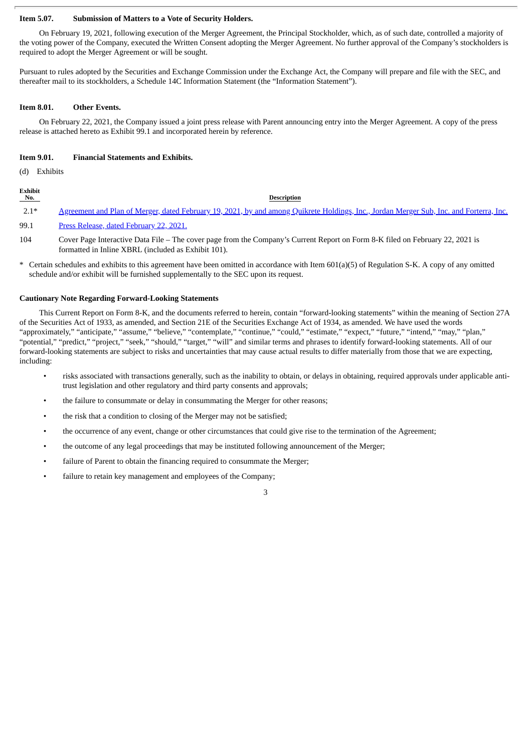#### **Item 5.07. Submission of Matters to a Vote of Security Holders.**

On February 19, 2021, following execution of the Merger Agreement, the Principal Stockholder, which, as of such date, controlled a majority of the voting power of the Company, executed the Written Consent adopting the Merger Agreement. No further approval of the Company's stockholders is required to adopt the Merger Agreement or will be sought.

Pursuant to rules adopted by the Securities and Exchange Commission under the Exchange Act, the Company will prepare and file with the SEC, and thereafter mail to its stockholders, a Schedule 14C Information Statement (the "Information Statement").

#### **Item 8.01. Other Events.**

On February 22, 2021, the Company issued a joint press release with Parent announcing entry into the Merger Agreement. A copy of the press release is attached hereto as Exhibit 99.1 and incorporated herein by reference.

#### **Item 9.01. Financial Statements and Exhibits.**

(d) Exhibits

| Exhibit<br>No. | <b>Description</b>                                                                                                                      |
|----------------|-----------------------------------------------------------------------------------------------------------------------------------------|
| $2.1*$         | Agreement and Plan of Merger, dated February 19, 2021, by and among Quikrete Holdings, Inc., Jordan Merger Sub, Inc. and Forterra, Inc. |
| 99.1           | Press Release, dated February 22, 2021.                                                                                                 |
| 104            | Cover Page Interactive Data File – The cover page from the Company's Current Report on Form 8-K filed on February 22, 2021 is           |

formatted in Inline XBRL (included as Exhibit 101).

\* Certain schedules and exhibits to this agreement have been omitted in accordance with Item 601(a)(5) of Regulation S-K. A copy of any omitted schedule and/or exhibit will be furnished supplementally to the SEC upon its request.

#### **Cautionary Note Regarding Forward-Looking Statements**

This Current Report on Form 8-K, and the documents referred to herein, contain "forward-looking statements" within the meaning of Section 27A of the Securities Act of 1933, as amended, and Section 21E of the Securities Exchange Act of 1934, as amended. We have used the words "approximately," "anticipate," "assume," "believe," "contemplate," "continue," "could," "estimate," "expect," "future," "intend," "may," "plan," "potential," "predict," "project," "seek," "should," "target," "will" and similar terms and phrases to identify forward-looking statements. All of our forward-looking statements are subject to risks and uncertainties that may cause actual results to differ materially from those that we are expecting, including:

- risks associated with transactions generally, such as the inability to obtain, or delays in obtaining, required approvals under applicable antitrust legislation and other regulatory and third party consents and approvals;
- the failure to consummate or delay in consummating the Merger for other reasons;
- the risk that a condition to closing of the Merger may not be satisfied;
- the occurrence of any event, change or other circumstances that could give rise to the termination of the Agreement;
- the outcome of any legal proceedings that may be instituted following announcement of the Merger;
- failure of Parent to obtain the financing required to consummate the Merger;
- failure to retain key management and employees of the Company;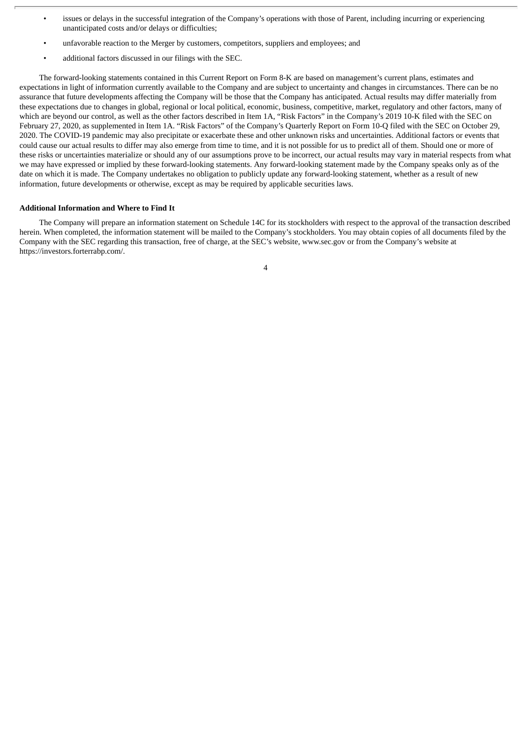- issues or delays in the successful integration of the Company's operations with those of Parent, including incurring or experiencing unanticipated costs and/or delays or difficulties;
- unfavorable reaction to the Merger by customers, competitors, suppliers and employees; and
- additional factors discussed in our filings with the SEC.

The forward-looking statements contained in this Current Report on Form 8-K are based on management's current plans, estimates and expectations in light of information currently available to the Company and are subject to uncertainty and changes in circumstances. There can be no assurance that future developments affecting the Company will be those that the Company has anticipated. Actual results may differ materially from these expectations due to changes in global, regional or local political, economic, business, competitive, market, regulatory and other factors, many of which are beyond our control, as well as the other factors described in Item 1A, "Risk Factors" in the Company's 2019 10-K filed with the SEC on February 27, 2020, as supplemented in Item 1A. "Risk Factors" of the Company's Quarterly Report on Form 10-Q filed with the SEC on October 29, 2020. The COVID-19 pandemic may also precipitate or exacerbate these and other unknown risks and uncertainties. Additional factors or events that could cause our actual results to differ may also emerge from time to time, and it is not possible for us to predict all of them. Should one or more of these risks or uncertainties materialize or should any of our assumptions prove to be incorrect, our actual results may vary in material respects from what we may have expressed or implied by these forward-looking statements. Any forward-looking statement made by the Company speaks only as of the date on which it is made. The Company undertakes no obligation to publicly update any forward-looking statement, whether as a result of new information, future developments or otherwise, except as may be required by applicable securities laws.

#### **Additional Information and Where to Find It**

The Company will prepare an information statement on Schedule 14C for its stockholders with respect to the approval of the transaction described herein. When completed, the information statement will be mailed to the Company's stockholders. You may obtain copies of all documents filed by the Company with the SEC regarding this transaction, free of charge, at the SEC's website, www.sec.gov or from the Company's website at https://investors.forterrabp.com/.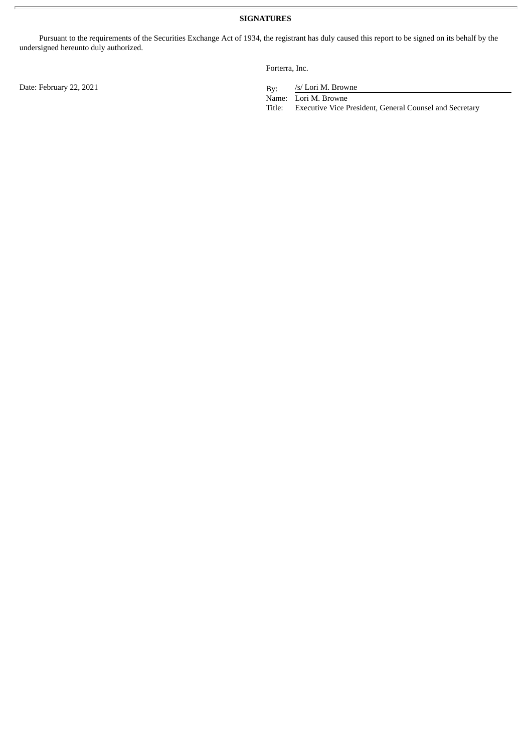Pursuant to the requirements of the Securities Exchange Act of 1934, the registrant has duly caused this report to be signed on its behalf by the undersigned hereunto duly authorized.

Forterra, Inc.

/s/ Lori M. Browne

Name: Lori M. Browne

Title: Executive Vice President, General Counsel and Secretary

Date: February 22, 2021 By: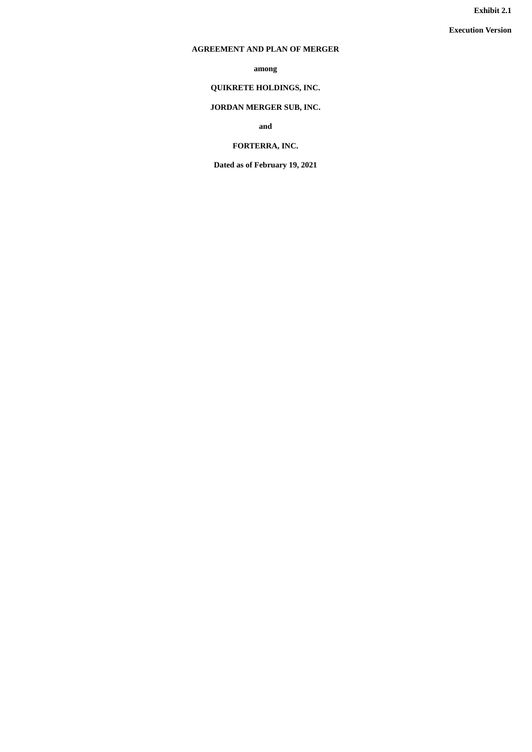**Exhibit 2.1**

**Execution Version**

## <span id="page-6-0"></span>**AGREEMENT AND PLAN OF MERGER**

**among**

## **QUIKRETE HOLDINGS, INC.**

## **JORDAN MERGER SUB, INC.**

**and**

## **FORTERRA, INC.**

**Dated as of February 19, 2021**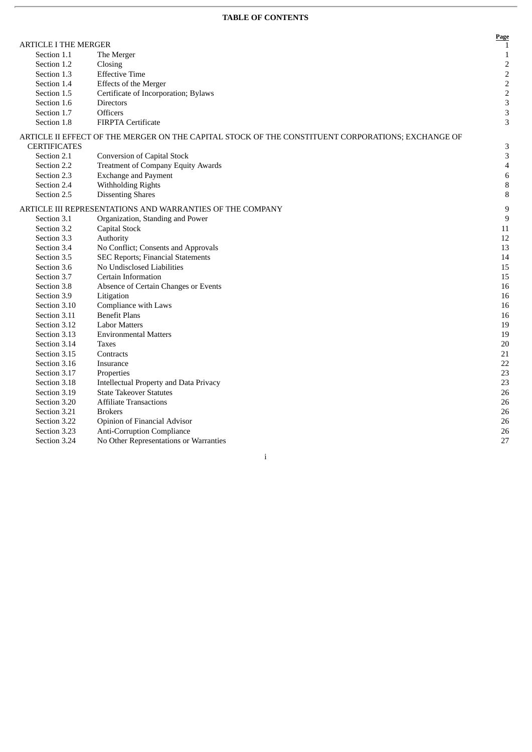## **TABLE OF CONTENTS**

| <b>ARTICLE I THE MERGER</b><br>Section 1.1<br>The Merger<br>Section 1.2<br>Closing<br><b>Effective Time</b><br>Section 1.3<br>Effects of the Merger<br>Section 1.4<br>Section 1.5<br>Certificate of Incorporation; Bylaws<br>Section 1.6<br><b>Directors</b><br>Section 1.7<br><b>Officers</b><br>Section 1.8<br><b>FIRPTA Certificate</b><br>ARTICLE II EFFECT OF THE MERGER ON THE CAPITAL STOCK OF THE CONSTITUENT CORPORATIONS; EXCHANGE OF<br><b>CERTIFICATES</b><br><b>Conversion of Capital Stock</b><br>Section 2.1<br><b>Treatment of Company Equity Awards</b><br>Section 2.2<br>Section 2.3<br><b>Exchange and Payment</b><br>Section 2.4<br>Withholding Rights<br>Section 2.5<br><b>Dissenting Shares</b><br>ARTICLE III REPRESENTATIONS AND WARRANTIES OF THE COMPANY<br>Section 3.1<br>Organization, Standing and Power<br>Section 3.2<br>Capital Stock<br>Section 3.3<br>Authority<br>Section 3.4<br>No Conflict; Consents and Approvals<br>Section 3.5<br><b>SEC Reports; Financial Statements</b><br>Section 3.6<br>No Undisclosed Liabilities<br>Section 3.7<br>Certain Information<br>Section 3.8<br>Absence of Certain Changes or Events<br>Section 3.9<br>Litigation<br>Section 3.10<br>Compliance with Laws<br><b>Benefit Plans</b><br>Section 3.11<br>Section 3.12<br><b>Labor Matters</b><br>Section 3.13<br><b>Environmental Matters</b><br>Section 3.14<br><b>Taxes</b><br>Section 3.15<br>Contracts<br>Section 3.16<br>Insurance<br>Section 3.17<br>Properties<br>Section 3.18<br><b>Intellectual Property and Data Privacy</b><br>Section 3.19<br><b>State Takeover Statutes</b><br>Section 3.20<br><b>Affiliate Transactions</b><br>Section 3.21<br><b>Brokers</b><br>Opinion of Financial Advisor<br>Section 3.22<br>Section 3.23<br><b>Anti-Corruption Compliance</b><br>No Other Representations or Warranties<br>Section 3.24 |  | Page             |
|----------------------------------------------------------------------------------------------------------------------------------------------------------------------------------------------------------------------------------------------------------------------------------------------------------------------------------------------------------------------------------------------------------------------------------------------------------------------------------------------------------------------------------------------------------------------------------------------------------------------------------------------------------------------------------------------------------------------------------------------------------------------------------------------------------------------------------------------------------------------------------------------------------------------------------------------------------------------------------------------------------------------------------------------------------------------------------------------------------------------------------------------------------------------------------------------------------------------------------------------------------------------------------------------------------------------------------------------------------------------------------------------------------------------------------------------------------------------------------------------------------------------------------------------------------------------------------------------------------------------------------------------------------------------------------------------------------------------------------------------------------------------------------------------------------------------------------------------------------------|--|------------------|
|                                                                                                                                                                                                                                                                                                                                                                                                                                                                                                                                                                                                                                                                                                                                                                                                                                                                                                                                                                                                                                                                                                                                                                                                                                                                                                                                                                                                                                                                                                                                                                                                                                                                                                                                                                                                                                                                |  | 1                |
|                                                                                                                                                                                                                                                                                                                                                                                                                                                                                                                                                                                                                                                                                                                                                                                                                                                                                                                                                                                                                                                                                                                                                                                                                                                                                                                                                                                                                                                                                                                                                                                                                                                                                                                                                                                                                                                                |  | $\mathbf{1}$     |
|                                                                                                                                                                                                                                                                                                                                                                                                                                                                                                                                                                                                                                                                                                                                                                                                                                                                                                                                                                                                                                                                                                                                                                                                                                                                                                                                                                                                                                                                                                                                                                                                                                                                                                                                                                                                                                                                |  | $\mathbf 2$      |
|                                                                                                                                                                                                                                                                                                                                                                                                                                                                                                                                                                                                                                                                                                                                                                                                                                                                                                                                                                                                                                                                                                                                                                                                                                                                                                                                                                                                                                                                                                                                                                                                                                                                                                                                                                                                                                                                |  | $\mathbf 2$      |
|                                                                                                                                                                                                                                                                                                                                                                                                                                                                                                                                                                                                                                                                                                                                                                                                                                                                                                                                                                                                                                                                                                                                                                                                                                                                                                                                                                                                                                                                                                                                                                                                                                                                                                                                                                                                                                                                |  | $\overline{c}$   |
|                                                                                                                                                                                                                                                                                                                                                                                                                                                                                                                                                                                                                                                                                                                                                                                                                                                                                                                                                                                                                                                                                                                                                                                                                                                                                                                                                                                                                                                                                                                                                                                                                                                                                                                                                                                                                                                                |  | $\overline{c}$   |
|                                                                                                                                                                                                                                                                                                                                                                                                                                                                                                                                                                                                                                                                                                                                                                                                                                                                                                                                                                                                                                                                                                                                                                                                                                                                                                                                                                                                                                                                                                                                                                                                                                                                                                                                                                                                                                                                |  | 3                |
|                                                                                                                                                                                                                                                                                                                                                                                                                                                                                                                                                                                                                                                                                                                                                                                                                                                                                                                                                                                                                                                                                                                                                                                                                                                                                                                                                                                                                                                                                                                                                                                                                                                                                                                                                                                                                                                                |  | 3                |
|                                                                                                                                                                                                                                                                                                                                                                                                                                                                                                                                                                                                                                                                                                                                                                                                                                                                                                                                                                                                                                                                                                                                                                                                                                                                                                                                                                                                                                                                                                                                                                                                                                                                                                                                                                                                                                                                |  | 3                |
|                                                                                                                                                                                                                                                                                                                                                                                                                                                                                                                                                                                                                                                                                                                                                                                                                                                                                                                                                                                                                                                                                                                                                                                                                                                                                                                                                                                                                                                                                                                                                                                                                                                                                                                                                                                                                                                                |  |                  |
|                                                                                                                                                                                                                                                                                                                                                                                                                                                                                                                                                                                                                                                                                                                                                                                                                                                                                                                                                                                                                                                                                                                                                                                                                                                                                                                                                                                                                                                                                                                                                                                                                                                                                                                                                                                                                                                                |  | 3                |
|                                                                                                                                                                                                                                                                                                                                                                                                                                                                                                                                                                                                                                                                                                                                                                                                                                                                                                                                                                                                                                                                                                                                                                                                                                                                                                                                                                                                                                                                                                                                                                                                                                                                                                                                                                                                                                                                |  | 3                |
|                                                                                                                                                                                                                                                                                                                                                                                                                                                                                                                                                                                                                                                                                                                                                                                                                                                                                                                                                                                                                                                                                                                                                                                                                                                                                                                                                                                                                                                                                                                                                                                                                                                                                                                                                                                                                                                                |  | $\overline{4}$   |
|                                                                                                                                                                                                                                                                                                                                                                                                                                                                                                                                                                                                                                                                                                                                                                                                                                                                                                                                                                                                                                                                                                                                                                                                                                                                                                                                                                                                                                                                                                                                                                                                                                                                                                                                                                                                                                                                |  | 6                |
|                                                                                                                                                                                                                                                                                                                                                                                                                                                                                                                                                                                                                                                                                                                                                                                                                                                                                                                                                                                                                                                                                                                                                                                                                                                                                                                                                                                                                                                                                                                                                                                                                                                                                                                                                                                                                                                                |  | 8                |
|                                                                                                                                                                                                                                                                                                                                                                                                                                                                                                                                                                                                                                                                                                                                                                                                                                                                                                                                                                                                                                                                                                                                                                                                                                                                                                                                                                                                                                                                                                                                                                                                                                                                                                                                                                                                                                                                |  | 8                |
|                                                                                                                                                                                                                                                                                                                                                                                                                                                                                                                                                                                                                                                                                                                                                                                                                                                                                                                                                                                                                                                                                                                                                                                                                                                                                                                                                                                                                                                                                                                                                                                                                                                                                                                                                                                                                                                                |  | 9                |
|                                                                                                                                                                                                                                                                                                                                                                                                                                                                                                                                                                                                                                                                                                                                                                                                                                                                                                                                                                                                                                                                                                                                                                                                                                                                                                                                                                                                                                                                                                                                                                                                                                                                                                                                                                                                                                                                |  | $\boldsymbol{9}$ |
|                                                                                                                                                                                                                                                                                                                                                                                                                                                                                                                                                                                                                                                                                                                                                                                                                                                                                                                                                                                                                                                                                                                                                                                                                                                                                                                                                                                                                                                                                                                                                                                                                                                                                                                                                                                                                                                                |  | 11               |
|                                                                                                                                                                                                                                                                                                                                                                                                                                                                                                                                                                                                                                                                                                                                                                                                                                                                                                                                                                                                                                                                                                                                                                                                                                                                                                                                                                                                                                                                                                                                                                                                                                                                                                                                                                                                                                                                |  | 12               |
|                                                                                                                                                                                                                                                                                                                                                                                                                                                                                                                                                                                                                                                                                                                                                                                                                                                                                                                                                                                                                                                                                                                                                                                                                                                                                                                                                                                                                                                                                                                                                                                                                                                                                                                                                                                                                                                                |  | 13               |
|                                                                                                                                                                                                                                                                                                                                                                                                                                                                                                                                                                                                                                                                                                                                                                                                                                                                                                                                                                                                                                                                                                                                                                                                                                                                                                                                                                                                                                                                                                                                                                                                                                                                                                                                                                                                                                                                |  | 14               |
|                                                                                                                                                                                                                                                                                                                                                                                                                                                                                                                                                                                                                                                                                                                                                                                                                                                                                                                                                                                                                                                                                                                                                                                                                                                                                                                                                                                                                                                                                                                                                                                                                                                                                                                                                                                                                                                                |  | 15               |
|                                                                                                                                                                                                                                                                                                                                                                                                                                                                                                                                                                                                                                                                                                                                                                                                                                                                                                                                                                                                                                                                                                                                                                                                                                                                                                                                                                                                                                                                                                                                                                                                                                                                                                                                                                                                                                                                |  | 15               |
|                                                                                                                                                                                                                                                                                                                                                                                                                                                                                                                                                                                                                                                                                                                                                                                                                                                                                                                                                                                                                                                                                                                                                                                                                                                                                                                                                                                                                                                                                                                                                                                                                                                                                                                                                                                                                                                                |  | 16               |
|                                                                                                                                                                                                                                                                                                                                                                                                                                                                                                                                                                                                                                                                                                                                                                                                                                                                                                                                                                                                                                                                                                                                                                                                                                                                                                                                                                                                                                                                                                                                                                                                                                                                                                                                                                                                                                                                |  | 16               |
|                                                                                                                                                                                                                                                                                                                                                                                                                                                                                                                                                                                                                                                                                                                                                                                                                                                                                                                                                                                                                                                                                                                                                                                                                                                                                                                                                                                                                                                                                                                                                                                                                                                                                                                                                                                                                                                                |  | 16               |
|                                                                                                                                                                                                                                                                                                                                                                                                                                                                                                                                                                                                                                                                                                                                                                                                                                                                                                                                                                                                                                                                                                                                                                                                                                                                                                                                                                                                                                                                                                                                                                                                                                                                                                                                                                                                                                                                |  | 16               |
|                                                                                                                                                                                                                                                                                                                                                                                                                                                                                                                                                                                                                                                                                                                                                                                                                                                                                                                                                                                                                                                                                                                                                                                                                                                                                                                                                                                                                                                                                                                                                                                                                                                                                                                                                                                                                                                                |  | 19               |
|                                                                                                                                                                                                                                                                                                                                                                                                                                                                                                                                                                                                                                                                                                                                                                                                                                                                                                                                                                                                                                                                                                                                                                                                                                                                                                                                                                                                                                                                                                                                                                                                                                                                                                                                                                                                                                                                |  | 19               |
|                                                                                                                                                                                                                                                                                                                                                                                                                                                                                                                                                                                                                                                                                                                                                                                                                                                                                                                                                                                                                                                                                                                                                                                                                                                                                                                                                                                                                                                                                                                                                                                                                                                                                                                                                                                                                                                                |  | 20               |
|                                                                                                                                                                                                                                                                                                                                                                                                                                                                                                                                                                                                                                                                                                                                                                                                                                                                                                                                                                                                                                                                                                                                                                                                                                                                                                                                                                                                                                                                                                                                                                                                                                                                                                                                                                                                                                                                |  | 21               |
|                                                                                                                                                                                                                                                                                                                                                                                                                                                                                                                                                                                                                                                                                                                                                                                                                                                                                                                                                                                                                                                                                                                                                                                                                                                                                                                                                                                                                                                                                                                                                                                                                                                                                                                                                                                                                                                                |  | 22               |
|                                                                                                                                                                                                                                                                                                                                                                                                                                                                                                                                                                                                                                                                                                                                                                                                                                                                                                                                                                                                                                                                                                                                                                                                                                                                                                                                                                                                                                                                                                                                                                                                                                                                                                                                                                                                                                                                |  | 23               |
|                                                                                                                                                                                                                                                                                                                                                                                                                                                                                                                                                                                                                                                                                                                                                                                                                                                                                                                                                                                                                                                                                                                                                                                                                                                                                                                                                                                                                                                                                                                                                                                                                                                                                                                                                                                                                                                                |  | 23               |
|                                                                                                                                                                                                                                                                                                                                                                                                                                                                                                                                                                                                                                                                                                                                                                                                                                                                                                                                                                                                                                                                                                                                                                                                                                                                                                                                                                                                                                                                                                                                                                                                                                                                                                                                                                                                                                                                |  | 26               |
|                                                                                                                                                                                                                                                                                                                                                                                                                                                                                                                                                                                                                                                                                                                                                                                                                                                                                                                                                                                                                                                                                                                                                                                                                                                                                                                                                                                                                                                                                                                                                                                                                                                                                                                                                                                                                                                                |  | 26               |
|                                                                                                                                                                                                                                                                                                                                                                                                                                                                                                                                                                                                                                                                                                                                                                                                                                                                                                                                                                                                                                                                                                                                                                                                                                                                                                                                                                                                                                                                                                                                                                                                                                                                                                                                                                                                                                                                |  | 26               |
|                                                                                                                                                                                                                                                                                                                                                                                                                                                                                                                                                                                                                                                                                                                                                                                                                                                                                                                                                                                                                                                                                                                                                                                                                                                                                                                                                                                                                                                                                                                                                                                                                                                                                                                                                                                                                                                                |  | 26               |
|                                                                                                                                                                                                                                                                                                                                                                                                                                                                                                                                                                                                                                                                                                                                                                                                                                                                                                                                                                                                                                                                                                                                                                                                                                                                                                                                                                                                                                                                                                                                                                                                                                                                                                                                                                                                                                                                |  | 26               |
|                                                                                                                                                                                                                                                                                                                                                                                                                                                                                                                                                                                                                                                                                                                                                                                                                                                                                                                                                                                                                                                                                                                                                                                                                                                                                                                                                                                                                                                                                                                                                                                                                                                                                                                                                                                                                                                                |  | 27               |

i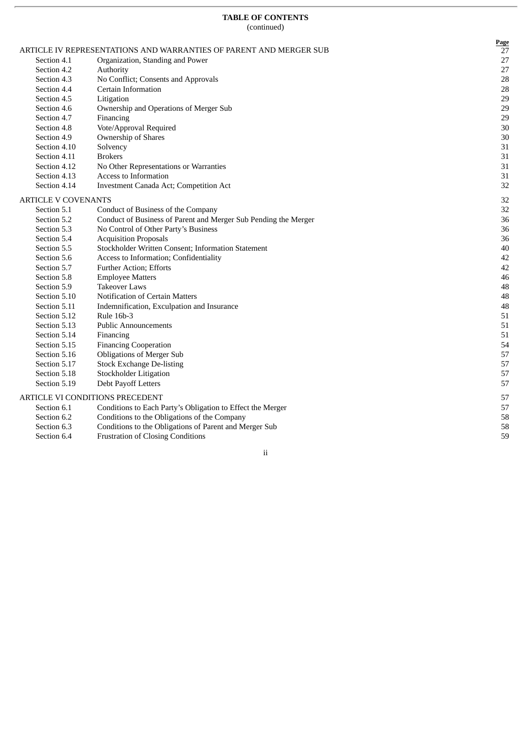|                            | ARTICLE IV REPRESENTATIONS AND WARRANTIES OF PARENT AND MERGER SUB | <b>Page</b><br>27 |
|----------------------------|--------------------------------------------------------------------|-------------------|
| Section 4.1                | Organization, Standing and Power                                   | 27                |
| Section 4.2                | Authority                                                          | 27                |
| Section 4.3                | No Conflict; Consents and Approvals                                | 28                |
| Section 4.4                | Certain Information                                                | 28                |
| Section 4.5                | Litigation                                                         | 29                |
| Section 4.6                | Ownership and Operations of Merger Sub                             | 29                |
| Section 4.7                | Financing                                                          | 29                |
| Section 4.8                | Vote/Approval Required                                             | 30                |
| Section 4.9                | Ownership of Shares                                                | $30\,$            |
| Section 4.10               | Solvency                                                           | 31                |
| Section 4.11               | <b>Brokers</b>                                                     | 31                |
| Section 4.12               | No Other Representations or Warranties                             | 31                |
| Section 4.13               | Access to Information                                              | 31                |
| Section 4.14               | Investment Canada Act; Competition Act                             | 32                |
| <b>ARTICLE V COVENANTS</b> |                                                                    | 32                |
| Section 5.1                | Conduct of Business of the Company                                 | 32                |
| Section 5.2                | Conduct of Business of Parent and Merger Sub Pending the Merger    | 36                |
| Section 5.3                | No Control of Other Party's Business                               | 36                |
| Section 5.4                | <b>Acquisition Proposals</b>                                       | 36                |
| Section 5.5                | Stockholder Written Consent; Information Statement                 | 40                |
| Section 5.6                | Access to Information; Confidentiality                             | 42                |
| Section 5.7                | <b>Further Action</b> ; Efforts                                    | 42                |
| Section 5.8                | <b>Employee Matters</b>                                            | 46                |
| Section 5.9                | <b>Takeover Laws</b>                                               | 48                |
| Section 5.10               | <b>Notification of Certain Matters</b>                             | 48                |
| Section 5.11               | Indemnification, Exculpation and Insurance                         | 48                |
| Section 5.12               | <b>Rule 16b-3</b>                                                  | 51                |
| Section 5.13               | <b>Public Announcements</b>                                        | 51                |
| Section 5.14               | Financing                                                          | 51                |
| Section 5.15               | <b>Financing Cooperation</b>                                       | 54                |
| Section 5.16               | <b>Obligations of Merger Sub</b>                                   | 57                |
| Section 5.17               | <b>Stock Exchange De-listing</b>                                   | 57                |
| Section 5.18               | <b>Stockholder Litigation</b>                                      | 57                |
| Section 5.19               | Debt Payoff Letters                                                | 57                |
|                            | ARTICLE VI CONDITIONS PRECEDENT                                    | 57                |
| Section 6.1                | Conditions to Each Party's Obligation to Effect the Merger         | 57                |
| Section 6.2                | Conditions to the Obligations of the Company                       | 58                |
| Section 6.3                | Conditions to the Obligations of Parent and Merger Sub             | 58                |
| Section 6.4                | <b>Frustration of Closing Conditions</b>                           | 59                |

i i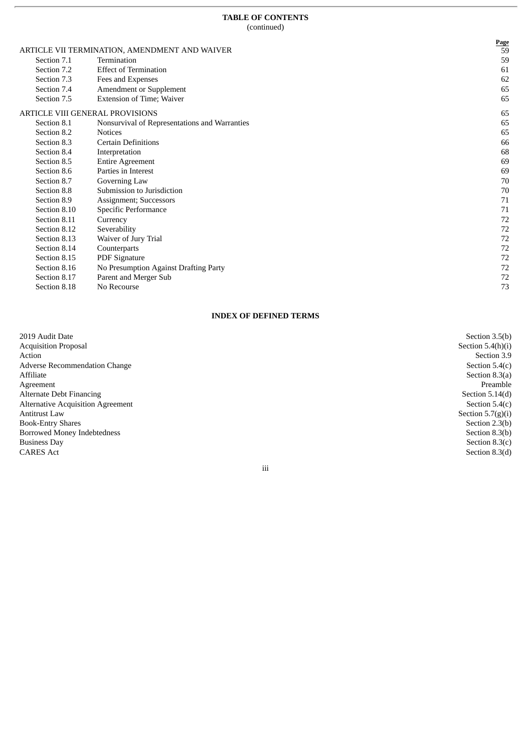$\overline{r}$ 

|                            | ARTICLE VII TERMINATION, AMENDMENT AND WAIVER        | Page<br>59 |
|----------------------------|------------------------------------------------------|------------|
| Section 7.1                | Termination                                          | 59         |
| Section 7.2                | <b>Effect of Termination</b>                         | 61         |
|                            |                                                      |            |
| Section 7.3                | Fees and Expenses                                    | 62         |
| Section 7.4<br>Section 7.5 | Amendment or Supplement<br>Extension of Time; Waiver | 65<br>65   |
|                            | ARTICLE VIII GENERAL PROVISIONS                      | 65         |
| Section 8.1                | Nonsurvival of Representations and Warranties        | 65         |
| Section 8.2                | <b>Notices</b>                                       | 65         |
| Section 8.3                | <b>Certain Definitions</b>                           | 66         |
| Section 8.4                | Interpretation                                       | 68         |
| Section 8.5                | <b>Entire Agreement</b>                              | 69         |
| Section 8.6                | Parties in Interest                                  | 69         |
| Section 8.7                | Governing Law                                        | 70         |
| Section 8.8                | Submission to Jurisdiction                           | 70         |
| Section 8.9                | Assignment; Successors                               | 71         |
| Section 8.10               | Specific Performance                                 | 71         |
| Section 8.11               | Currency                                             | 72         |
| Section 8.12               | Severability                                         | 72         |
| Section 8.13               | Waiver of Jury Trial                                 | 72         |
| Section 8.14               | Counterparts                                         | 72         |
| Section 8.15               | <b>PDF</b> Signature                                 | 72         |
| Section 8.16               | No Presumption Against Drafting Party                | 72         |
| Section 8.17               | Parent and Merger Sub                                | 72         |
| Section 8.18               | No Recourse                                          | 73         |

## **INDEX OF DEFINED TERMS**

| 2019 Audit Date                          | Section 3.5(b)      |
|------------------------------------------|---------------------|
| <b>Acquisition Proposal</b>              | Section $5.4(h)(i)$ |
| Action                                   | Section 3.9         |
| Adverse Recommendation Change            | Section $5.4(c)$    |
| Affiliate                                | Section $8.3(a)$    |
| Agreement                                | Preamble            |
| Alternate Debt Financing                 | Section $5.14(d)$   |
| <b>Alternative Acquisition Agreement</b> | Section $5.4(c)$    |
| <b>Antitrust Law</b>                     | Section $5.7(g)(i)$ |
| <b>Book-Entry Shares</b>                 | Section 2.3(b)      |
| <b>Borrowed Money Indebtedness</b>       | Section 8.3(b)      |
| <b>Business Day</b>                      | Section $8.3(c)$    |
| <b>CARES Act</b>                         | Section 8.3(d)      |
| iii                                      |                     |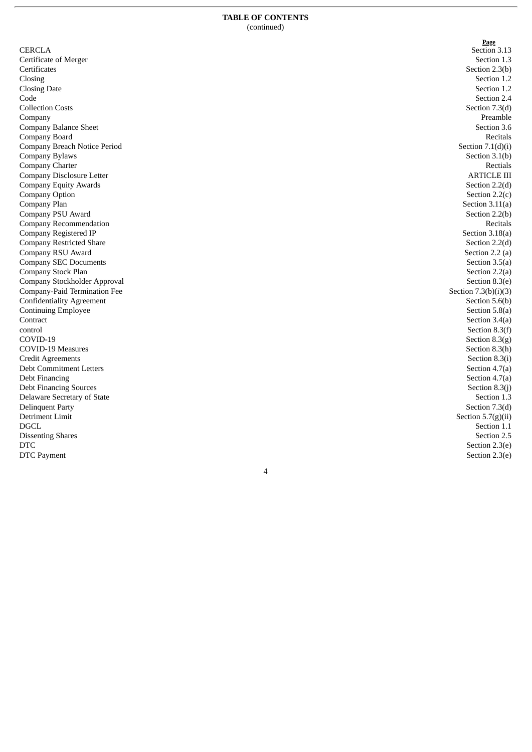| <b>CERCLA</b>                                    |
|--------------------------------------------------|
| Certificate of Merger                            |
| Certificates                                     |
| Closing                                          |
| <b>Closing Date</b>                              |
| Code                                             |
| <b>Collection Costs</b>                          |
| Company                                          |
| Company Balance Sheet                            |
| Company Board                                    |
| Company Breach Notice Period                     |
| Company Bylaws                                   |
| Company Charter                                  |
| <b>Company Disclosure Letter</b>                 |
| <b>Company Equity Awards</b>                     |
| <b>Company Option</b>                            |
| Company Plan                                     |
| Company PSU Award                                |
| Company Recommendation                           |
| Company Registered IP                            |
| <b>Company Restricted Share</b>                  |
| Company RSU Award                                |
| <b>Company SEC Documents</b>                     |
| Company Stock Plan                               |
| Company Stockholder Approval                     |
| Company-Paid Termination Fee                     |
| <b>Confidentiality Agreement</b>                 |
| <b>Continuing Employee</b>                       |
| Contract                                         |
| control                                          |
| COVID-19                                         |
| COVID-19 Measures                                |
| Credit Agreements                                |
| <b>Debt Commitment Letters</b><br>Debt Financing |
| <b>Debt Financing Sources</b>                    |
| Delaware Secretary of State                      |
| <b>Delinquent Party</b>                          |
| Detriment Limit                                  |
| <b>DGCL</b>                                      |
| <b>Dissenting Shares</b>                         |
| <b>DTC</b>                                       |
| DTC Payment                                      |
|                                                  |

**P a g e** Section 3.13 Section 1.3 Section 2.3(b) Section 1.2 Section 1.2 Section 2.4 Section 7.3(d) Preamble Section 3.6 Recitals Section  $7.1(d)(i)$ Section 3.1(b) Rectials ARTICLE III Section 2.2(d) Section  $2.2(c)$ Section  $3.11(a)$ Section 2.2(b) Recitals Section 3.18(a) Section 2.2(d) Section 2.2 (a) Section 3.5(a) Section 2.2(a) Section 8.3(e) Section  $7.3(b)(i)(3)$ Section 5.6(b) Section 5.8(a) Section 3.4(a) Section 8.3(f) Section 8.3(g) Section 8.3(h) Section 8.3(i) Section 4.7(a) Section 4.7(a) Section 8.3(j) Section 1.3 Section 7.3(d) Section  $5.7(g)(ii)$ Section 1.1 Section 2.5 Section 2.3(e) Section 2.3(e)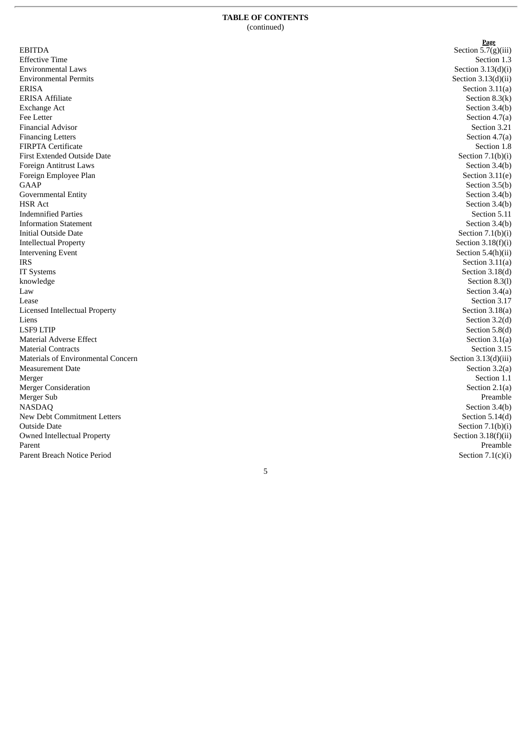EBITDA Effective Time Environmental Laws Environmental Permits E R I S A ERISA Affiliate Exchange Act Fee Letter Financial Advisor Financing Letters FIRPTA Certificate First Extended Outside Date Foreign Antitrust Laws Foreign Employee Plan G A A P Governmental Entity H S R A c t Indemnified Parties **Information Statement** Initial Outside Date Intellectual Property Intervening Event I R S IT Systems k n o w le d g e L a w L e a s e Licensed Intellectual Property Liens L S F 9 LT I P Material Adverse Effect Material Contracts Materials of Environmental Concern Measurement Date Merger Merger Consideration Merger Sub N A S D A Q New Debt Commitment Letters Outside Date Owned Intellectual Property Parent Parent Breach Notice Period

**P a g e** Section 5.7(g)(iii) Section 1.3 Section  $3.13(d)(i)$ Section  $3.13(d)(ii)$ Section  $3.11(a)$ Section 8.3(k) Section 3.4(b) Section 4.7(a) Section 3.21 Section 4.7(a) Section 1.8 Section  $7.1(b)(i)$ Section 3.4(b) Section  $3.11(e)$ Section 3.5(b) Section 3.4(b) Section 3.4(b) Section 5.11 Section 3.4(b) Section  $7.1(b)(i)$ Section  $3.18(f)(i)$ Section 5.4(h)(ii) Section  $3.11(a)$ Section 3.18(d) Section 8.3(l) Section 3.4(a) Section 3.17 Section 3.18(a) Section 3.2(d) Section 5.8(d) Section 3.1(a) Section 3.15 Section  $3.13(d)(iii)$ Section 3.2(a) Section 1.1 Section  $2.1(a)$ Preamble Section 3.4(b) Section 5.14(d) Section  $7.1(b)(i)$ Section  $3.18(f)(ii)$ Preamble Section  $7.1(c)(i)$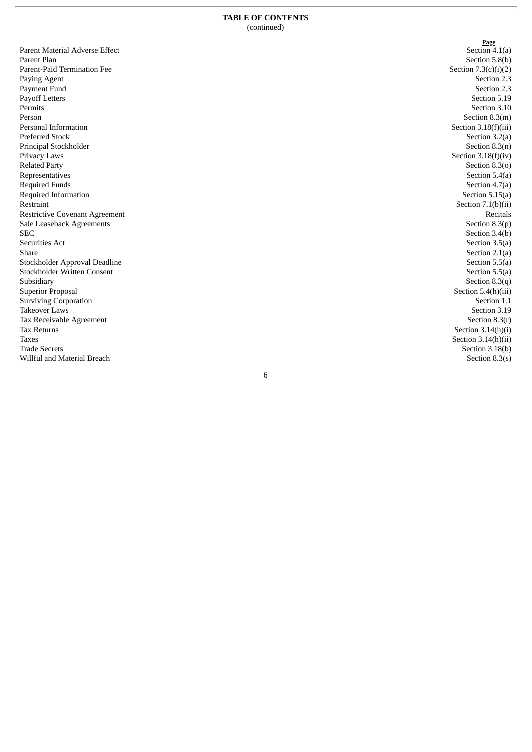| Parent Material Adverse Effect        |
|---------------------------------------|
| Parent Plan                           |
| Parent-Paid Termination Fee           |
| Paying Agent                          |
| Payment Fund                          |
| <b>Payoff Letters</b>                 |
| Permits                               |
| Person                                |
| Personal Information                  |
| Preferred Stock                       |
| Principal Stockholder                 |
| Privacy Laws                          |
| <b>Related Party</b>                  |
| Representatives                       |
| <b>Required Funds</b>                 |
| Required Information                  |
| Restraint                             |
| <b>Restrictive Covenant Agreement</b> |
| Sale Leaseback Agreements             |
| <b>SEC</b>                            |
| <b>Securities Act</b>                 |
| Share                                 |
| Stockholder Approval Deadline         |
| <b>Stockholder Written Consent</b>    |
| Subsidiary                            |
| <b>Superior Proposal</b>              |
| <b>Surviving Corporation</b>          |
| Takeover Laws                         |
| Tax Receivable Agreement              |
| <b>Tax Returns</b>                    |
| Taxes                                 |
| <b>Trade Secrets</b>                  |
| Willful and Material Breach           |

**<u>Page</u><br>Section 4.1(a)** Section 5.8(b) Section  $7.3(c)(i)(2)$ Section 2.3 Section 2.3 Section 5.19 Section 3.10 Section 8.3(m) Section  $3.18(f)(iii)$ Section 3.2(a) Section 8.3(n) Section  $3.18(f)(iv)$ Section 8.3(o) Section 5.4(a) Section 4.7(a) Section 5.15(a) Section  $7.1(b)(ii)$ Recitals Section 8.3(p) Section 3.4(b) Section 3.5(a) Section  $2.1(a)$ Section 5.5(a) Section 5.5(a) Section  $8.3(q)$ Section 5.4(h)(iii) Section 1.1 Section 3.19 Section 8.3(r) Section  $3.14(h)(i)$ Section  $3.14(h)(ii)$ Section 3.18(b) Section  $8.3(s)$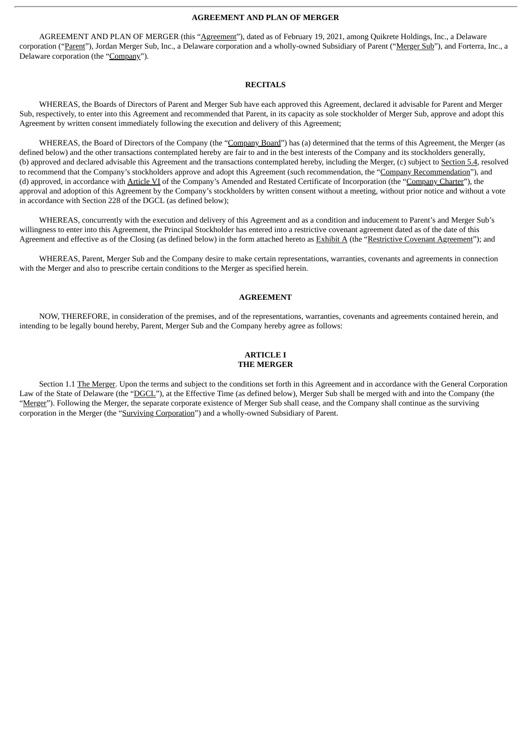#### **AGREEMENT AND PLAN OF MERGER**

AGREEMENT AND PLAN OF MERGER (this "Agreement"), dated as of February 19, 2021, among Quikrete Holdings, Inc., a Delaware corporation ("Parent"), Jordan Merger Sub, Inc., a Delaware corporation and a wholly-owned Subsidiary of Parent ("Merger Sub"), and Forterra, Inc., a Delaware corporation (the "Company").

#### **RECITALS**

WHEREAS, the Boards of Directors of Parent and Merger Sub have each approved this Agreement, declared it advisable for Parent and Merger Sub, respectively, to enter into this Agreement and recommended that Parent, in its capacity as sole stockholder of Merger Sub, approve and adopt this Agreement by written consent immediately following the execution and delivery of this Agreement;

WHEREAS, the Board of Directors of the Company (the "Company Board") has (a) determined that the terms of this Agreement, the Merger (as defined below) and the other transactions contemplated hereby are fair to and in the best interests of the Company and its stockholders generally, (b) approved and declared advisable this Agreement and the transactions contemplated hereby, including the Merger, (c) subject to Section 5.4, resolved to recommend that the Company's stockholders approve and adopt this Agreement (such recommendation, the "Company Recommendation"), and (d) approved, in accordance with Article VI of the Company's Amended and Restated Certificate of Incorporation (the "Company Charter"), the approval and adoption of this Agreement by the Company's stockholders by written consent without a meeting, without prior notice and without a vote in accordance with Section 228 of the DGCL (as defined below);

WHEREAS, concurrently with the execution and delivery of this Agreement and as a condition and inducement to Parent's and Merger Sub's willingness to enter into this Agreement, the Principal Stockholder has entered into a restrictive covenant agreement dated as of the date of this Agreement and effective as of the Closing (as defined below) in the form attached hereto as Exhibit A (the "Restrictive Covenant Agreement"); and

WHEREAS, Parent, Merger Sub and the Company desire to make certain representations, warranties, covenants and agreements in connection with the Merger and also to prescribe certain conditions to the Merger as specified herein.

#### **AGREEMENT**

NOW, THEREFORE, in consideration of the premises, and of the representations, warranties, covenants and agreements contained herein, and intending to be legally bound hereby, Parent, Merger Sub and the Company hereby agree as follows:

#### **ARTICLE I THE MERGER**

Section 1.1 The Merger. Upon the terms and subject to the conditions set forth in this Agreement and in accordance with the General Corporation Law of the State of Delaware (the "DGCL"), at the Effective Time (as defined below), Merger Sub shall be merged with and into the Company (the "Merger"). Following the Merger, the separate corporate existence of Merger Sub shall cease, and the Company shall continue as the surviving corporation in the Merger (the "Surviving Corporation") and a wholly-owned Subsidiary of Parent.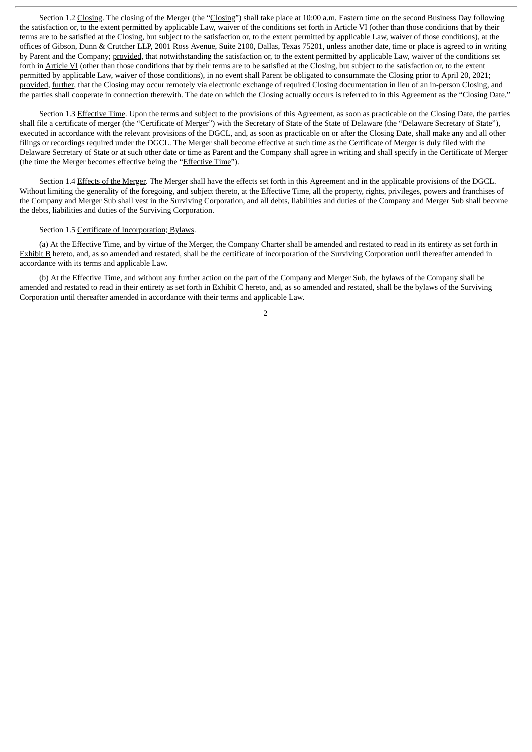Section 1.2 Closing. The closing of the Merger (the "Closing") shall take place at 10:00 a.m. Eastern time on the second Business Day following the satisfaction or, to the extent permitted by applicable Law, waiver of the conditions set forth in Article VI (other than those conditions that by their terms are to be satisfied at the Closing, but subject to the satisfaction or, to the extent permitted by applicable Law, waiver of those conditions), at the offices of Gibson, Dunn & Crutcher LLP, 2001 Ross Avenue, Suite 2100, Dallas, Texas 75201, unless another date, time or place is agreed to in writing by Parent and the Company; provided, that notwithstanding the satisfaction or, to the extent permitted by applicable Law, waiver of the conditions set forth in Article VI (other than those conditions that by their terms are to be satisfied at the Closing, but subject to the satisfaction or, to the extent permitted by applicable Law, waiver of those conditions), in no event shall Parent be obligated to consummate the Closing prior to April 20, 2021; provided, further, that the Closing may occur remotely via electronic exchange of required Closing documentation in lieu of an in-person Closing, and the parties shall cooperate in connection therewith. The date on which the Closing actually occurs is referred to in this Agreement as the "Closing Date."

Section 1.3 Effective Time. Upon the terms and subject to the provisions of this Agreement, as soon as practicable on the Closing Date, the parties shall file a certificate of merger (the "Certificate of Merger") with the Secretary of State of the State of Delaware (the "Delaware Secretary of State"), executed in accordance with the relevant provisions of the DGCL, and, as soon as practicable on or after the Closing Date, shall make any and all other filings or recordings required under the DGCL. The Merger shall become effective at such time as the Certificate of Merger is duly filed with the Delaware Secretary of State or at such other date or time as Parent and the Company shall agree in writing and shall specify in the Certificate of Merger (the time the Merger becomes effective being the "Effective Time").

Section 1.4 Effects of the Merger. The Merger shall have the effects set forth in this Agreement and in the applicable provisions of the DGCL. Without limiting the generality of the foregoing, and subject thereto, at the Effective Time, all the property, rights, privileges, powers and franchises of the Company and Merger Sub shall vest in the Surviving Corporation, and all debts, liabilities and duties of the Company and Merger Sub shall become the debts, liabilities and duties of the Surviving Corporation.

#### Section 1.5 Certificate of Incorporation; Bylaws.

(a) At the Effective Time, and by virtue of the Merger, the Company Charter shall be amended and restated to read in its entirety as set forth in Exhibit B hereto, and, as so amended and restated, shall be the certificate of incorporation of the Surviving Corporation until thereafter amended in accordance with its terms and applicable Law.

(b) At the Effective Time, and without any further action on the part of the Company and Merger Sub, the bylaws of the Company shall be amended and restated to read in their entirety as set forth in **Exhibit C** hereto, and, as so amended and restated, shall be the bylaws of the Surviving Corporation until thereafter amended in accordance with their terms and applicable Law.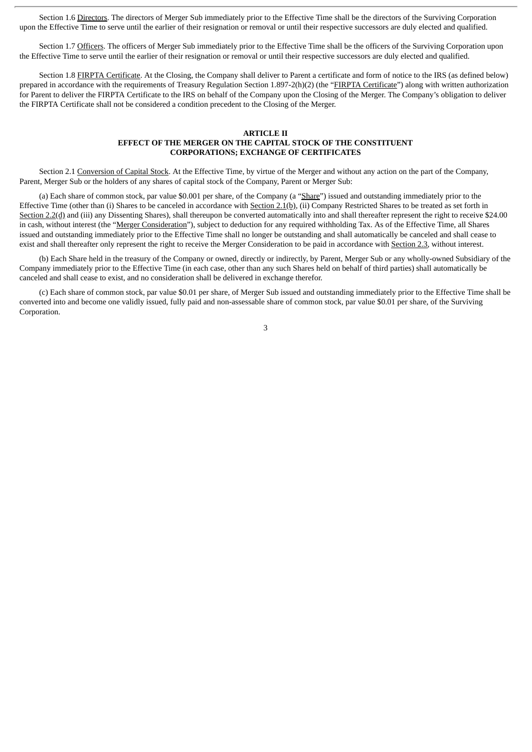Section 1.6 Directors. The directors of Merger Sub immediately prior to the Effective Time shall be the directors of the Surviving Corporation upon the Effective Time to serve until the earlier of their resignation or removal or until their respective successors are duly elected and qualified.

Section 1.7 Officers. The officers of Merger Sub immediately prior to the Effective Time shall be the officers of the Surviving Corporation upon the Effective Time to serve until the earlier of their resignation or removal or until their respective successors are duly elected and qualified.

Section 1.8 FIRPTA Certificate. At the Closing, the Company shall deliver to Parent a certificate and form of notice to the IRS (as defined below) prepared in accordance with the requirements of Treasury Regulation Section 1.897-2(h)(2) (the "FIRPTA Certificate") along with written authorization for Parent to deliver the FIRPTA Certificate to the IRS on behalf of the Company upon the Closing of the Merger. The Company's obligation to deliver the FIRPTA Certificate shall not be considered a condition precedent to the Closing of the Merger.

#### **ARTICLE II EFFECT OF THE MERGER ON THE CAPITAL STOCK OF THE CONSTITUENT CORPORATIONS; EXCHANGE OF CERTIFICATES**

Section 2.1 Conversion of Capital Stock. At the Effective Time, by virtue of the Merger and without any action on the part of the Company, Parent, Merger Sub or the holders of any shares of capital stock of the Company, Parent or Merger Sub:

(a) Each share of common stock, par value \$0.001 per share, of the Company (a "Share") issued and outstanding immediately prior to the Effective Time (other than (i) Shares to be canceled in accordance with Section 2.1(b), (ii) Company Restricted Shares to be treated as set forth in Section 2.2(d) and (iii) any Dissenting Shares), shall thereupon be converted automatically into and shall thereafter represent the right to receive \$24.00 in cash, without interest (the "Merger Consideration"), subject to deduction for any required withholding Tax. As of the Effective Time, all Shares issued and outstanding immediately prior to the Effective Time shall no longer be outstanding and shall automatically be canceled and shall cease to exist and shall thereafter only represent the right to receive the Merger Consideration to be paid in accordance with Section 2.3, without interest.

(b) Each Share held in the treasury of the Company or owned, directly or indirectly, by Parent, Merger Sub or any wholly-owned Subsidiary of the Company immediately prior to the Effective Time (in each case, other than any such Shares held on behalf of third parties) shall automatically be canceled and shall cease to exist, and no consideration shall be delivered in exchange therefor.

(c) Each share of common stock, par value \$0.01 per share, of Merger Sub issued and outstanding immediately prior to the Effective Time shall be converted into and become one validly issued, fully paid and non-assessable share of common stock, par value \$0.01 per share, of the Surviving Corporation.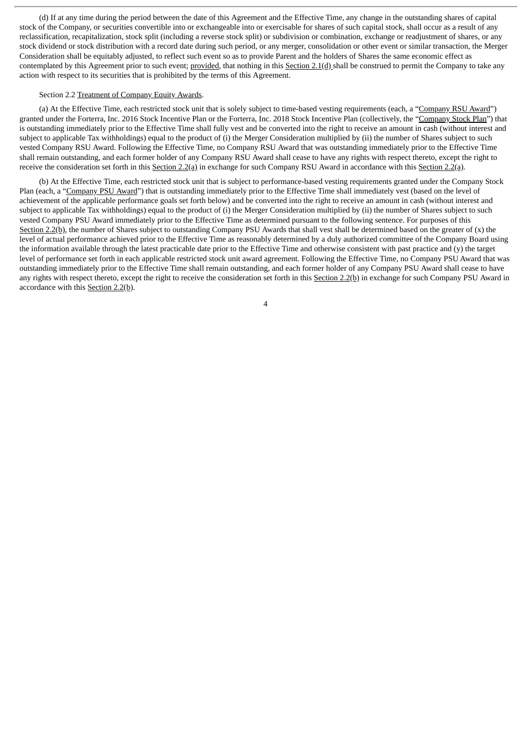(d) If at any time during the period between the date of this Agreement and the Effective Time, any change in the outstanding shares of capital stock of the Company, or securities convertible into or exchangeable into or exercisable for shares of such capital stock, shall occur as a result of any reclassification, recapitalization, stock split (including a reverse stock split) or subdivision or combination, exchange or readjustment of shares, or any stock dividend or stock distribution with a record date during such period, or any merger, consolidation or other event or similar transaction, the Merger Consideration shall be equitably adjusted, to reflect such event so as to provide Parent and the holders of Shares the same economic effect as contemplated by this Agreement prior to such event; provided, that nothing in this Section 2.1(d) shall be construed to permit the Company to take any action with respect to its securities that is prohibited by the terms of this Agreement.

#### Section 2.2 Treatment of Company Equity Awards.

(a) At the Effective Time, each restricted stock unit that is solely subject to time-based vesting requirements (each, a "Company RSU Award") granted under the Forterra, Inc. 2016 Stock Incentive Plan or the Forterra, Inc. 2018 Stock Incentive Plan (collectively, the "Company Stock Plan") that is outstanding immediately prior to the Effective Time shall fully vest and be converted into the right to receive an amount in cash (without interest and subject to applicable Tax withholdings) equal to the product of (i) the Merger Consideration multiplied by (ii) the number of Shares subject to such vested Company RSU Award. Following the Effective Time, no Company RSU Award that was outstanding immediately prior to the Effective Time shall remain outstanding, and each former holder of any Company RSU Award shall cease to have any rights with respect thereto, except the right to receive the consideration set forth in this Section 2.2(a) in exchange for such Company RSU Award in accordance with this Section 2.2(a).

(b) At the Effective Time, each restricted stock unit that is subject to performance-based vesting requirements granted under the Company Stock Plan (each, a "Company PSU Award") that is outstanding immediately prior to the Effective Time shall immediately vest (based on the level of achievement of the applicable performance goals set forth below) and be converted into the right to receive an amount in cash (without interest and subject to applicable Tax withholdings) equal to the product of (i) the Merger Consideration multiplied by (ii) the number of Shares subject to such vested Company PSU Award immediately prior to the Effective Time as determined pursuant to the following sentence. For purposes of this Section 2.2(b), the number of Shares subject to outstanding Company PSU Awards that shall vest shall be determined based on the greater of  $(x)$  the level of actual performance achieved prior to the Effective Time as reasonably determined by a duly authorized committee of the Company Board using the information available through the latest practicable date prior to the Effective Time and otherwise consistent with past practice and (y) the target level of performance set forth in each applicable restricted stock unit award agreement. Following the Effective Time, no Company PSU Award that was outstanding immediately prior to the Effective Time shall remain outstanding, and each former holder of any Company PSU Award shall cease to have any rights with respect thereto, except the right to receive the consideration set forth in this Section 2.2(b) in exchange for such Company PSU Award in accordance with this Section 2.2(b).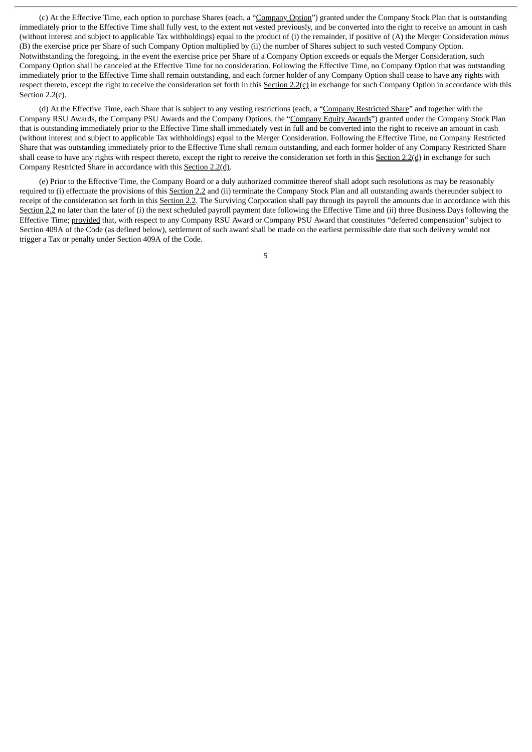(c) At the Effective Time, each option to purchase Shares (each, a "Company Option") granted under the Company Stock Plan that is outstanding immediately prior to the Effective Time shall fully vest, to the extent not vested previously, and be converted into the right to receive an amount in cash (without interest and subject to applicable Tax withholdings) equal to the product of (i) the remainder, if positive of (A) the Merger Consideration *minus* (B) the exercise price per Share of such Company Option multiplied by (ii) the number of Shares subject to such vested Company Option. Notwithstanding the foregoing, in the event the exercise price per Share of a Company Option exceeds or equals the Merger Consideration, such Company Option shall be canceled at the Effective Time for no consideration. Following the Effective Time, no Company Option that was outstanding immediately prior to the Effective Time shall remain outstanding, and each former holder of any Company Option shall cease to have any rights with respect thereto, except the right to receive the consideration set forth in this Section  $2.2(c)$  in exchange for such Company Option in accordance with this Section 2.2(c).

(d) At the Effective Time, each Share that is subject to any vesting restrictions (each, a "Company Restricted Share" and together with the Company RSU Awards, the Company PSU Awards and the Company Options, the "Company Equity Awards") granted under the Company Stock Plan that is outstanding immediately prior to the Effective Time shall immediately vest in full and be converted into the right to receive an amount in cash (without interest and subject to applicable Tax withholdings) equal to the Merger Consideration. Following the Effective Time, no Company Restricted Share that was outstanding immediately prior to the Effective Time shall remain outstanding, and each former holder of any Company Restricted Share shall cease to have any rights with respect thereto, except the right to receive the consideration set forth in this Section 2.2(d) in exchange for such Company Restricted Share in accordance with this Section 2.2(d).

(e) Prior to the Effective Time, the Company Board or a duly authorized committee thereof shall adopt such resolutions as may be reasonably required to (i) effectuate the provisions of this Section 2.2 and (ii) terminate the Company Stock Plan and all outstanding awards thereunder subject to receipt of the consideration set forth in this Section 2.2. The Surviving Corporation shall pay through its payroll the amounts due in accordance with this Section 2.2 no later than the later of (i) the next scheduled payroll payment date following the Effective Time and (ii) three Business Days following the Effective Time; provided that, with respect to any Company RSU Award or Company PSU Award that constitutes "deferred compensation" subject to Section 409A of the Code (as defined below), settlement of such award shall be made on the earliest permissible date that such delivery would not trigger a Tax or penalty under Section 409A of the Code.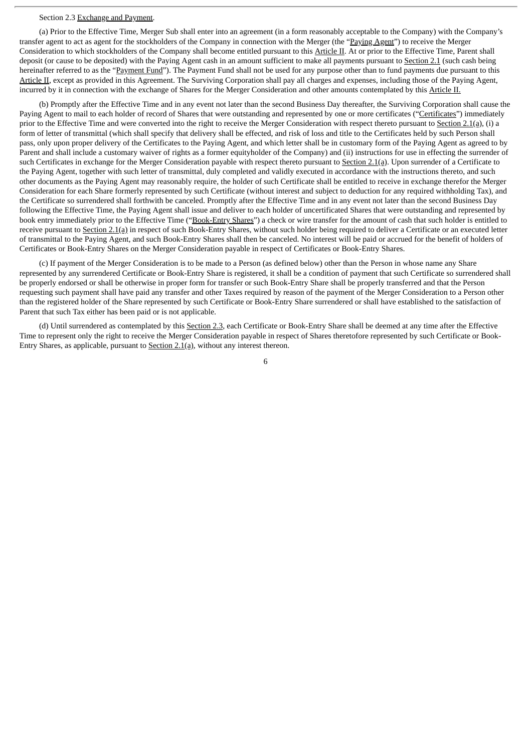#### Section 2.3 Exchange and Payment.

(a) Prior to the Effective Time, Merger Sub shall enter into an agreement (in a form reasonably acceptable to the Company) with the Company's transfer agent to act as agent for the stockholders of the Company in connection with the Merger (the "Paying Agent") to receive the Merger Consideration to which stockholders of the Company shall become entitled pursuant to this Article II. At or prior to the Effective Time, Parent shall deposit (or cause to be deposited) with the Paying Agent cash in an amount sufficient to make all payments pursuant to Section 2.1 (such cash being hereinafter referred to as the "Payment Fund"). The Payment Fund shall not be used for any purpose other than to fund payments due pursuant to this Article II, except as provided in this Agreement. The Surviving Corporation shall pay all charges and expenses, including those of the Paying Agent, incurred by it in connection with the exchange of Shares for the Merger Consideration and other amounts contemplated by this Article II.

(b) Promptly after the Effective Time and in any event not later than the second Business Day thereafter, the Surviving Corporation shall cause the Paying Agent to mail to each holder of record of Shares that were outstanding and represented by one or more certificates ("Certificates") immediately prior to the Effective Time and were converted into the right to receive the Merger Consideration with respect thereto pursuant to Section 2.1(a), (i) a form of letter of transmittal (which shall specify that delivery shall be effected, and risk of loss and title to the Certificates held by such Person shall pass, only upon proper delivery of the Certificates to the Paying Agent, and which letter shall be in customary form of the Paying Agent as agreed to by Parent and shall include a customary waiver of rights as a former equityholder of the Company) and (ii) instructions for use in effecting the surrender of such Certificates in exchange for the Merger Consideration payable with respect thereto pursuant to Section 2.1(a). Upon surrender of a Certificate to the Paying Agent, together with such letter of transmittal, duly completed and validly executed in accordance with the instructions thereto, and such other documents as the Paying Agent may reasonably require, the holder of such Certificate shall be entitled to receive in exchange therefor the Merger Consideration for each Share formerly represented by such Certificate (without interest and subject to deduction for any required withholding Tax), and the Certificate so surrendered shall forthwith be canceled. Promptly after the Effective Time and in any event not later than the second Business Day following the Effective Time, the Paying Agent shall issue and deliver to each holder of uncertificated Shares that were outstanding and represented by book entry immediately prior to the Effective Time ("Book-Entry Shares") a check or wire transfer for the amount of cash that such holder is entitled to receive pursuant to Section 2.1(a) in respect of such Book-Entry Shares, without such holder being required to deliver a Certificate or an executed letter of transmittal to the Paying Agent, and such Book-Entry Shares shall then be canceled. No interest will be paid or accrued for the benefit of holders of Certificates or Book-Entry Shares on the Merger Consideration payable in respect of Certificates or Book-Entry Shares.

(c) If payment of the Merger Consideration is to be made to a Person (as defined below) other than the Person in whose name any Share represented by any surrendered Certificate or Book-Entry Share is registered, it shall be a condition of payment that such Certificate so surrendered shall be properly endorsed or shall be otherwise in proper form for transfer or such Book-Entry Share shall be properly transferred and that the Person requesting such payment shall have paid any transfer and other Taxes required by reason of the payment of the Merger Consideration to a Person other than the registered holder of the Share represented by such Certificate or Book-Entry Share surrendered or shall have established to the satisfaction of Parent that such Tax either has been paid or is not applicable.

(d) Until surrendered as contemplated by this Section 2.3, each Certificate or Book-Entry Share shall be deemed at any time after the Effective Time to represent only the right to receive the Merger Consideration payable in respect of Shares theretofore represented by such Certificate or Book-Entry Shares, as applicable, pursuant to Section 2.1(a), without any interest thereon.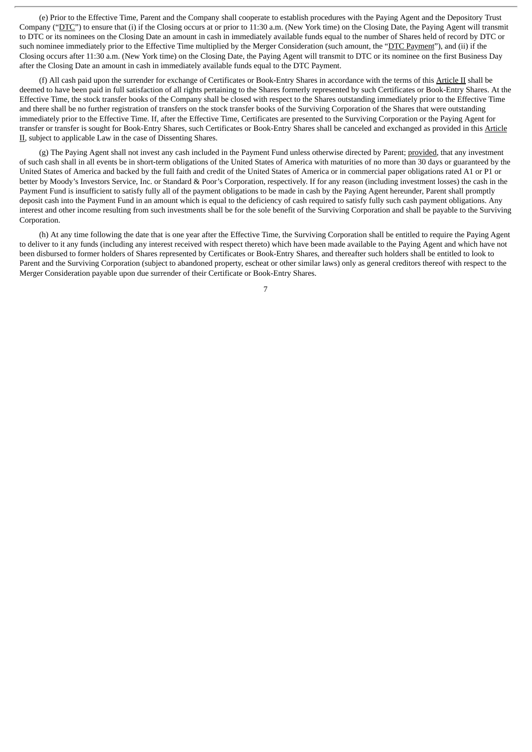(e) Prior to the Effective Time, Parent and the Company shall cooperate to establish procedures with the Paying Agent and the Depository Trust Company ("DTC") to ensure that (i) if the Closing occurs at or prior to 11:30 a.m. (New York time) on the Closing Date, the Paying Agent will transmit to DTC or its nominees on the Closing Date an amount in cash in immediately available funds equal to the number of Shares held of record by DTC or such nominee immediately prior to the Effective Time multiplied by the Merger Consideration (such amount, the "DTC Payment"), and (ii) if the Closing occurs after 11:30 a.m. (New York time) on the Closing Date, the Paying Agent will transmit to DTC or its nominee on the first Business Day after the Closing Date an amount in cash in immediately available funds equal to the DTC Payment.

(f) All cash paid upon the surrender for exchange of Certificates or Book-Entry Shares in accordance with the terms of this Article II shall be deemed to have been paid in full satisfaction of all rights pertaining to the Shares formerly represented by such Certificates or Book-Entry Shares. At the Effective Time, the stock transfer books of the Company shall be closed with respect to the Shares outstanding immediately prior to the Effective Time and there shall be no further registration of transfers on the stock transfer books of the Surviving Corporation of the Shares that were outstanding immediately prior to the Effective Time. If, after the Effective Time, Certificates are presented to the Surviving Corporation or the Paying Agent for transfer or transfer is sought for Book-Entry Shares, such Certificates or Book-Entry Shares shall be canceled and exchanged as provided in this Article II, subject to applicable Law in the case of Dissenting Shares.

(g) The Paying Agent shall not invest any cash included in the Payment Fund unless otherwise directed by Parent; provided, that any investment of such cash shall in all events be in short-term obligations of the United States of America with maturities of no more than 30 days or guaranteed by the United States of America and backed by the full faith and credit of the United States of America or in commercial paper obligations rated A1 or P1 or better by Moody's Investors Service, Inc. or Standard & Poor's Corporation, respectively. If for any reason (including investment losses) the cash in the Payment Fund is insufficient to satisfy fully all of the payment obligations to be made in cash by the Paying Agent hereunder, Parent shall promptly deposit cash into the Payment Fund in an amount which is equal to the deficiency of cash required to satisfy fully such cash payment obligations. Any interest and other income resulting from such investments shall be for the sole benefit of the Surviving Corporation and shall be payable to the Surviving Corporation.

(h) At any time following the date that is one year after the Effective Time, the Surviving Corporation shall be entitled to require the Paying Agent to deliver to it any funds (including any interest received with respect thereto) which have been made available to the Paying Agent and which have not been disbursed to former holders of Shares represented by Certificates or Book-Entry Shares, and thereafter such holders shall be entitled to look to Parent and the Surviving Corporation (subject to abandoned property, escheat or other similar laws) only as general creditors thereof with respect to the Merger Consideration payable upon due surrender of their Certificate or Book-Entry Shares.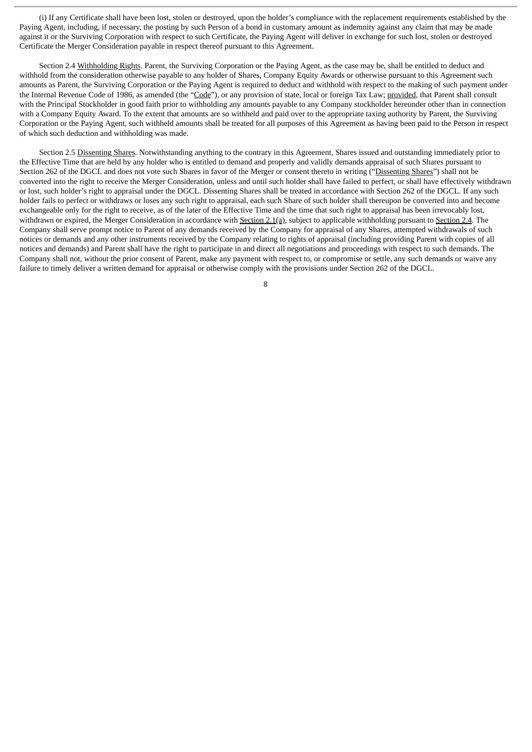(i) If any Certificate shall have been lost, stolen or destroyed, upon the holder's compliance with the replacement requirements established by the Paying Agent, including, if necessary, the posting by such Person of a bond in customary amount as indemnity against any claim that may be made against it or the Surviving Corporation with respect to such Certificate, the Paying Agent will deliver in exchange for such lost, stolen or destroyed Certificate the Merger Consideration payable in respect thereof pursuant to this Agreement.

Section 2.4 Withholding Rights. Parent, the Surviving Corporation or the Paying Agent, as the case may be, shall be entitled to deduct and withhold from the consideration otherwise payable to any holder of Shares, Company Equity Awards or otherwise pursuant to this Agreement such amounts as Parent, the Surviving Corporation or the Paying Agent is required to deduct and withhold with respect to the making of such payment under the Internal Revenue Code of 1986, as amended (the "Code"), or any provision of state, local or foreign Tax Law; provided, that Parent shall consult with the Principal Stockholder in good faith prior to withholding any amounts payable to any Company stockholder hereunder other than in connection with a Company Equity Award. To the extent that amounts are so withheld and paid over to the appropriate taxing authority by Parent, the Surviving Corporation or the Paying Agent, such withheld amounts shall be treated for all purposes of this Agreement as having been paid to the Person in respect of which such deduction and withholding was made.

Section 2.5 Dissenting Shares. Notwithstanding anything to the contrary in this Agreement, Shares issued and outstanding immediately prior to the Effective Time that are held by any holder who is entitled to demand and properly and validly demands appraisal of such Shares pursuant to Section 262 of the DGCL and does not vote such Shares in favor of the Merger or consent thereto in writing ("Dissenting Shares") shall not be converted into the right to receive the Merger Consideration, unless and until such holder shall have failed to perfect, or shall have effectively withdrawn or lost, such holder's right to appraisal under the DGCL. Dissenting Shares shall be treated in accordance with Section 262 of the DGCL. If any such holder fails to perfect or withdraws or loses any such right to appraisal, each such Share of such holder shall thereupon be converted into and become exchangeable only for the right to receive, as of the later of the Effective Time and the time that such right to appraisal has been irrevocably lost, withdrawn or expired, the Merger Consideration in accordance with Section 2.1(a), subject to applicable withholding pursuant to Section 2.4. The Company shall serve prompt notice to Parent of any demands received by the Company for appraisal of any Shares, attempted withdrawals of such notices or demands and any other instruments received by the Company relating to rights of appraisal (including providing Parent with copies of all notices and demands) and Parent shall have the right to participate in and direct all negotiations and proceedings with respect to such demands. The Company shall not, without the prior consent of Parent, make any payment with respect to, or compromise or settle, any such demands or waive any failure to timely deliver a written demand for appraisal or otherwise comply with the provisions under Section 262 of the DGCL.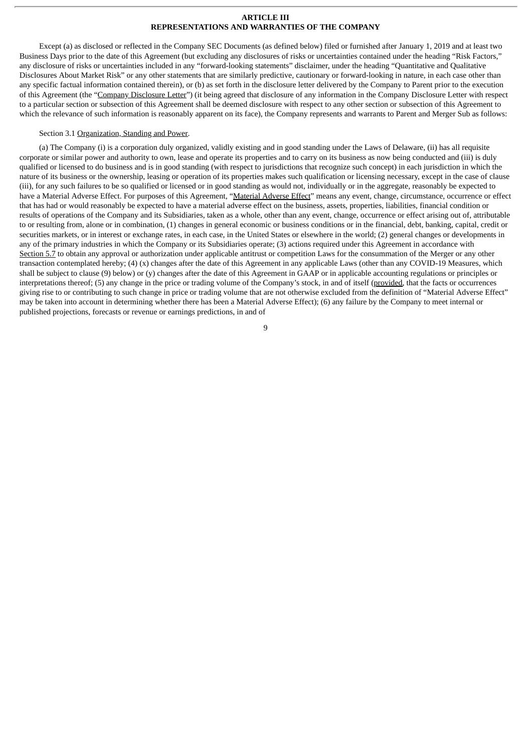#### **ARTICLE III REPRESENTATIONS AND WARRANTIES OF THE COMPANY**

Except (a) as disclosed or reflected in the Company SEC Documents (as defined below) filed or furnished after January 1, 2019 and at least two Business Days prior to the date of this Agreement (but excluding any disclosures of risks or uncertainties contained under the heading "Risk Factors," any disclosure of risks or uncertainties included in any "forward-looking statements" disclaimer, under the heading "Quantitative and Qualitative Disclosures About Market Risk" or any other statements that are similarly predictive, cautionary or forward-looking in nature, in each case other than any specific factual information contained therein), or (b) as set forth in the disclosure letter delivered by the Company to Parent prior to the execution of this Agreement (the "Company Disclosure Letter") (it being agreed that disclosure of any information in the Company Disclosure Letter with respect to a particular section or subsection of this Agreement shall be deemed disclosure with respect to any other section or subsection of this Agreement to which the relevance of such information is reasonably apparent on its face), the Company represents and warrants to Parent and Merger Sub as follows:

#### Section 3.1 Organization, Standing and Power.

(a) The Company (i) is a corporation duly organized, validly existing and in good standing under the Laws of Delaware, (ii) has all requisite corporate or similar power and authority to own, lease and operate its properties and to carry on its business as now being conducted and (iii) is duly qualified or licensed to do business and is in good standing (with respect to jurisdictions that recognize such concept) in each jurisdiction in which the nature of its business or the ownership, leasing or operation of its properties makes such qualification or licensing necessary, except in the case of clause (iii), for any such failures to be so qualified or licensed or in good standing as would not, individually or in the aggregate, reasonably be expected to have a Material Adverse Effect. For purposes of this Agreement, "Material Adverse Effect" means any event, change, circumstance, occurrence or effect that has had or would reasonably be expected to have a material adverse effect on the business, assets, properties, liabilities, financial condition or results of operations of the Company and its Subsidiaries, taken as a whole, other than any event, change, occurrence or effect arising out of, attributable to or resulting from, alone or in combination, (1) changes in general economic or business conditions or in the financial, debt, banking, capital, credit or securities markets, or in interest or exchange rates, in each case, in the United States or elsewhere in the world; (2) general changes or developments in any of the primary industries in which the Company or its Subsidiaries operate; (3) actions required under this Agreement in accordance with Section 5.7 to obtain any approval or authorization under applicable antitrust or competition Laws for the consummation of the Merger or any other transaction contemplated hereby; (4) (x) changes after the date of this Agreement in any applicable Laws (other than any COVID-19 Measures, which shall be subject to clause (9) below) or (y) changes after the date of this Agreement in GAAP or in applicable accounting regulations or principles or interpretations thereof; (5) any change in the price or trading volume of the Company's stock, in and of itself (provided, that the facts or occurrences giving rise to or contributing to such change in price or trading volume that are not otherwise excluded from the definition of "Material Adverse Effect" may be taken into account in determining whether there has been a Material Adverse Effect); (6) any failure by the Company to meet internal or published projections, forecasts or revenue or earnings predictions, in and of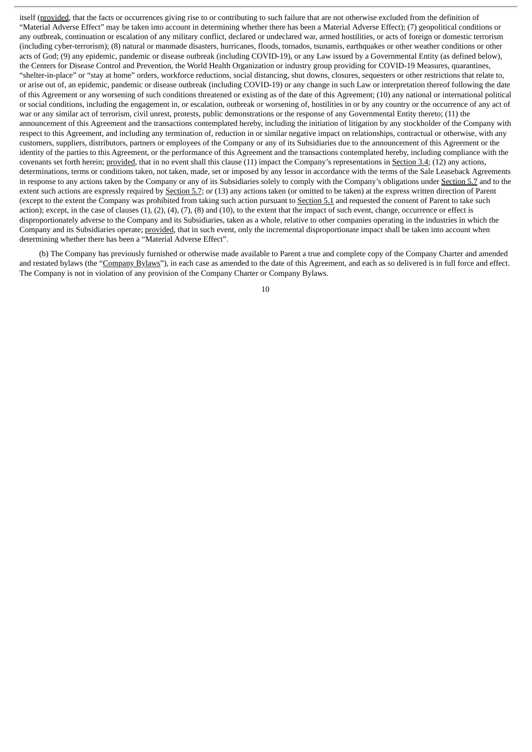itself (provided, that the facts or occurrences giving rise to or contributing to such failure that are not otherwise excluded from the definition of "Material Adverse Effect" may be taken into account in determining whether there has been a Material Adverse Effect); (7) geopolitical conditions or any outbreak, continuation or escalation of any military conflict, declared or undeclared war, armed hostilities, or acts of foreign or domestic terrorism (including cyber-terrorism); (8) natural or manmade disasters, hurricanes, floods, tornados, tsunamis, earthquakes or other weather conditions or other acts of God; (9) any epidemic, pandemic or disease outbreak (including COVID-19), or any Law issued by a Governmental Entity (as defined below), the Centers for Disease Control and Prevention, the World Health Organization or industry group providing for COVID-19 Measures, quarantines, "shelter-in-place" or "stay at home" orders, workforce reductions, social distancing, shut downs, closures, sequesters or other restrictions that relate to, or arise out of, an epidemic, pandemic or disease outbreak (including COVID-19) or any change in such Law or interpretation thereof following the date of this Agreement or any worsening of such conditions threatened or existing as of the date of this Agreement; (10) any national or international political or social conditions, including the engagement in, or escalation, outbreak or worsening of, hostilities in or by any country or the occurrence of any act of war or any similar act of terrorism, civil unrest, protests, public demonstrations or the response of any Governmental Entity thereto; (11) the announcement of this Agreement and the transactions contemplated hereby, including the initiation of litigation by any stockholder of the Company with respect to this Agreement, and including any termination of, reduction in or similar negative impact on relationships, contractual or otherwise, with any customers, suppliers, distributors, partners or employees of the Company or any of its Subsidiaries due to the announcement of this Agreement or the identity of the parties to this Agreement, or the performance of this Agreement and the transactions contemplated hereby, including compliance with the covenants set forth herein; provided, that in no event shall this clause (11) impact the Company's representations in Section 3.4; (12) any actions, determinations, terms or conditions taken, not taken, made, set or imposed by any lessor in accordance with the terms of the Sale Leaseback Agreements in response to any actions taken by the Company or any of its Subsidiaries solely to comply with the Company's obligations under Section 5.7 and to the extent such actions are expressly required by Section 5.7; or (13) any actions taken (or omitted to be taken) at the express written direction of Parent (except to the extent the Company was prohibited from taking such action pursuant to Section 5.1 and requested the consent of Parent to take such action); except, in the case of clauses  $(1)$ ,  $(2)$ ,  $(4)$ ,  $(7)$ ,  $(8)$  and  $(10)$ , to the extent that the impact of such event, change, occurrence or effect is disproportionately adverse to the Company and its Subsidiaries, taken as a whole, relative to other companies operating in the industries in which the Company and its Subsidiaries operate; provided, that in such event, only the incremental disproportionate impact shall be taken into account when determining whether there has been a "Material Adverse Effect".

(b) The Company has previously furnished or otherwise made available to Parent a true and complete copy of the Company Charter and amended and restated bylaws (the "Company Bylaws"), in each case as amended to the date of this Agreement, and each as so delivered is in full force and effect. The Company is not in violation of any provision of the Company Charter or Company Bylaws.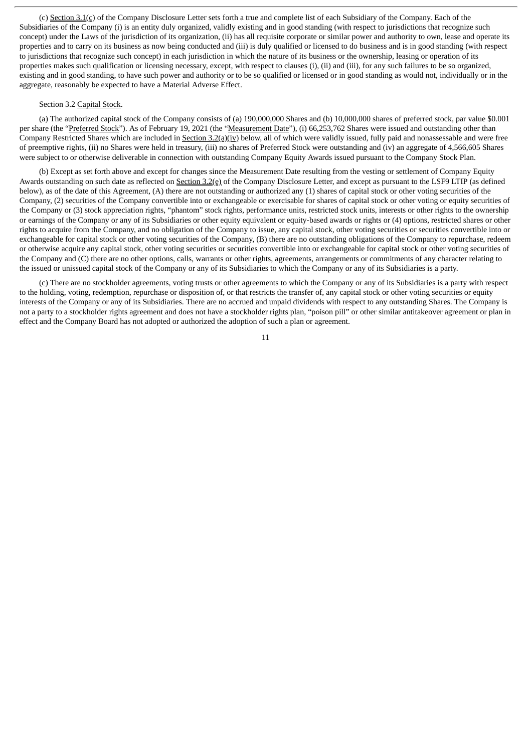(c) Section 3.1(c) of the Company Disclosure Letter sets forth a true and complete list of each Subsidiary of the Company. Each of the Subsidiaries of the Company (i) is an entity duly organized, validly existing and in good standing (with respect to jurisdictions that recognize such concept) under the Laws of the jurisdiction of its organization, (ii) has all requisite corporate or similar power and authority to own, lease and operate its properties and to carry on its business as now being conducted and (iii) is duly qualified or licensed to do business and is in good standing (with respect to jurisdictions that recognize such concept) in each jurisdiction in which the nature of its business or the ownership, leasing or operation of its properties makes such qualification or licensing necessary, except, with respect to clauses (i), (ii) and (iii), for any such failures to be so organized, existing and in good standing, to have such power and authority or to be so qualified or licensed or in good standing as would not, individually or in the aggregate, reasonably be expected to have a Material Adverse Effect.

#### Section 3.2 Capital Stock.

(a) The authorized capital stock of the Company consists of (a) 190,000,000 Shares and (b) 10,000,000 shares of preferred stock, par value \$0.001 per share (the "Preferred Stock"). As of February 19, 2021 (the "Measurement Date"), (i) 66,253,762 Shares were issued and outstanding other than Company Restricted Shares which are included in Section  $3.2(a)(iv)$  below, all of which were validly issued, fully paid and nonassessable and were free of preemptive rights, (ii) no Shares were held in treasury, (iii) no shares of Preferred Stock were outstanding and (iv) an aggregate of 4,566,605 Shares were subject to or otherwise deliverable in connection with outstanding Company Equity Awards issued pursuant to the Company Stock Plan.

(b) Except as set forth above and except for changes since the Measurement Date resulting from the vesting or settlement of Company Equity Awards outstanding on such date as reflected on Section 3.2(e) of the Company Disclosure Letter, and except as pursuant to the LSF9 LTIP (as defined below), as of the date of this Agreement, (A) there are not outstanding or authorized any (1) shares of capital stock or other voting securities of the Company, (2) securities of the Company convertible into or exchangeable or exercisable for shares of capital stock or other voting or equity securities of the Company or (3) stock appreciation rights, "phantom" stock rights, performance units, restricted stock units, interests or other rights to the ownership or earnings of the Company or any of its Subsidiaries or other equity equivalent or equity-based awards or rights or (4) options, restricted shares or other rights to acquire from the Company, and no obligation of the Company to issue, any capital stock, other voting securities or securities convertible into or exchangeable for capital stock or other voting securities of the Company, (B) there are no outstanding obligations of the Company to repurchase, redeem or otherwise acquire any capital stock, other voting securities or securities convertible into or exchangeable for capital stock or other voting securities of the Company and (C) there are no other options, calls, warrants or other rights, agreements, arrangements or commitments of any character relating to the issued or unissued capital stock of the Company or any of its Subsidiaries to which the Company or any of its Subsidiaries is a party.

(c) There are no stockholder agreements, voting trusts or other agreements to which the Company or any of its Subsidiaries is a party with respect to the holding, voting, redemption, repurchase or disposition of, or that restricts the transfer of, any capital stock or other voting securities or equity interests of the Company or any of its Subsidiaries. There are no accrued and unpaid dividends with respect to any outstanding Shares. The Company is not a party to a stockholder rights agreement and does not have a stockholder rights plan, "poison pill" or other similar antitakeover agreement or plan in effect and the Company Board has not adopted or authorized the adoption of such a plan or agreement.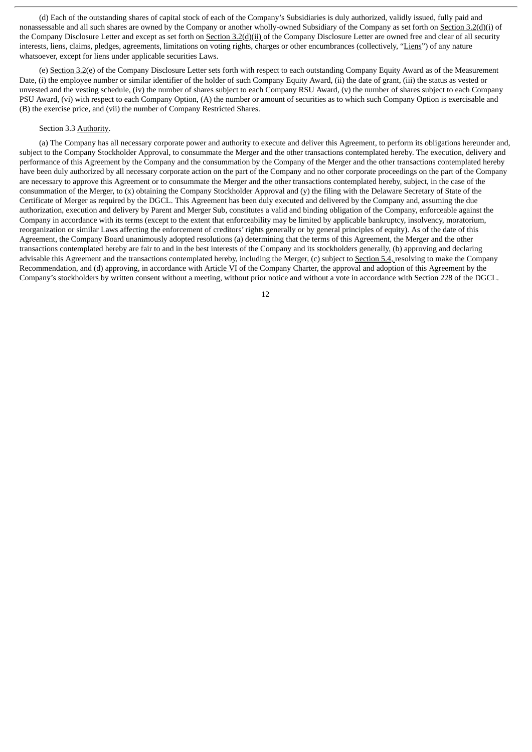(d) Each of the outstanding shares of capital stock of each of the Company's Subsidiaries is duly authorized, validly issued, fully paid and nonassessable and all such shares are owned by the Company or another wholly-owned Subsidiary of the Company as set forth on Section 3.2(d)(i) of the Company Disclosure Letter and except as set forth on Section 3.2(d)(ii) of the Company Disclosure Letter are owned free and clear of all security interests, liens, claims, pledges, agreements, limitations on voting rights, charges or other encumbrances (collectively, "Liens") of any nature whatsoever, except for liens under applicable securities Laws.

(e) Section 3.2(e) of the Company Disclosure Letter sets forth with respect to each outstanding Company Equity Award as of the Measurement Date, (i) the employee number or similar identifier of the holder of such Company Equity Award, (ii) the date of grant, (iii) the status as vested or unvested and the vesting schedule, (iv) the number of shares subject to each Company RSU Award, (v) the number of shares subject to each Company PSU Award, (vi) with respect to each Company Option, (A) the number or amount of securities as to which such Company Option is exercisable and (B) the exercise price, and (vii) the number of Company Restricted Shares.

#### Section 3.3 Authority.

(a) The Company has all necessary corporate power and authority to execute and deliver this Agreement, to perform its obligations hereunder and, subject to the Company Stockholder Approval, to consummate the Merger and the other transactions contemplated hereby. The execution, delivery and performance of this Agreement by the Company and the consummation by the Company of the Merger and the other transactions contemplated hereby have been duly authorized by all necessary corporate action on the part of the Company and no other corporate proceedings on the part of the Company are necessary to approve this Agreement or to consummate the Merger and the other transactions contemplated hereby, subject, in the case of the consummation of the Merger, to (x) obtaining the Company Stockholder Approval and (y) the filing with the Delaware Secretary of State of the Certificate of Merger as required by the DGCL. This Agreement has been duly executed and delivered by the Company and, assuming the due authorization, execution and delivery by Parent and Merger Sub, constitutes a valid and binding obligation of the Company, enforceable against the Company in accordance with its terms (except to the extent that enforceability may be limited by applicable bankruptcy, insolvency, moratorium, reorganization or similar Laws affecting the enforcement of creditors' rights generally or by general principles of equity). As of the date of this Agreement, the Company Board unanimously adopted resolutions (a) determining that the terms of this Agreement, the Merger and the other transactions contemplated hereby are fair to and in the best interests of the Company and its stockholders generally, (b) approving and declaring advisable this Agreement and the transactions contemplated hereby, including the Merger, (c) subject to Section 5.4, resolving to make the Company Recommendation, and (d) approving, in accordance with Article VI of the Company Charter, the approval and adoption of this Agreement by the Company's stockholders by written consent without a meeting, without prior notice and without a vote in accordance with Section 228 of the DGCL.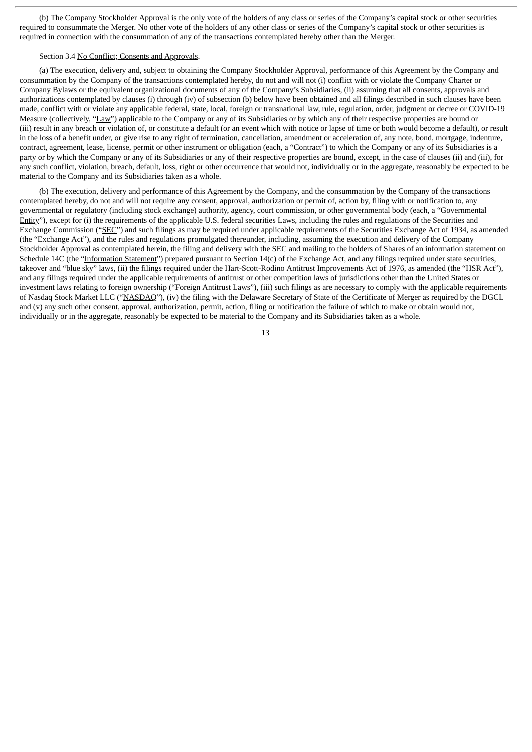(b) The Company Stockholder Approval is the only vote of the holders of any class or series of the Company's capital stock or other securities required to consummate the Merger. No other vote of the holders of any other class or series of the Company's capital stock or other securities is required in connection with the consummation of any of the transactions contemplated hereby other than the Merger.

#### Section 3.4 No Conflict; Consents and Approvals.

(a) The execution, delivery and, subject to obtaining the Company Stockholder Approval, performance of this Agreement by the Company and consummation by the Company of the transactions contemplated hereby, do not and will not (i) conflict with or violate the Company Charter or Company Bylaws or the equivalent organizational documents of any of the Company's Subsidiaries, (ii) assuming that all consents, approvals and authorizations contemplated by clauses (i) through (iv) of subsection (b) below have been obtained and all filings described in such clauses have been made, conflict with or violate any applicable federal, state, local, foreign or transnational law, rule, regulation, order, judgment or decree or COVID-19 Measure (collectively, "Law") applicable to the Company or any of its Subsidiaries or by which any of their respective properties are bound or (iii) result in any breach or violation of, or constitute a default (or an event which with notice or lapse of time or both would become a default), or result in the loss of a benefit under, or give rise to any right of termination, cancellation, amendment or acceleration of, any note, bond, mortgage, indenture, contract, agreement, lease, license, permit or other instrument or obligation (each, a "Contract") to which the Company or any of its Subsidiaries is a party or by which the Company or any of its Subsidiaries or any of their respective properties are bound, except, in the case of clauses (ii) and (iii), for any such conflict, violation, breach, default, loss, right or other occurrence that would not, individually or in the aggregate, reasonably be expected to be material to the Company and its Subsidiaries taken as a whole.

(b) The execution, delivery and performance of this Agreement by the Company, and the consummation by the Company of the transactions contemplated hereby, do not and will not require any consent, approval, authorization or permit of, action by, filing with or notification to, any governmental or regulatory (including stock exchange) authority, agency, court commission, or other governmental body (each, a "Governmental Entity"), except for (i) the requirements of the applicable U.S. federal securities Laws, including the rules and regulations of the Securities and Exchange Commission ("SEC") and such filings as may be required under applicable requirements of the Securities Exchange Act of 1934, as amended (the "Exchange Act"), and the rules and regulations promulgated thereunder, including, assuming the execution and delivery of the Company Stockholder Approval as contemplated herein, the filing and delivery with the SEC and mailing to the holders of Shares of an information statement on Schedule 14C (the "Information Statement") prepared pursuant to Section 14(c) of the Exchange Act, and any filings required under state securities, takeover and "blue sky" laws, (ii) the filings required under the Hart-Scott-Rodino Antitrust Improvements Act of 1976, as amended (the "HSR Act"), and any filings required under the applicable requirements of antitrust or other competition laws of jurisdictions other than the United States or investment laws relating to foreign ownership ("Foreign Antitrust Laws"), (iii) such filings as are necessary to comply with the applicable requirements of Nasdaq Stock Market LLC ("NASDAQ"), (iv) the filing with the Delaware Secretary of State of the Certificate of Merger as required by the DGCL and (v) any such other consent, approval, authorization, permit, action, filing or notification the failure of which to make or obtain would not, individually or in the aggregate, reasonably be expected to be material to the Company and its Subsidiaries taken as a whole.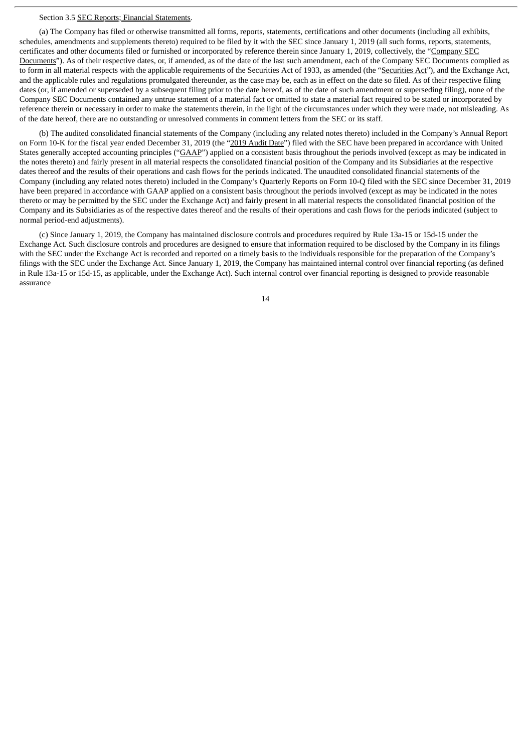#### Section 3.5 SEC Reports; Financial Statements.

(a) The Company has filed or otherwise transmitted all forms, reports, statements, certifications and other documents (including all exhibits, schedules, amendments and supplements thereto) required to be filed by it with the SEC since January 1, 2019 (all such forms, reports, statements, certificates and other documents filed or furnished or incorporated by reference therein since January 1, 2019, collectively, the "Company SEC Documents"). As of their respective dates, or, if amended, as of the date of the last such amendment, each of the Company SEC Documents complied as to form in all material respects with the applicable requirements of the Securities Act of 1933, as amended (the "Securities Act"), and the Exchange Act, and the applicable rules and regulations promulgated thereunder, as the case may be, each as in effect on the date so filed. As of their respective filing dates (or, if amended or superseded by a subsequent filing prior to the date hereof, as of the date of such amendment or superseding filing), none of the Company SEC Documents contained any untrue statement of a material fact or omitted to state a material fact required to be stated or incorporated by reference therein or necessary in order to make the statements therein, in the light of the circumstances under which they were made, not misleading. As of the date hereof, there are no outstanding or unresolved comments in comment letters from the SEC or its staff.

(b) The audited consolidated financial statements of the Company (including any related notes thereto) included in the Company's Annual Report on Form 10-K for the fiscal year ended December 31, 2019 (the "2019 Audit Date") filed with the SEC have been prepared in accordance with United States generally accepted accounting principles ("GAAP") applied on a consistent basis throughout the periods involved (except as may be indicated in the notes thereto) and fairly present in all material respects the consolidated financial position of the Company and its Subsidiaries at the respective dates thereof and the results of their operations and cash flows for the periods indicated. The unaudited consolidated financial statements of the Company (including any related notes thereto) included in the Company's Quarterly Reports on Form 10-Q filed with the SEC since December 31, 2019 have been prepared in accordance with GAAP applied on a consistent basis throughout the periods involved (except as may be indicated in the notes thereto or may be permitted by the SEC under the Exchange Act) and fairly present in all material respects the consolidated financial position of the Company and its Subsidiaries as of the respective dates thereof and the results of their operations and cash flows for the periods indicated (subject to normal period-end adjustments).

(c) Since January 1, 2019, the Company has maintained disclosure controls and procedures required by Rule 13a-15 or 15d-15 under the Exchange Act. Such disclosure controls and procedures are designed to ensure that information required to be disclosed by the Company in its filings with the SEC under the Exchange Act is recorded and reported on a timely basis to the individuals responsible for the preparation of the Company's filings with the SEC under the Exchange Act. Since January 1, 2019, the Company has maintained internal control over financial reporting (as defined in Rule 13a-15 or 15d-15, as applicable, under the Exchange Act). Such internal control over financial reporting is designed to provide reasonable assurance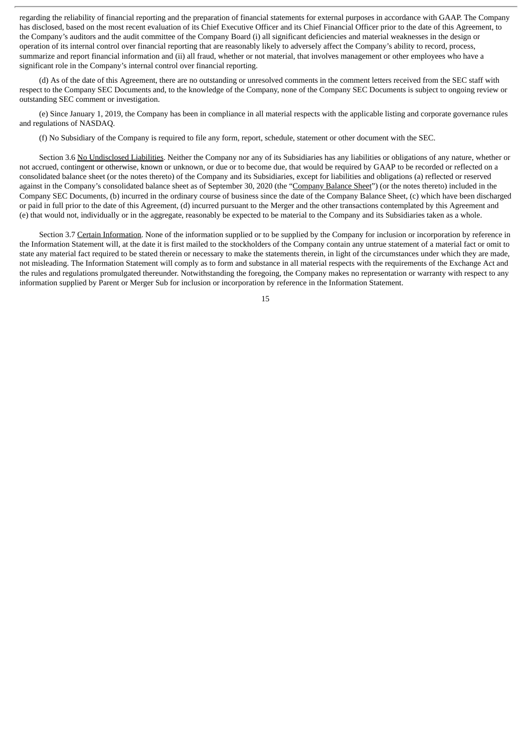regarding the reliability of financial reporting and the preparation of financial statements for external purposes in accordance with GAAP. The Company has disclosed, based on the most recent evaluation of its Chief Executive Officer and its Chief Financial Officer prior to the date of this Agreement, to the Company's auditors and the audit committee of the Company Board (i) all significant deficiencies and material weaknesses in the design or operation of its internal control over financial reporting that are reasonably likely to adversely affect the Company's ability to record, process, summarize and report financial information and (ii) all fraud, whether or not material, that involves management or other employees who have a significant role in the Company's internal control over financial reporting.

(d) As of the date of this Agreement, there are no outstanding or unresolved comments in the comment letters received from the SEC staff with respect to the Company SEC Documents and, to the knowledge of the Company, none of the Company SEC Documents is subject to ongoing review or outstanding SEC comment or investigation.

(e) Since January 1, 2019, the Company has been in compliance in all material respects with the applicable listing and corporate governance rules and regulations of NASDAQ.

(f) No Subsidiary of the Company is required to file any form, report, schedule, statement or other document with the SEC.

Section 3.6 No Undisclosed Liabilities. Neither the Company nor any of its Subsidiaries has any liabilities or obligations of any nature, whether or not accrued, contingent or otherwise, known or unknown, or due or to become due, that would be required by GAAP to be recorded or reflected on a consolidated balance sheet (or the notes thereto) of the Company and its Subsidiaries, except for liabilities and obligations (a) reflected or reserved against in the Company's consolidated balance sheet as of September 30, 2020 (the "Company Balance Sheet") (or the notes thereto) included in the Company SEC Documents, (b) incurred in the ordinary course of business since the date of the Company Balance Sheet, (c) which have been discharged or paid in full prior to the date of this Agreement, (d) incurred pursuant to the Merger and the other transactions contemplated by this Agreement and (e) that would not, individually or in the aggregate, reasonably be expected to be material to the Company and its Subsidiaries taken as a whole.

Section 3.7 Certain Information. None of the information supplied or to be supplied by the Company for inclusion or incorporation by reference in the Information Statement will, at the date it is first mailed to the stockholders of the Company contain any untrue statement of a material fact or omit to state any material fact required to be stated therein or necessary to make the statements therein, in light of the circumstances under which they are made, not misleading. The Information Statement will comply as to form and substance in all material respects with the requirements of the Exchange Act and the rules and regulations promulgated thereunder. Notwithstanding the foregoing, the Company makes no representation or warranty with respect to any information supplied by Parent or Merger Sub for inclusion or incorporation by reference in the Information Statement.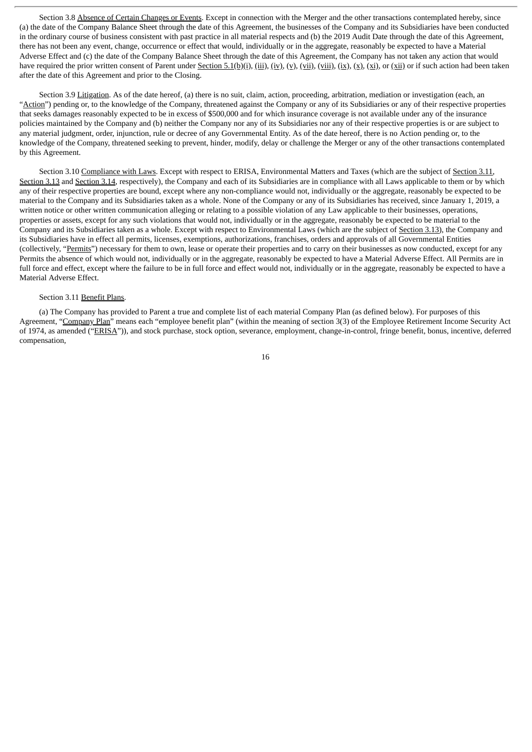Section 3.8 Absence of Certain Changes or Events. Except in connection with the Merger and the other transactions contemplated hereby, since (a) the date of the Company Balance Sheet through the date of this Agreement, the businesses of the Company and its Subsidiaries have been conducted in the ordinary course of business consistent with past practice in all material respects and (b) the 2019 Audit Date through the date of this Agreement, there has not been any event, change, occurrence or effect that would, individually or in the aggregate, reasonably be expected to have a Material Adverse Effect and (c) the date of the Company Balance Sheet through the date of this Agreement, the Company has not taken any action that would have required the prior written consent of Parent under Section 5.1(b)(i), (iii), (iv), (v), (vii), (viii), (ix), (x), (x), (xi), or (xii) or if such action had been taken after the date of this Agreement and prior to the Closing.

Section 3.9 Litigation. As of the date hereof, (a) there is no suit, claim, action, proceeding, arbitration, mediation or investigation (each, an "Action") pending or, to the knowledge of the Company, threatened against the Company or any of its Subsidiaries or any of their respective properties that seeks damages reasonably expected to be in excess of \$500,000 and for which insurance coverage is not available under any of the insurance policies maintained by the Company and (b) neither the Company nor any of its Subsidiaries nor any of their respective properties is or are subject to any material judgment, order, injunction, rule or decree of any Governmental Entity. As of the date hereof, there is no Action pending or, to the knowledge of the Company, threatened seeking to prevent, hinder, modify, delay or challenge the Merger or any of the other transactions contemplated by this Agreement.

Section 3.10 Compliance with Laws. Except with respect to ERISA, Environmental Matters and Taxes (which are the subject of Section 3.11, Section 3.13 and Section 3.14, respectively), the Company and each of its Subsidiaries are in compliance with all Laws applicable to them or by which any of their respective properties are bound, except where any non-compliance would not, individually or the aggregate, reasonably be expected to be material to the Company and its Subsidiaries taken as a whole. None of the Company or any of its Subsidiaries has received, since January 1, 2019, a written notice or other written communication alleging or relating to a possible violation of any Law applicable to their businesses, operations, properties or assets, except for any such violations that would not, individually or in the aggregate, reasonably be expected to be material to the Company and its Subsidiaries taken as a whole. Except with respect to Environmental Laws (which are the subject of Section 3.13), the Company and its Subsidiaries have in effect all permits, licenses, exemptions, authorizations, franchises, orders and approvals of all Governmental Entities (collectively, "Permits") necessary for them to own, lease or operate their properties and to carry on their businesses as now conducted, except for any Permits the absence of which would not, individually or in the aggregate, reasonably be expected to have a Material Adverse Effect. All Permits are in full force and effect, except where the failure to be in full force and effect would not, individually or in the aggregate, reasonably be expected to have a Material Adverse Effect.

#### Section 3.11 Benefit Plans.

(a) The Company has provided to Parent a true and complete list of each material Company Plan (as defined below). For purposes of this Agreement, "Company Plan" means each "employee benefit plan" (within the meaning of section 3(3) of the Employee Retirement Income Security Act of 1974, as amended ("ERISA")), and stock purchase, stock option, severance, employment, change-in-control, fringe benefit, bonus, incentive, deferred compensation,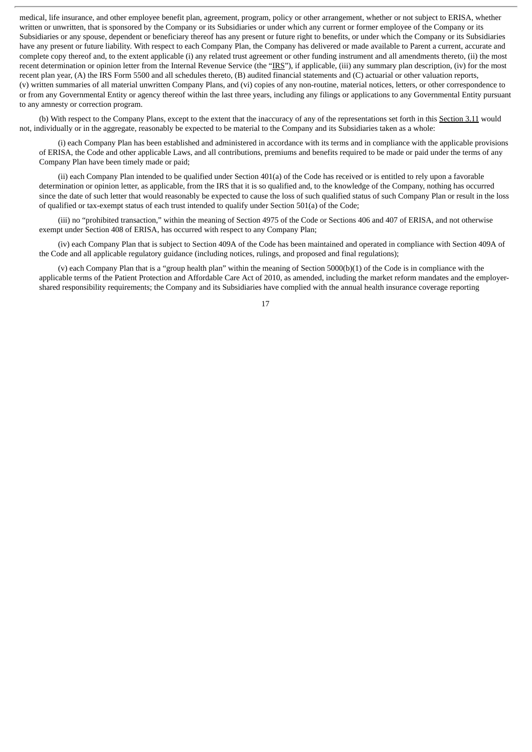medical, life insurance, and other employee benefit plan, agreement, program, policy or other arrangement, whether or not subject to ERISA, whether written or unwritten, that is sponsored by the Company or its Subsidiaries or under which any current or former employee of the Company or its Subsidiaries or any spouse, dependent or beneficiary thereof has any present or future right to benefits, or under which the Company or its Subsidiaries have any present or future liability. With respect to each Company Plan, the Company has delivered or made available to Parent a current, accurate and complete copy thereof and, to the extent applicable (i) any related trust agreement or other funding instrument and all amendments thereto, (ii) the most recent determination or opinion letter from the Internal Revenue Service (the "IRS"), if applicable, (iii) any summary plan description, (iv) for the most recent plan year, (A) the IRS Form 5500 and all schedules thereto, (B) audited financial statements and (C) actuarial or other valuation reports, (v) written summaries of all material unwritten Company Plans, and (vi) copies of any non-routine, material notices, letters, or other correspondence to or from any Governmental Entity or agency thereof within the last three years, including any filings or applications to any Governmental Entity pursuant to any amnesty or correction program.

(b) With respect to the Company Plans, except to the extent that the inaccuracy of any of the representations set forth in this Section 3.11 would not, individually or in the aggregate, reasonably be expected to be material to the Company and its Subsidiaries taken as a whole:

(i) each Company Plan has been established and administered in accordance with its terms and in compliance with the applicable provisions of ERISA, the Code and other applicable Laws, and all contributions, premiums and benefits required to be made or paid under the terms of any Company Plan have been timely made or paid;

(ii) each Company Plan intended to be qualified under Section 401(a) of the Code has received or is entitled to rely upon a favorable determination or opinion letter, as applicable, from the IRS that it is so qualified and, to the knowledge of the Company, nothing has occurred since the date of such letter that would reasonably be expected to cause the loss of such qualified status of such Company Plan or result in the loss of qualified or tax-exempt status of each trust intended to qualify under Section 501(a) of the Code;

(iii) no "prohibited transaction," within the meaning of Section 4975 of the Code or Sections 406 and 407 of ERISA, and not otherwise exempt under Section 408 of ERISA, has occurred with respect to any Company Plan;

(iv) each Company Plan that is subject to Section 409A of the Code has been maintained and operated in compliance with Section 409A of the Code and all applicable regulatory guidance (including notices, rulings, and proposed and final regulations);

(v) each Company Plan that is a "group health plan" within the meaning of Section 5000(b)(1) of the Code is in compliance with the applicable terms of the Patient Protection and Affordable Care Act of 2010, as amended, including the market reform mandates and the employershared responsibility requirements; the Company and its Subsidiaries have complied with the annual health insurance coverage reporting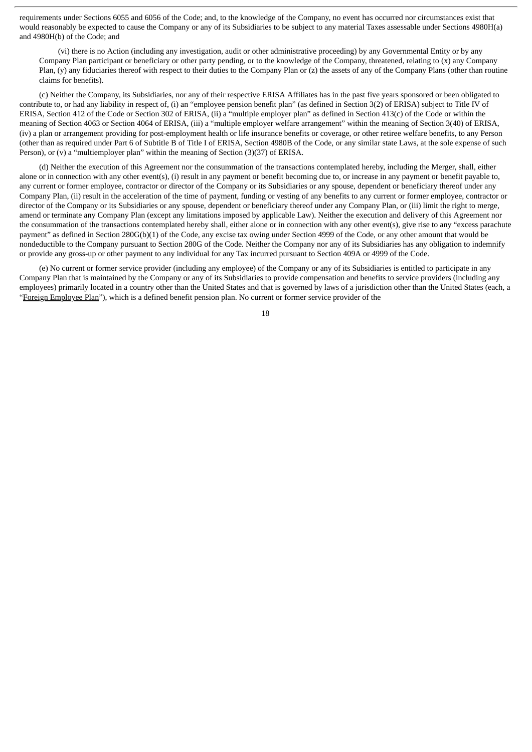requirements under Sections 6055 and 6056 of the Code; and, to the knowledge of the Company, no event has occurred nor circumstances exist that would reasonably be expected to cause the Company or any of its Subsidiaries to be subject to any material Taxes assessable under Sections 4980H(a) and 4980H(b) of the Code; and

(vi) there is no Action (including any investigation, audit or other administrative proceeding) by any Governmental Entity or by any Company Plan participant or beneficiary or other party pending, or to the knowledge of the Company, threatened, relating to (x) any Company Plan, (y) any fiduciaries thereof with respect to their duties to the Company Plan or (z) the assets of any of the Company Plans (other than routine claims for benefits).

(c) Neither the Company, its Subsidiaries, nor any of their respective ERISA Affiliates has in the past five years sponsored or been obligated to contribute to, or had any liability in respect of, (i) an "employee pension benefit plan" (as defined in Section 3(2) of ERISA) subject to Title IV of ERISA, Section 412 of the Code or Section 302 of ERISA, (ii) a "multiple employer plan" as defined in Section 413(c) of the Code or within the meaning of Section 4063 or Section 4064 of ERISA, (iii) a "multiple employer welfare arrangement" within the meaning of Section 3(40) of ERISA, (iv) a plan or arrangement providing for post-employment health or life insurance benefits or coverage, or other retiree welfare benefits, to any Person (other than as required under Part 6 of Subtitle B of Title I of ERISA, Section 4980B of the Code, or any similar state Laws, at the sole expense of such Person), or (v) a "multiemployer plan" within the meaning of Section (3)(37) of ERISA.

(d) Neither the execution of this Agreement nor the consummation of the transactions contemplated hereby, including the Merger, shall, either alone or in connection with any other event(s), (i) result in any payment or benefit becoming due to, or increase in any payment or benefit payable to, any current or former employee, contractor or director of the Company or its Subsidiaries or any spouse, dependent or beneficiary thereof under any Company Plan, (ii) result in the acceleration of the time of payment, funding or vesting of any benefits to any current or former employee, contractor or director of the Company or its Subsidiaries or any spouse, dependent or beneficiary thereof under any Company Plan, or (iii) limit the right to merge, amend or terminate any Company Plan (except any limitations imposed by applicable Law). Neither the execution and delivery of this Agreement nor the consummation of the transactions contemplated hereby shall, either alone or in connection with any other event(s), give rise to any "excess parachute payment" as defined in Section 280G(b)(1) of the Code, any excise tax owing under Section 4999 of the Code, or any other amount that would be nondeductible to the Company pursuant to Section 280G of the Code. Neither the Company nor any of its Subsidiaries has any obligation to indemnify or provide any gross-up or other payment to any individual for any Tax incurred pursuant to Section 409A or 4999 of the Code.

(e) No current or former service provider (including any employee) of the Company or any of its Subsidiaries is entitled to participate in any Company Plan that is maintained by the Company or any of its Subsidiaries to provide compensation and benefits to service providers (including any employees) primarily located in a country other than the United States and that is governed by laws of a jurisdiction other than the United States (each, a "Foreign Employee Plan"), which is a defined benefit pension plan. No current or former service provider of the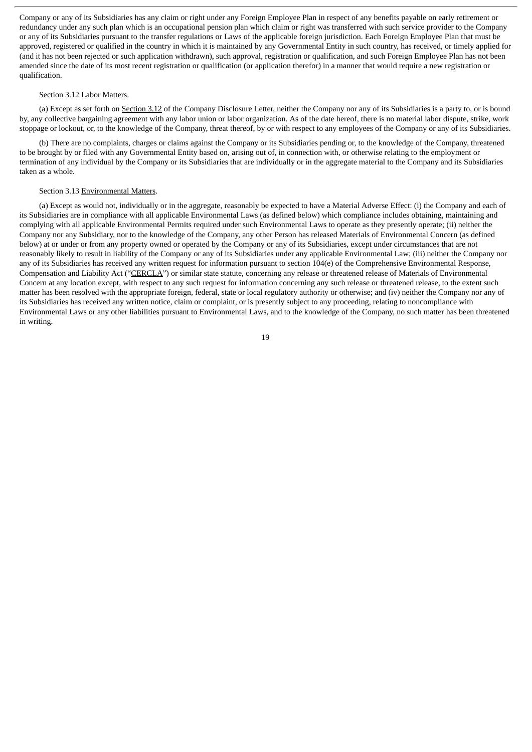Company or any of its Subsidiaries has any claim or right under any Foreign Employee Plan in respect of any benefits payable on early retirement or redundancy under any such plan which is an occupational pension plan which claim or right was transferred with such service provider to the Company or any of its Subsidiaries pursuant to the transfer regulations or Laws of the applicable foreign jurisdiction. Each Foreign Employee Plan that must be approved, registered or qualified in the country in which it is maintained by any Governmental Entity in such country, has received, or timely applied for (and it has not been rejected or such application withdrawn), such approval, registration or qualification, and such Foreign Employee Plan has not been amended since the date of its most recent registration or qualification (or application therefor) in a manner that would require a new registration or qualification.

#### Section 3.12 Labor Matters.

(a) Except as set forth on Section 3.12 of the Company Disclosure Letter, neither the Company nor any of its Subsidiaries is a party to, or is bound by, any collective bargaining agreement with any labor union or labor organization. As of the date hereof, there is no material labor dispute, strike, work stoppage or lockout, or, to the knowledge of the Company, threat thereof, by or with respect to any employees of the Company or any of its Subsidiaries.

(b) There are no complaints, charges or claims against the Company or its Subsidiaries pending or, to the knowledge of the Company, threatened to be brought by or filed with any Governmental Entity based on, arising out of, in connection with, or otherwise relating to the employment or termination of any individual by the Company or its Subsidiaries that are individually or in the aggregate material to the Company and its Subsidiaries taken as a whole.

#### Section 3.13 Environmental Matters.

(a) Except as would not, individually or in the aggregate, reasonably be expected to have a Material Adverse Effect: (i) the Company and each of its Subsidiaries are in compliance with all applicable Environmental Laws (as defined below) which compliance includes obtaining, maintaining and complying with all applicable Environmental Permits required under such Environmental Laws to operate as they presently operate; (ii) neither the Company nor any Subsidiary, nor to the knowledge of the Company, any other Person has released Materials of Environmental Concern (as defined below) at or under or from any property owned or operated by the Company or any of its Subsidiaries, except under circumstances that are not reasonably likely to result in liability of the Company or any of its Subsidiaries under any applicable Environmental Law; (iii) neither the Company nor any of its Subsidiaries has received any written request for information pursuant to section 104(e) of the Comprehensive Environmental Response, Compensation and Liability Act ("CERCLA") or similar state statute, concerning any release or threatened release of Materials of Environmental Concern at any location except, with respect to any such request for information concerning any such release or threatened release, to the extent such matter has been resolved with the appropriate foreign, federal, state or local regulatory authority or otherwise; and (iv) neither the Company nor any of its Subsidiaries has received any written notice, claim or complaint, or is presently subject to any proceeding, relating to noncompliance with Environmental Laws or any other liabilities pursuant to Environmental Laws, and to the knowledge of the Company, no such matter has been threatened in writing.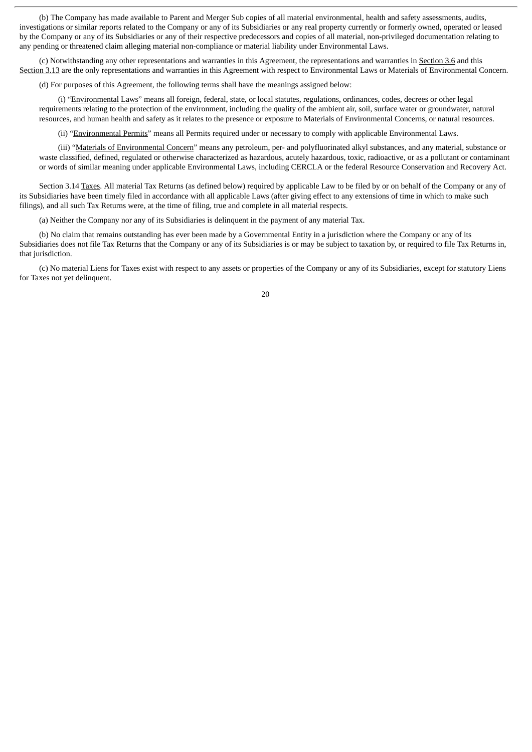(b) The Company has made available to Parent and Merger Sub copies of all material environmental, health and safety assessments, audits, investigations or similar reports related to the Company or any of its Subsidiaries or any real property currently or formerly owned, operated or leased by the Company or any of its Subsidiaries or any of their respective predecessors and copies of all material, non-privileged documentation relating to any pending or threatened claim alleging material non-compliance or material liability under Environmental Laws.

(c) Notwithstanding any other representations and warranties in this Agreement, the representations and warranties in Section 3.6 and this Section 3.13 are the only representations and warranties in this Agreement with respect to Environmental Laws or Materials of Environmental Concern.

(d) For purposes of this Agreement, the following terms shall have the meanings assigned below:

(i) "Environmental Laws" means all foreign, federal, state, or local statutes, regulations, ordinances, codes, decrees or other legal requirements relating to the protection of the environment, including the quality of the ambient air, soil, surface water or groundwater, natural resources, and human health and safety as it relates to the presence or exposure to Materials of Environmental Concerns, or natural resources.

(ii) "Environmental Permits" means all Permits required under or necessary to comply with applicable Environmental Laws.

(iii) "Materials of Environmental Concern" means any petroleum, per- and polyfluorinated alkyl substances, and any material, substance or waste classified, defined, regulated or otherwise characterized as hazardous, acutely hazardous, toxic, radioactive, or as a pollutant or contaminant or words of similar meaning under applicable Environmental Laws, including CERCLA or the federal Resource Conservation and Recovery Act.

Section 3.14 Taxes. All material Tax Returns (as defined below) required by applicable Law to be filed by or on behalf of the Company or any of its Subsidiaries have been timely filed in accordance with all applicable Laws (after giving effect to any extensions of time in which to make such filings), and all such Tax Returns were, at the time of filing, true and complete in all material respects.

(a) Neither the Company nor any of its Subsidiaries is delinquent in the payment of any material Tax.

(b) No claim that remains outstanding has ever been made by a Governmental Entity in a jurisdiction where the Company or any of its Subsidiaries does not file Tax Returns that the Company or any of its Subsidiaries is or may be subject to taxation by, or required to file Tax Returns in, that jurisdiction.

(c) No material Liens for Taxes exist with respect to any assets or properties of the Company or any of its Subsidiaries, except for statutory Liens for Taxes not yet delinquent.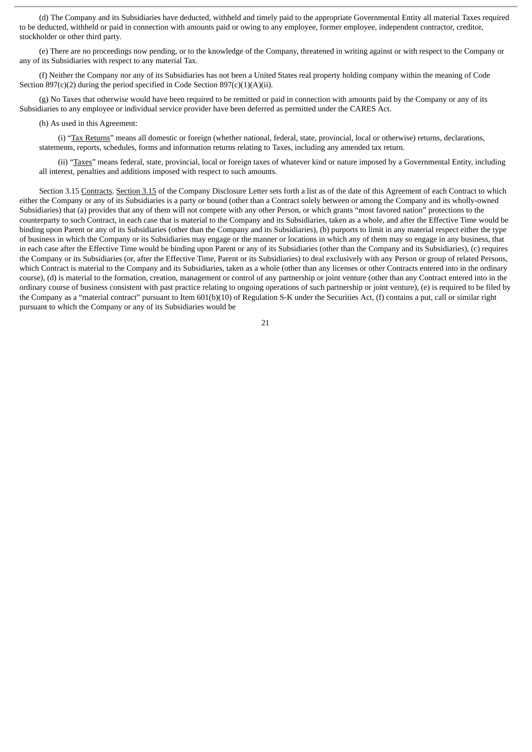(d) The Company and its Subsidiaries have deducted, withheld and timely paid to the appropriate Governmental Entity all material Taxes required to be deducted, withheld or paid in connection with amounts paid or owing to any employee, former employee, independent contractor, creditor, stockholder or other third party.

(e) There are no proceedings now pending, or to the knowledge of the Company, threatened in writing against or with respect to the Company or any of its Subsidiaries with respect to any material Tax.

(f) Neither the Company nor any of its Subsidiaries has not been a United States real property holding company within the meaning of Code Section  $897(c)(2)$  during the period specified in Code Section  $897(c)(1)(A)(ii)$ .

(g) No Taxes that otherwise would have been required to be remitted or paid in connection with amounts paid by the Company or any of its Subsidiaries to any employee or individual service provider have been deferred as permitted under the CARES Act.

#### (h) As used in this Agreement:

(i) "Tax Returns" means all domestic or foreign (whether national, federal, state, provincial, local or otherwise) returns, declarations, statements, reports, schedules, forms and information returns relating to Taxes, including any amended tax return.

(ii) "Taxes" means federal, state, provincial, local or foreign taxes of whatever kind or nature imposed by a Governmental Entity, including all interest, penalties and additions imposed with respect to such amounts.

Section 3.15 Contracts. Section 3.15 of the Company Disclosure Letter sets forth a list as of the date of this Agreement of each Contract to which either the Company or any of its Subsidiaries is a party or bound (other than a Contract solely between or among the Company and its wholly-owned Subsidiaries) that (a) provides that any of them will not compete with any other Person, or which grants "most favored nation" protections to the counterparty to such Contract, in each case that is material to the Company and its Subsidiaries, taken as a whole, and after the Effective Time would be binding upon Parent or any of its Subsidiaries (other than the Company and its Subsidiaries), (b) purports to limit in any material respect either the type of business in which the Company or its Subsidiaries may engage or the manner or locations in which any of them may so engage in any business, that in each case after the Effective Time would be binding upon Parent or any of its Subsidiaries (other than the Company and its Subsidiaries), (c) requires the Company or its Subsidiaries (or, after the Effective Time, Parent or its Subsidiaries) to deal exclusively with any Person or group of related Persons, which Contract is material to the Company and its Subsidiaries, taken as a whole (other than any licenses or other Contracts entered into in the ordinary course), (d) is material to the formation, creation, management or control of any partnership or joint venture (other than any Contract entered into in the ordinary course of business consistent with past practice relating to ongoing operations of such partnership or joint venture), (e) is required to be filed by the Company as a "material contract" pursuant to Item 601(b)(10) of Regulation S-K under the Securities Act, (f) contains a put, call or similar right pursuant to which the Company or any of its Subsidiaries would be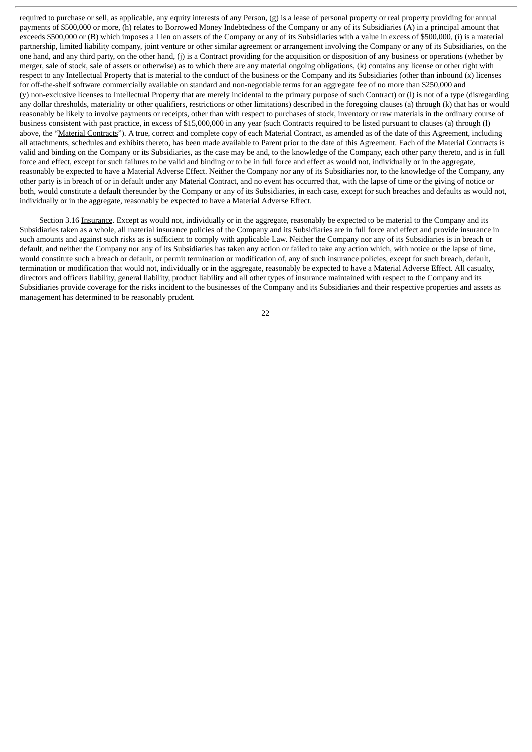required to purchase or sell, as applicable, any equity interests of any Person, (g) is a lease of personal property or real property providing for annual payments of \$500,000 or more, (h) relates to Borrowed Money Indebtedness of the Company or any of its Subsidiaries (A) in a principal amount that exceeds \$500,000 or (B) which imposes a Lien on assets of the Company or any of its Subsidiaries with a value in excess of \$500,000, (i) is a material partnership, limited liability company, joint venture or other similar agreement or arrangement involving the Company or any of its Subsidiaries, on the one hand, and any third party, on the other hand, (j) is a Contract providing for the acquisition or disposition of any business or operations (whether by merger, sale of stock, sale of assets or otherwise) as to which there are any material ongoing obligations, (k) contains any license or other right with respect to any Intellectual Property that is material to the conduct of the business or the Company and its Subsidiaries (other than inbound  $(x)$  licenses for off-the-shelf software commercially available on standard and non-negotiable terms for an aggregate fee of no more than \$250,000 and (y) non-exclusive licenses to Intellectual Property that are merely incidental to the primary purpose of such Contract) or (l) is not of a type (disregarding any dollar thresholds, materiality or other qualifiers, restrictions or other limitations) described in the foregoing clauses (a) through (k) that has or would reasonably be likely to involve payments or receipts, other than with respect to purchases of stock, inventory or raw materials in the ordinary course of business consistent with past practice, in excess of \$15,000,000 in any year (such Contracts required to be listed pursuant to clauses (a) through (l) above, the "Material Contracts"). A true, correct and complete copy of each Material Contract, as amended as of the date of this Agreement, including all attachments, schedules and exhibits thereto, has been made available to Parent prior to the date of this Agreement. Each of the Material Contracts is valid and binding on the Company or its Subsidiaries, as the case may be and, to the knowledge of the Company, each other party thereto, and is in full force and effect, except for such failures to be valid and binding or to be in full force and effect as would not, individually or in the aggregate, reasonably be expected to have a Material Adverse Effect. Neither the Company nor any of its Subsidiaries nor, to the knowledge of the Company, any other party is in breach of or in default under any Material Contract, and no event has occurred that, with the lapse of time or the giving of notice or both, would constitute a default thereunder by the Company or any of its Subsidiaries, in each case, except for such breaches and defaults as would not, individually or in the aggregate, reasonably be expected to have a Material Adverse Effect.

Section 3.16 Insurance. Except as would not, individually or in the aggregate, reasonably be expected to be material to the Company and its Subsidiaries taken as a whole, all material insurance policies of the Company and its Subsidiaries are in full force and effect and provide insurance in such amounts and against such risks as is sufficient to comply with applicable Law. Neither the Company nor any of its Subsidiaries is in breach or default, and neither the Company nor any of its Subsidiaries has taken any action or failed to take any action which, with notice or the lapse of time, would constitute such a breach or default, or permit termination or modification of, any of such insurance policies, except for such breach, default, termination or modification that would not, individually or in the aggregate, reasonably be expected to have a Material Adverse Effect. All casualty, directors and officers liability, general liability, product liability and all other types of insurance maintained with respect to the Company and its Subsidiaries provide coverage for the risks incident to the businesses of the Company and its Subsidiaries and their respective properties and assets as management has determined to be reasonably prudent.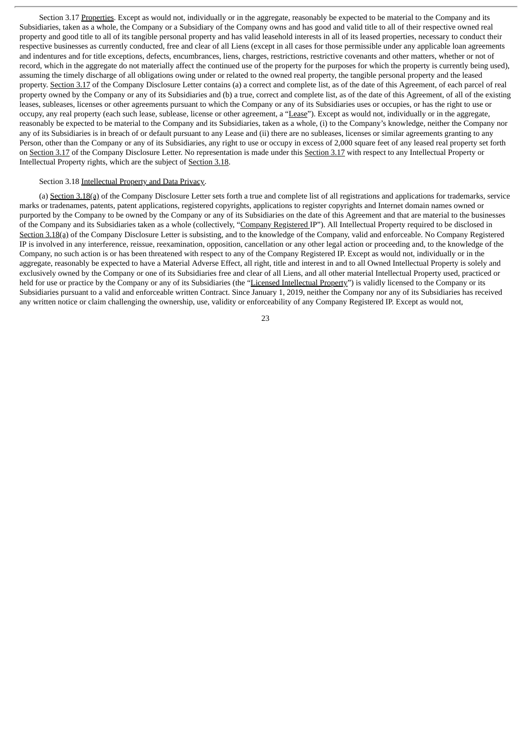Section 3.17 Properties. Except as would not, individually or in the aggregate, reasonably be expected to be material to the Company and its Subsidiaries, taken as a whole, the Company or a Subsidiary of the Company owns and has good and valid title to all of their respective owned real property and good title to all of its tangible personal property and has valid leasehold interests in all of its leased properties, necessary to conduct their respective businesses as currently conducted, free and clear of all Liens (except in all cases for those permissible under any applicable loan agreements and indentures and for title exceptions, defects, encumbrances, liens, charges, restrictions, restrictive covenants and other matters, whether or not of record, which in the aggregate do not materially affect the continued use of the property for the purposes for which the property is currently being used), assuming the timely discharge of all obligations owing under or related to the owned real property, the tangible personal property and the leased property. Section 3.17 of the Company Disclosure Letter contains (a) a correct and complete list, as of the date of this Agreement, of each parcel of real property owned by the Company or any of its Subsidiaries and (b) a true, correct and complete list, as of the date of this Agreement, of all of the existing leases, subleases, licenses or other agreements pursuant to which the Company or any of its Subsidiaries uses or occupies, or has the right to use or occupy, any real property (each such lease, sublease, license or other agreement, a "Lease"). Except as would not, individually or in the aggregate, reasonably be expected to be material to the Company and its Subsidiaries, taken as a whole, (i) to the Company's knowledge, neither the Company nor any of its Subsidiaries is in breach of or default pursuant to any Lease and (ii) there are no subleases, licenses or similar agreements granting to any Person, other than the Company or any of its Subsidiaries, any right to use or occupy in excess of 2,000 square feet of any leased real property set forth on Section 3.17 of the Company Disclosure Letter. No representation is made under this Section 3.17 with respect to any Intellectual Property or Intellectual Property rights, which are the subject of Section 3.18.

### Section 3.18 Intellectual Property and Data Privacy.

(a) Section 3.18(a) of the Company Disclosure Letter sets forth a true and complete list of all registrations and applications for trademarks, service marks or tradenames, patents, patent applications, registered copyrights, applications to register copyrights and Internet domain names owned or purported by the Company to be owned by the Company or any of its Subsidiaries on the date of this Agreement and that are material to the businesses of the Company and its Subsidiaries taken as a whole (collectively, "Company Registered IP"). All Intellectual Property required to be disclosed in Section 3.18(a) of the Company Disclosure Letter is subsisting, and to the knowledge of the Company, valid and enforceable. No Company Registered IP is involved in any interference, reissue, reexamination, opposition, cancellation or any other legal action or proceeding and, to the knowledge of the Company, no such action is or has been threatened with respect to any of the Company Registered IP. Except as would not, individually or in the aggregate, reasonably be expected to have a Material Adverse Effect, all right, title and interest in and to all Owned Intellectual Property is solely and exclusively owned by the Company or one of its Subsidiaries free and clear of all Liens, and all other material Intellectual Property used, practiced or held for use or practice by the Company or any of its Subsidiaries (the "Licensed Intellectual Property") is validly licensed to the Company or its Subsidiaries pursuant to a valid and enforceable written Contract. Since January 1, 2019, neither the Company nor any of its Subsidiaries has received any written notice or claim challenging the ownership, use, validity or enforceability of any Company Registered IP. Except as would not,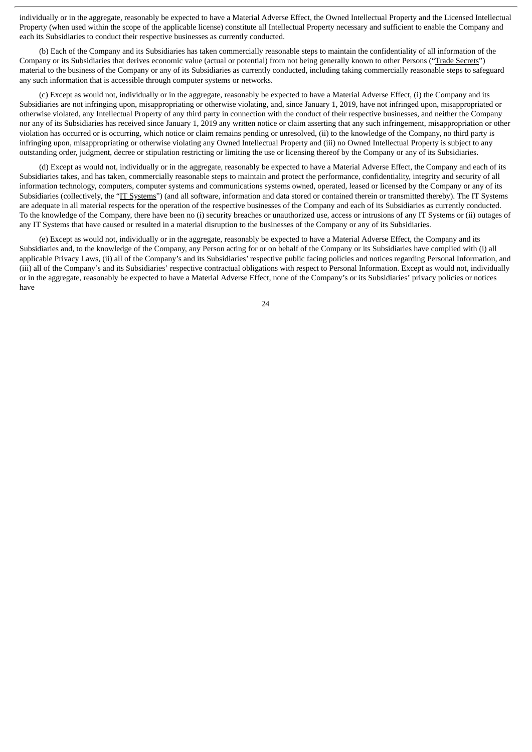individually or in the aggregate, reasonably be expected to have a Material Adverse Effect, the Owned Intellectual Property and the Licensed Intellectual Property (when used within the scope of the applicable license) constitute all Intellectual Property necessary and sufficient to enable the Company and each its Subsidiaries to conduct their respective businesses as currently conducted.

(b) Each of the Company and its Subsidiaries has taken commercially reasonable steps to maintain the confidentiality of all information of the Company or its Subsidiaries that derives economic value (actual or potential) from not being generally known to other Persons ("Trade Secrets") material to the business of the Company or any of its Subsidiaries as currently conducted, including taking commercially reasonable steps to safeguard any such information that is accessible through computer systems or networks.

(c) Except as would not, individually or in the aggregate, reasonably be expected to have a Material Adverse Effect, (i) the Company and its Subsidiaries are not infringing upon, misappropriating or otherwise violating, and, since January 1, 2019, have not infringed upon, misappropriated or otherwise violated, any Intellectual Property of any third party in connection with the conduct of their respective businesses, and neither the Company nor any of its Subsidiaries has received since January 1, 2019 any written notice or claim asserting that any such infringement, misappropriation or other violation has occurred or is occurring, which notice or claim remains pending or unresolved, (ii) to the knowledge of the Company, no third party is infringing upon, misappropriating or otherwise violating any Owned Intellectual Property and (iii) no Owned Intellectual Property is subject to any outstanding order, judgment, decree or stipulation restricting or limiting the use or licensing thereof by the Company or any of its Subsidiaries.

(d) Except as would not, individually or in the aggregate, reasonably be expected to have a Material Adverse Effect, the Company and each of its Subsidiaries takes, and has taken, commercially reasonable steps to maintain and protect the performance, confidentiality, integrity and security of all information technology, computers, computer systems and communications systems owned, operated, leased or licensed by the Company or any of its Subsidiaries (collectively, the "IT Systems") (and all software, information and data stored or contained therein or transmitted thereby). The IT Systems are adequate in all material respects for the operation of the respective businesses of the Company and each of its Subsidiaries as currently conducted. To the knowledge of the Company, there have been no (i) security breaches or unauthorized use, access or intrusions of any IT Systems or (ii) outages of any IT Systems that have caused or resulted in a material disruption to the businesses of the Company or any of its Subsidiaries.

(e) Except as would not, individually or in the aggregate, reasonably be expected to have a Material Adverse Effect, the Company and its Subsidiaries and, to the knowledge of the Company, any Person acting for or on behalf of the Company or its Subsidiaries have complied with (i) all applicable Privacy Laws, (ii) all of the Company's and its Subsidiaries' respective public facing policies and notices regarding Personal Information, and (iii) all of the Company's and its Subsidiaries' respective contractual obligations with respect to Personal Information. Except as would not, individually or in the aggregate, reasonably be expected to have a Material Adverse Effect, none of the Company's or its Subsidiaries' privacy policies or notices have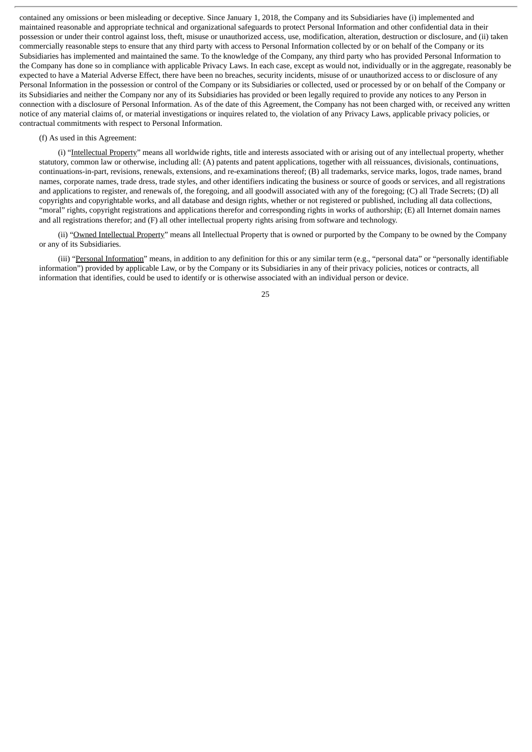contained any omissions or been misleading or deceptive. Since January 1, 2018, the Company and its Subsidiaries have (i) implemented and maintained reasonable and appropriate technical and organizational safeguards to protect Personal Information and other confidential data in their possession or under their control against loss, theft, misuse or unauthorized access, use, modification, alteration, destruction or disclosure, and (ii) taken commercially reasonable steps to ensure that any third party with access to Personal Information collected by or on behalf of the Company or its Subsidiaries has implemented and maintained the same. To the knowledge of the Company, any third party who has provided Personal Information to the Company has done so in compliance with applicable Privacy Laws. In each case, except as would not, individually or in the aggregate, reasonably be expected to have a Material Adverse Effect, there have been no breaches, security incidents, misuse of or unauthorized access to or disclosure of any Personal Information in the possession or control of the Company or its Subsidiaries or collected, used or processed by or on behalf of the Company or its Subsidiaries and neither the Company nor any of its Subsidiaries has provided or been legally required to provide any notices to any Person in connection with a disclosure of Personal Information. As of the date of this Agreement, the Company has not been charged with, or received any written notice of any material claims of, or material investigations or inquires related to, the violation of any Privacy Laws, applicable privacy policies, or contractual commitments with respect to Personal Information.

#### (f) As used in this Agreement:

(i) "Intellectual Property" means all worldwide rights, title and interests associated with or arising out of any intellectual property, whether statutory, common law or otherwise, including all: (A) patents and patent applications, together with all reissuances, divisionals, continuations, continuations-in-part, revisions, renewals, extensions, and re-examinations thereof; (B) all trademarks, service marks, logos, trade names, brand names, corporate names, trade dress, trade styles, and other identifiers indicating the business or source of goods or services, and all registrations and applications to register, and renewals of, the foregoing, and all goodwill associated with any of the foregoing; (C) all Trade Secrets; (D) all copyrights and copyrightable works, and all database and design rights, whether or not registered or published, including all data collections, "moral" rights, copyright registrations and applications therefor and corresponding rights in works of authorship; (E) all Internet domain names and all registrations therefor; and (F) all other intellectual property rights arising from software and technology.

(ii) "Owned Intellectual Property" means all Intellectual Property that is owned or purported by the Company to be owned by the Company or any of its Subsidiaries.

(iii) "Personal Information" means, in addition to any definition for this or any similar term (e.g., "personal data" or "personally identifiable information") provided by applicable Law, or by the Company or its Subsidiaries in any of their privacy policies, notices or contracts, all information that identifies, could be used to identify or is otherwise associated with an individual person or device.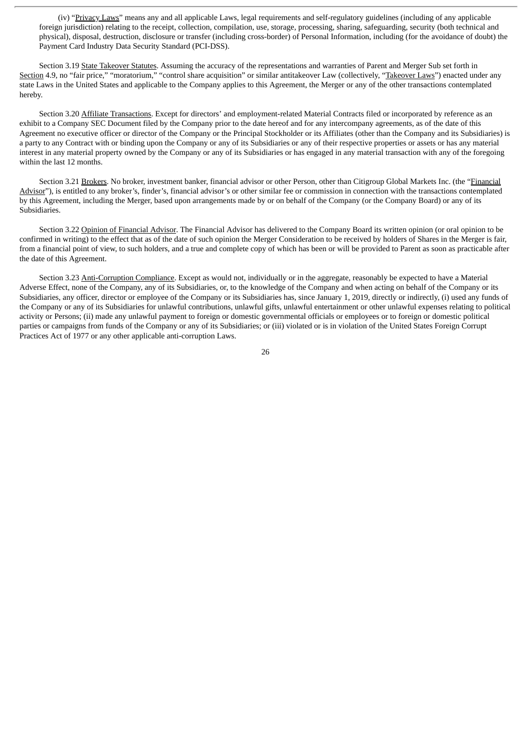(iv) "Privacy Laws" means any and all applicable Laws, legal requirements and self-regulatory guidelines (including of any applicable foreign jurisdiction) relating to the receipt, collection, compilation, use, storage, processing, sharing, safeguarding, security (both technical and physical), disposal, destruction, disclosure or transfer (including cross-border) of Personal Information, including (for the avoidance of doubt) the Payment Card Industry Data Security Standard (PCI-DSS).

Section 3.19 State Takeover Statutes. Assuming the accuracy of the representations and warranties of Parent and Merger Sub set forth in Section 4.9, no "fair price," "moratorium," "control share acquisition" or similar antitakeover Law (collectively, "Takeover Laws") enacted under any state Laws in the United States and applicable to the Company applies to this Agreement, the Merger or any of the other transactions contemplated hereby.

Section 3.20 Affiliate Transactions. Except for directors' and employment-related Material Contracts filed or incorporated by reference as an exhibit to a Company SEC Document filed by the Company prior to the date hereof and for any intercompany agreements, as of the date of this Agreement no executive officer or director of the Company or the Principal Stockholder or its Affiliates (other than the Company and its Subsidiaries) is a party to any Contract with or binding upon the Company or any of its Subsidiaries or any of their respective properties or assets or has any material interest in any material property owned by the Company or any of its Subsidiaries or has engaged in any material transaction with any of the foregoing within the last 12 months.

Section 3.21 Brokers. No broker, investment banker, financial advisor or other Person, other than Citigroup Global Markets Inc. (the "Financial Advisor"), is entitled to any broker's, finder's, financial advisor's or other similar fee or commission in connection with the transactions contemplated by this Agreement, including the Merger, based upon arrangements made by or on behalf of the Company (or the Company Board) or any of its Subsidiaries.

Section 3.22 Opinion of Financial Advisor. The Financial Advisor has delivered to the Company Board its written opinion (or oral opinion to be confirmed in writing) to the effect that as of the date of such opinion the Merger Consideration to be received by holders of Shares in the Merger is fair, from a financial point of view, to such holders, and a true and complete copy of which has been or will be provided to Parent as soon as practicable after the date of this Agreement.

Section 3.23 Anti-Corruption Compliance. Except as would not, individually or in the aggregate, reasonably be expected to have a Material Adverse Effect, none of the Company, any of its Subsidiaries, or, to the knowledge of the Company and when acting on behalf of the Company or its Subsidiaries, any officer, director or employee of the Company or its Subsidiaries has, since January 1, 2019, directly or indirectly, (i) used any funds of the Company or any of its Subsidiaries for unlawful contributions, unlawful gifts, unlawful entertainment or other unlawful expenses relating to political activity or Persons; (ii) made any unlawful payment to foreign or domestic governmental officials or employees or to foreign or domestic political parties or campaigns from funds of the Company or any of its Subsidiaries; or (iii) violated or is in violation of the United States Foreign Corrupt Practices Act of 1977 or any other applicable anti-corruption Laws.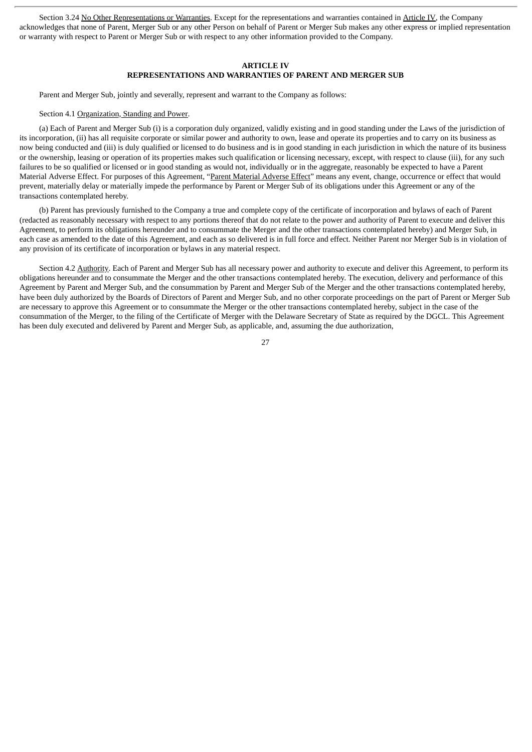Section 3.24 No Other Representations or Warranties. Except for the representations and warranties contained in Article IV, the Company acknowledges that none of Parent, Merger Sub or any other Person on behalf of Parent or Merger Sub makes any other express or implied representation or warranty with respect to Parent or Merger Sub or with respect to any other information provided to the Company.

### **ARTICLE IV REPRESENTATIONS AND WARRANTIES OF PARENT AND MERGER SUB**

Parent and Merger Sub, jointly and severally, represent and warrant to the Company as follows:

#### Section 4.1 Organization, Standing and Power.

(a) Each of Parent and Merger Sub (i) is a corporation duly organized, validly existing and in good standing under the Laws of the jurisdiction of its incorporation, (ii) has all requisite corporate or similar power and authority to own, lease and operate its properties and to carry on its business as now being conducted and (iii) is duly qualified or licensed to do business and is in good standing in each jurisdiction in which the nature of its business or the ownership, leasing or operation of its properties makes such qualification or licensing necessary, except, with respect to clause (iii), for any such failures to be so qualified or licensed or in good standing as would not, individually or in the aggregate, reasonably be expected to have a Parent Material Adverse Effect. For purposes of this Agreement, "Parent Material Adverse Effect" means any event, change, occurrence or effect that would prevent, materially delay or materially impede the performance by Parent or Merger Sub of its obligations under this Agreement or any of the transactions contemplated hereby.

(b) Parent has previously furnished to the Company a true and complete copy of the certificate of incorporation and bylaws of each of Parent (redacted as reasonably necessary with respect to any portions thereof that do not relate to the power and authority of Parent to execute and deliver this Agreement, to perform its obligations hereunder and to consummate the Merger and the other transactions contemplated hereby) and Merger Sub, in each case as amended to the date of this Agreement, and each as so delivered is in full force and effect. Neither Parent nor Merger Sub is in violation of any provision of its certificate of incorporation or bylaws in any material respect.

Section 4.2 Authority. Each of Parent and Merger Sub has all necessary power and authority to execute and deliver this Agreement, to perform its obligations hereunder and to consummate the Merger and the other transactions contemplated hereby. The execution, delivery and performance of this Agreement by Parent and Merger Sub, and the consummation by Parent and Merger Sub of the Merger and the other transactions contemplated hereby, have been duly authorized by the Boards of Directors of Parent and Merger Sub, and no other corporate proceedings on the part of Parent or Merger Sub are necessary to approve this Agreement or to consummate the Merger or the other transactions contemplated hereby, subject in the case of the consummation of the Merger, to the filing of the Certificate of Merger with the Delaware Secretary of State as required by the DGCL. This Agreement has been duly executed and delivered by Parent and Merger Sub, as applicable, and, assuming the due authorization,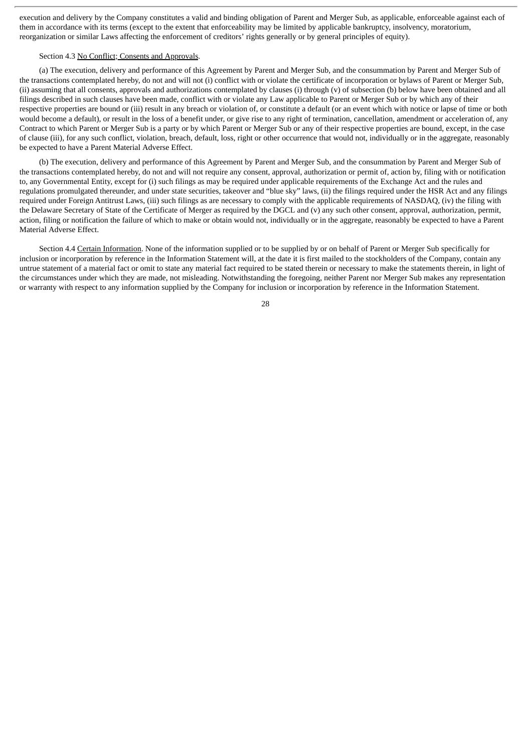execution and delivery by the Company constitutes a valid and binding obligation of Parent and Merger Sub, as applicable, enforceable against each of them in accordance with its terms (except to the extent that enforceability may be limited by applicable bankruptcy, insolvency, moratorium, reorganization or similar Laws affecting the enforcement of creditors' rights generally or by general principles of equity).

# Section 4.3 No Conflict; Consents and Approvals.

(a) The execution, delivery and performance of this Agreement by Parent and Merger Sub, and the consummation by Parent and Merger Sub of the transactions contemplated hereby, do not and will not (i) conflict with or violate the certificate of incorporation or bylaws of Parent or Merger Sub, (ii) assuming that all consents, approvals and authorizations contemplated by clauses (i) through (v) of subsection (b) below have been obtained and all filings described in such clauses have been made, conflict with or violate any Law applicable to Parent or Merger Sub or by which any of their respective properties are bound or (iii) result in any breach or violation of, or constitute a default (or an event which with notice or lapse of time or both would become a default), or result in the loss of a benefit under, or give rise to any right of termination, cancellation, amendment or acceleration of, any Contract to which Parent or Merger Sub is a party or by which Parent or Merger Sub or any of their respective properties are bound, except, in the case of clause (iii), for any such conflict, violation, breach, default, loss, right or other occurrence that would not, individually or in the aggregate, reasonably be expected to have a Parent Material Adverse Effect.

(b) The execution, delivery and performance of this Agreement by Parent and Merger Sub, and the consummation by Parent and Merger Sub of the transactions contemplated hereby, do not and will not require any consent, approval, authorization or permit of, action by, filing with or notification to, any Governmental Entity, except for (i) such filings as may be required under applicable requirements of the Exchange Act and the rules and regulations promulgated thereunder, and under state securities, takeover and "blue sky" laws, (ii) the filings required under the HSR Act and any filings required under Foreign Antitrust Laws, (iii) such filings as are necessary to comply with the applicable requirements of NASDAQ, (iv) the filing with the Delaware Secretary of State of the Certificate of Merger as required by the DGCL and (v) any such other consent, approval, authorization, permit, action, filing or notification the failure of which to make or obtain would not, individually or in the aggregate, reasonably be expected to have a Parent Material Adverse Effect.

Section 4.4 Certain Information. None of the information supplied or to be supplied by or on behalf of Parent or Merger Sub specifically for inclusion or incorporation by reference in the Information Statement will, at the date it is first mailed to the stockholders of the Company, contain any untrue statement of a material fact or omit to state any material fact required to be stated therein or necessary to make the statements therein, in light of the circumstances under which they are made, not misleading. Notwithstanding the foregoing, neither Parent nor Merger Sub makes any representation or warranty with respect to any information supplied by the Company for inclusion or incorporation by reference in the Information Statement.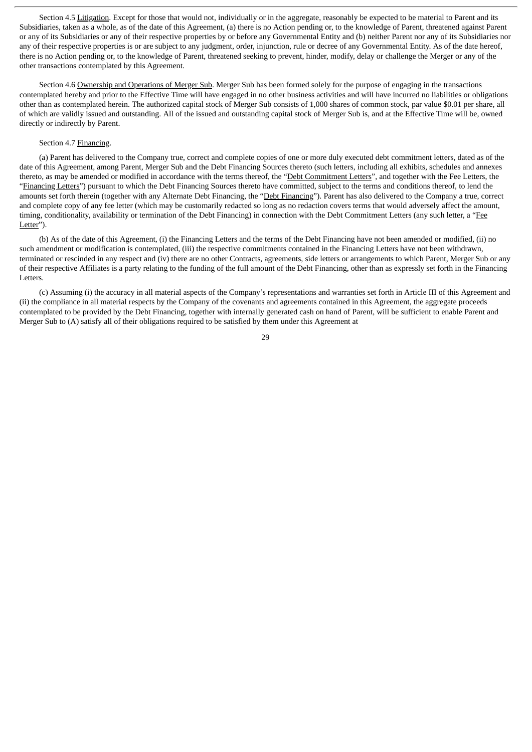Section 4.5 Litigation. Except for those that would not, individually or in the aggregate, reasonably be expected to be material to Parent and its Subsidiaries, taken as a whole, as of the date of this Agreement, (a) there is no Action pending or, to the knowledge of Parent, threatened against Parent or any of its Subsidiaries or any of their respective properties by or before any Governmental Entity and (b) neither Parent nor any of its Subsidiaries nor any of their respective properties is or are subject to any judgment, order, injunction, rule or decree of any Governmental Entity. As of the date hereof, there is no Action pending or, to the knowledge of Parent, threatened seeking to prevent, hinder, modify, delay or challenge the Merger or any of the other transactions contemplated by this Agreement.

Section 4.6 Ownership and Operations of Merger Sub. Merger Sub has been formed solely for the purpose of engaging in the transactions contemplated hereby and prior to the Effective Time will have engaged in no other business activities and will have incurred no liabilities or obligations other than as contemplated herein. The authorized capital stock of Merger Sub consists of 1,000 shares of common stock, par value \$0.01 per share, all of which are validly issued and outstanding. All of the issued and outstanding capital stock of Merger Sub is, and at the Effective Time will be, owned directly or indirectly by Parent.

## Section 4.7 Financing.

(a) Parent has delivered to the Company true, correct and complete copies of one or more duly executed debt commitment letters, dated as of the date of this Agreement, among Parent, Merger Sub and the Debt Financing Sources thereto (such letters, including all exhibits, schedules and annexes thereto, as may be amended or modified in accordance with the terms thereof, the "Debt Commitment Letters", and together with the Fee Letters, the "Financing Letters") pursuant to which the Debt Financing Sources thereto have committed, subject to the terms and conditions thereof, to lend the amounts set forth therein (together with any Alternate Debt Financing, the "Debt Financing"). Parent has also delivered to the Company a true, correct and complete copy of any fee letter (which may be customarily redacted so long as no redaction covers terms that would adversely affect the amount, timing, conditionality, availability or termination of the Debt Financing) in connection with the Debt Commitment Letters (any such letter, a "Fee Letter").

(b) As of the date of this Agreement, (i) the Financing Letters and the terms of the Debt Financing have not been amended or modified, (ii) no such amendment or modification is contemplated, (iii) the respective commitments contained in the Financing Letters have not been withdrawn, terminated or rescinded in any respect and (iv) there are no other Contracts, agreements, side letters or arrangements to which Parent, Merger Sub or any of their respective Affiliates is a party relating to the funding of the full amount of the Debt Financing, other than as expressly set forth in the Financing Letters.

(c) Assuming (i) the accuracy in all material aspects of the Company's representations and warranties set forth in Article III of this Agreement and (ii) the compliance in all material respects by the Company of the covenants and agreements contained in this Agreement, the aggregate proceeds contemplated to be provided by the Debt Financing, together with internally generated cash on hand of Parent, will be sufficient to enable Parent and Merger Sub to (A) satisfy all of their obligations required to be satisfied by them under this Agreement at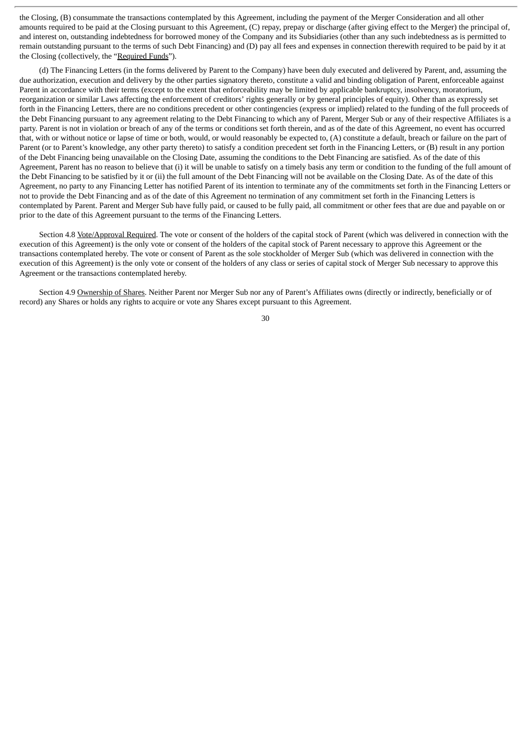the Closing, (B) consummate the transactions contemplated by this Agreement, including the payment of the Merger Consideration and all other amounts required to be paid at the Closing pursuant to this Agreement, (C) repay, prepay or discharge (after giving effect to the Merger) the principal of, and interest on, outstanding indebtedness for borrowed money of the Company and its Subsidiaries (other than any such indebtedness as is permitted to remain outstanding pursuant to the terms of such Debt Financing) and (D) pay all fees and expenses in connection therewith required to be paid by it at the Closing (collectively, the "Required Funds").

(d) The Financing Letters (in the forms delivered by Parent to the Company) have been duly executed and delivered by Parent, and, assuming the due authorization, execution and delivery by the other parties signatory thereto, constitute a valid and binding obligation of Parent, enforceable against Parent in accordance with their terms (except to the extent that enforceability may be limited by applicable bankruptcy, insolvency, moratorium, reorganization or similar Laws affecting the enforcement of creditors' rights generally or by general principles of equity). Other than as expressly set forth in the Financing Letters, there are no conditions precedent or other contingencies (express or implied) related to the funding of the full proceeds of the Debt Financing pursuant to any agreement relating to the Debt Financing to which any of Parent, Merger Sub or any of their respective Affiliates is a party. Parent is not in violation or breach of any of the terms or conditions set forth therein, and as of the date of this Agreement, no event has occurred that, with or without notice or lapse of time or both, would, or would reasonably be expected to, (A) constitute a default, breach or failure on the part of Parent (or to Parent's knowledge, any other party thereto) to satisfy a condition precedent set forth in the Financing Letters, or (B) result in any portion of the Debt Financing being unavailable on the Closing Date, assuming the conditions to the Debt Financing are satisfied. As of the date of this Agreement, Parent has no reason to believe that (i) it will be unable to satisfy on a timely basis any term or condition to the funding of the full amount of the Debt Financing to be satisfied by it or (ii) the full amount of the Debt Financing will not be available on the Closing Date. As of the date of this Agreement, no party to any Financing Letter has notified Parent of its intention to terminate any of the commitments set forth in the Financing Letters or not to provide the Debt Financing and as of the date of this Agreement no termination of any commitment set forth in the Financing Letters is contemplated by Parent. Parent and Merger Sub have fully paid, or caused to be fully paid, all commitment or other fees that are due and payable on or prior to the date of this Agreement pursuant to the terms of the Financing Letters.

Section 4.8 Vote/Approval Required. The vote or consent of the holders of the capital stock of Parent (which was delivered in connection with the execution of this Agreement) is the only vote or consent of the holders of the capital stock of Parent necessary to approve this Agreement or the transactions contemplated hereby. The vote or consent of Parent as the sole stockholder of Merger Sub (which was delivered in connection with the execution of this Agreement) is the only vote or consent of the holders of any class or series of capital stock of Merger Sub necessary to approve this Agreement or the transactions contemplated hereby.

Section 4.9 Ownership of Shares. Neither Parent nor Merger Sub nor any of Parent's Affiliates owns (directly or indirectly, beneficially or of record) any Shares or holds any rights to acquire or vote any Shares except pursuant to this Agreement.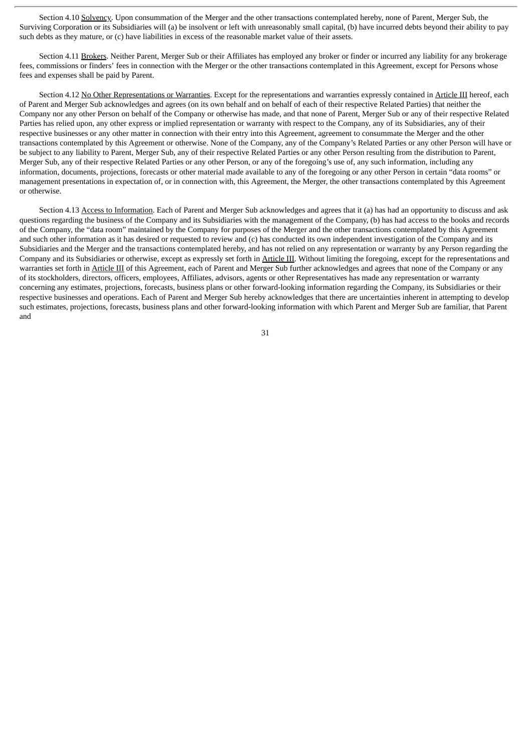Section 4.10 Solvency. Upon consummation of the Merger and the other transactions contemplated hereby, none of Parent, Merger Sub, the Surviving Corporation or its Subsidiaries will (a) be insolvent or left with unreasonably small capital, (b) have incurred debts beyond their ability to pay such debts as they mature, or (c) have liabilities in excess of the reasonable market value of their assets.

Section 4.11 Brokers. Neither Parent, Merger Sub or their Affiliates has employed any broker or finder or incurred any liability for any brokerage fees, commissions or finders' fees in connection with the Merger or the other transactions contemplated in this Agreement, except for Persons whose fees and expenses shall be paid by Parent.

Section 4.12 No Other Representations or Warranties. Except for the representations and warranties expressly contained in Article III hereof, each of Parent and Merger Sub acknowledges and agrees (on its own behalf and on behalf of each of their respective Related Parties) that neither the Company nor any other Person on behalf of the Company or otherwise has made, and that none of Parent, Merger Sub or any of their respective Related Parties has relied upon, any other express or implied representation or warranty with respect to the Company, any of its Subsidiaries, any of their respective businesses or any other matter in connection with their entry into this Agreement, agreement to consummate the Merger and the other transactions contemplated by this Agreement or otherwise. None of the Company, any of the Company's Related Parties or any other Person will have or be subject to any liability to Parent, Merger Sub, any of their respective Related Parties or any other Person resulting from the distribution to Parent, Merger Sub, any of their respective Related Parties or any other Person, or any of the foregoing's use of, any such information, including any information, documents, projections, forecasts or other material made available to any of the foregoing or any other Person in certain "data rooms" or management presentations in expectation of, or in connection with, this Agreement, the Merger, the other transactions contemplated by this Agreement or otherwise.

Section 4.13 Access to Information. Each of Parent and Merger Sub acknowledges and agrees that it (a) has had an opportunity to discuss and ask questions regarding the business of the Company and its Subsidiaries with the management of the Company, (b) has had access to the books and records of the Company, the "data room" maintained by the Company for purposes of the Merger and the other transactions contemplated by this Agreement and such other information as it has desired or requested to review and (c) has conducted its own independent investigation of the Company and its Subsidiaries and the Merger and the transactions contemplated hereby, and has not relied on any representation or warranty by any Person regarding the Company and its Subsidiaries or otherwise, except as expressly set forth in Article III. Without limiting the foregoing, except for the representations and warranties set forth in Article III of this Agreement, each of Parent and Merger Sub further acknowledges and agrees that none of the Company or any of its stockholders, directors, officers, employees, Affiliates, advisors, agents or other Representatives has made any representation or warranty concerning any estimates, projections, forecasts, business plans or other forward-looking information regarding the Company, its Subsidiaries or their respective businesses and operations. Each of Parent and Merger Sub hereby acknowledges that there are uncertainties inherent in attempting to develop such estimates, projections, forecasts, business plans and other forward-looking information with which Parent and Merger Sub are familiar, that Parent and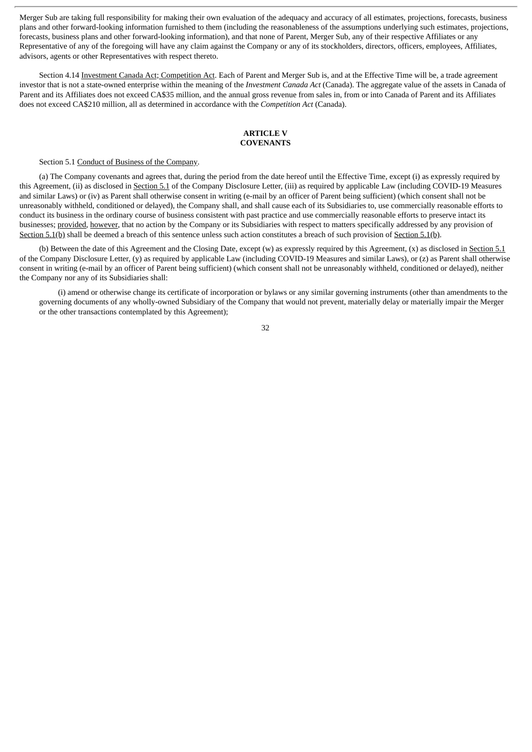Merger Sub are taking full responsibility for making their own evaluation of the adequacy and accuracy of all estimates, projections, forecasts, business plans and other forward-looking information furnished to them (including the reasonableness of the assumptions underlying such estimates, projections, forecasts, business plans and other forward-looking information), and that none of Parent, Merger Sub, any of their respective Affiliates or any Representative of any of the foregoing will have any claim against the Company or any of its stockholders, directors, officers, employees, Affiliates, advisors, agents or other Representatives with respect thereto.

Section 4.14 Investment Canada Act; Competition Act. Each of Parent and Merger Sub is, and at the Effective Time will be, a trade agreement investor that is not a state-owned enterprise within the meaning of the *Investment Canada Act* (Canada). The aggregate value of the assets in Canada of Parent and its Affiliates does not exceed CA\$35 million, and the annual gross revenue from sales in, from or into Canada of Parent and its Affiliates does not exceed CA\$210 million, all as determined in accordance with the *Competition Act* (Canada).

### **ARTICLE V COVENANTS**

Section 5.1 Conduct of Business of the Company.

(a) The Company covenants and agrees that, during the period from the date hereof until the Effective Time, except (i) as expressly required by this Agreement, (ii) as disclosed in Section 5.1 of the Company Disclosure Letter, (iii) as required by applicable Law (including COVID-19 Measures and similar Laws) or (iv) as Parent shall otherwise consent in writing (e-mail by an officer of Parent being sufficient) (which consent shall not be unreasonably withheld, conditioned or delayed), the Company shall, and shall cause each of its Subsidiaries to, use commercially reasonable efforts to conduct its business in the ordinary course of business consistent with past practice and use commercially reasonable efforts to preserve intact its businesses; provided, however, that no action by the Company or its Subsidiaries with respect to matters specifically addressed by any provision of Section 5.1(b) shall be deemed a breach of this sentence unless such action constitutes a breach of such provision of Section 5.1(b).

(b) Between the date of this Agreement and the Closing Date, except (w) as expressly required by this Agreement, (x) as disclosed in Section 5.1 of the Company Disclosure Letter, (y) as required by applicable Law (including COVID-19 Measures and similar Laws), or (z) as Parent shall otherwise consent in writing (e-mail by an officer of Parent being sufficient) (which consent shall not be unreasonably withheld, conditioned or delayed), neither the Company nor any of its Subsidiaries shall:

(i) amend or otherwise change its certificate of incorporation or bylaws or any similar governing instruments (other than amendments to the governing documents of any wholly-owned Subsidiary of the Company that would not prevent, materially delay or materially impair the Merger or the other transactions contemplated by this Agreement);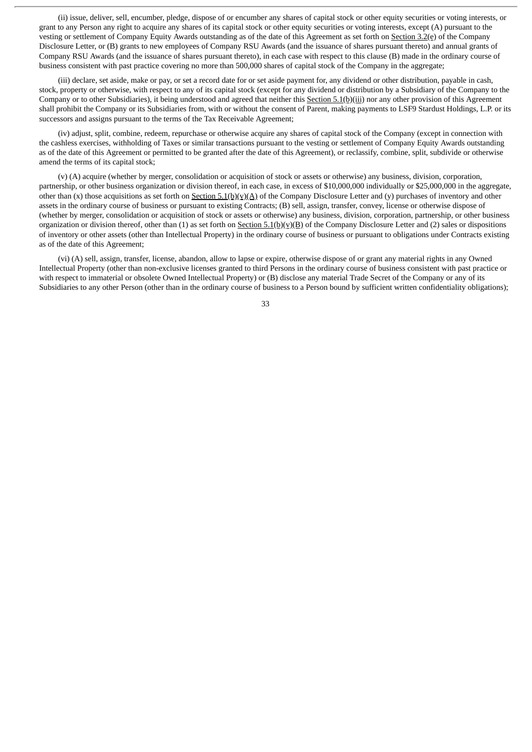(ii) issue, deliver, sell, encumber, pledge, dispose of or encumber any shares of capital stock or other equity securities or voting interests, or grant to any Person any right to acquire any shares of its capital stock or other equity securities or voting interests, except (A) pursuant to the vesting or settlement of Company Equity Awards outstanding as of the date of this Agreement as set forth on Section 3.2(e) of the Company Disclosure Letter, or (B) grants to new employees of Company RSU Awards (and the issuance of shares pursuant thereto) and annual grants of Company RSU Awards (and the issuance of shares pursuant thereto), in each case with respect to this clause (B) made in the ordinary course of business consistent with past practice covering no more than 500,000 shares of capital stock of the Company in the aggregate;

(iii) declare, set aside, make or pay, or set a record date for or set aside payment for, any dividend or other distribution, payable in cash, stock, property or otherwise, with respect to any of its capital stock (except for any dividend or distribution by a Subsidiary of the Company to the Company or to other Subsidiaries), it being understood and agreed that neither this Section 5.1(b)(iii) nor any other provision of this Agreement shall prohibit the Company or its Subsidiaries from, with or without the consent of Parent, making payments to LSF9 Stardust Holdings, L.P. or its successors and assigns pursuant to the terms of the Tax Receivable Agreement;

(iv) adjust, split, combine, redeem, repurchase or otherwise acquire any shares of capital stock of the Company (except in connection with the cashless exercises, withholding of Taxes or similar transactions pursuant to the vesting or settlement of Company Equity Awards outstanding as of the date of this Agreement or permitted to be granted after the date of this Agreement), or reclassify, combine, split, subdivide or otherwise amend the terms of its capital stock;

(v) (A) acquire (whether by merger, consolidation or acquisition of stock or assets or otherwise) any business, division, corporation, partnership, or other business organization or division thereof, in each case, in excess of \$10,000,000 individually or \$25,000,000 in the aggregate, other than (x) those acquisitions as set forth on  $Section 5.1(b)(y)(A)$  of the Company Disclosure Letter and (y) purchases of inventory and other assets in the ordinary course of business or pursuant to existing Contracts; (B) sell, assign, transfer, convey, license or otherwise dispose of (whether by merger, consolidation or acquisition of stock or assets or otherwise) any business, division, corporation, partnership, or other business organization or division thereof, other than (1) as set forth on Section 5.1(b)(y)(B) of the Company Disclosure Letter and (2) sales or dispositions of inventory or other assets (other than Intellectual Property) in the ordinary course of business or pursuant to obligations under Contracts existing as of the date of this Agreement;

(vi) (A) sell, assign, transfer, license, abandon, allow to lapse or expire, otherwise dispose of or grant any material rights in any Owned Intellectual Property (other than non-exclusive licenses granted to third Persons in the ordinary course of business consistent with past practice or with respect to immaterial or obsolete Owned Intellectual Property) or (B) disclose any material Trade Secret of the Company or any of its Subsidiaries to any other Person (other than in the ordinary course of business to a Person bound by sufficient written confidentiality obligations);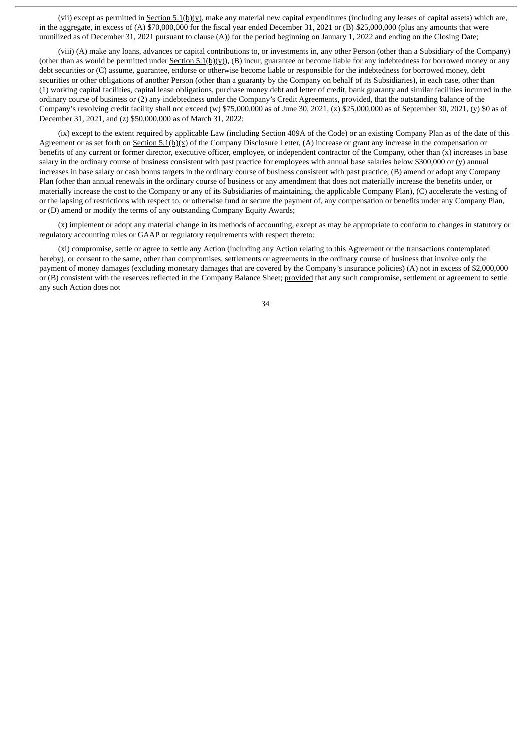(vii) except as permitted in Section 5.1(b)(v), make any material new capital expenditures (including any leases of capital assets) which are, in the aggregate, in excess of (A) \$70,000,000 for the fiscal year ended December 31, 2021 or (B) \$25,000,000 (plus any amounts that were unutilized as of December 31, 2021 pursuant to clause (A)) for the period beginning on January 1, 2022 and ending on the Closing Date;

(viii) (A) make any loans, advances or capital contributions to, or investments in, any other Person (other than a Subsidiary of the Company) (other than as would be permitted under  $Section 5.1(b)(y))$ , (B) incur, guarantee or become liable for any indebtedness for borrowed money or any debt securities or (C) assume, guarantee, endorse or otherwise become liable or responsible for the indebtedness for borrowed money, debt securities or other obligations of another Person (other than a guaranty by the Company on behalf of its Subsidiaries), in each case, other than (1) working capital facilities, capital lease obligations, purchase money debt and letter of credit, bank guaranty and similar facilities incurred in the ordinary course of business or (2) any indebtedness under the Company's Credit Agreements, provided, that the outstanding balance of the Company's revolving credit facility shall not exceed (w) \$75,000,000 as of June 30, 2021, (x) \$25,000,000 as of September 30, 2021, (y) \$0 as of December 31, 2021, and (z) \$50,000,000 as of March 31, 2022;

(ix) except to the extent required by applicable Law (including Section 409A of the Code) or an existing Company Plan as of the date of this Agreement or as set forth on Section 5.1(b)(x) of the Company Disclosure Letter, (A) increase or grant any increase in the compensation or benefits of any current or former director, executive officer, employee, or independent contractor of the Company, other than (x) increases in base salary in the ordinary course of business consistent with past practice for employees with annual base salaries below \$300,000 or (y) annual increases in base salary or cash bonus targets in the ordinary course of business consistent with past practice, (B) amend or adopt any Company Plan (other than annual renewals in the ordinary course of business or any amendment that does not materially increase the benefits under, or materially increase the cost to the Company or any of its Subsidiaries of maintaining, the applicable Company Plan), (C) accelerate the vesting of or the lapsing of restrictions with respect to, or otherwise fund or secure the payment of, any compensation or benefits under any Company Plan, or (D) amend or modify the terms of any outstanding Company Equity Awards;

(x) implement or adopt any material change in its methods of accounting, except as may be appropriate to conform to changes in statutory or regulatory accounting rules or GAAP or regulatory requirements with respect thereto;

(xi) compromise, settle or agree to settle any Action (including any Action relating to this Agreement or the transactions contemplated hereby), or consent to the same, other than compromises, settlements or agreements in the ordinary course of business that involve only the payment of money damages (excluding monetary damages that are covered by the Company's insurance policies) (A) not in excess of \$2,000,000 or (B) consistent with the reserves reflected in the Company Balance Sheet; provided that any such compromise, settlement or agreement to settle any such Action does not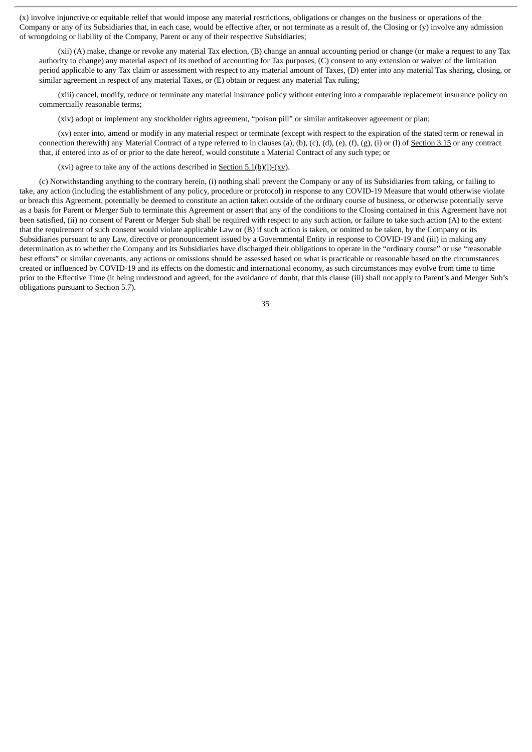(x) involve injunctive or equitable relief that would impose any material restrictions, obligations or changes on the business or operations of the Company or any of its Subsidiaries that, in each case, would be effective after, or not terminate as a result of, the Closing or (y) involve any admission of wrongdoing or liability of the Company, Parent or any of their respective Subsidiaries;

(xii) (A) make, change or revoke any material Tax election, (B) change an annual accounting period or change (or make a request to any Tax authority to change) any material aspect of its method of accounting for Tax purposes, (C) consent to any extension or waiver of the limitation period applicable to any Tax claim or assessment with respect to any material amount of Taxes, (D) enter into any material Tax sharing, closing, or similar agreement in respect of any material Taxes, or (E) obtain or request any material Tax ruling;

(xiii) cancel, modify, reduce or terminate any material insurance policy without entering into a comparable replacement insurance policy on commercially reasonable terms;

(xiv) adopt or implement any stockholder rights agreement, "poison pill" or similar antitakeover agreement or plan;

(xv) enter into, amend or modify in any material respect or terminate (except with respect to the expiration of the stated term or renewal in connection therewith) any Material Contract of a type referred to in clauses (a), (b), (c), (d), (e), (f), (g), (i) or (l) of Section 3.15 or any contract that, if entered into as of or prior to the date hereof, would constitute a Material Contract of any such type; or

(xvi) agree to take any of the actions described in <u>Section 5.1(b)(i)-(xv)</u>.

(c) Notwithstanding anything to the contrary herein, (i) nothing shall prevent the Company or any of its Subsidiaries from taking, or failing to take, any action (including the establishment of any policy, procedure or protocol) in response to any COVID-19 Measure that would otherwise violate or breach this Agreement, potentially be deemed to constitute an action taken outside of the ordinary course of business, or otherwise potentially serve as a basis for Parent or Merger Sub to terminate this Agreement or assert that any of the conditions to the Closing contained in this Agreement have not been satisfied, (ii) no consent of Parent or Merger Sub shall be required with respect to any such action, or failure to take such action (A) to the extent that the requirement of such consent would violate applicable Law or (B) if such action is taken, or omitted to be taken, by the Company or its Subsidiaries pursuant to any Law, directive or pronouncement issued by a Governmental Entity in response to COVID-19 and (iii) in making any determination as to whether the Company and its Subsidiaries have discharged their obligations to operate in the "ordinary course" or use "reasonable best efforts" or similar covenants, any actions or omissions should be assessed based on what is practicable or reasonable based on the circumstances created or influenced by COVID-19 and its effects on the domestic and international economy, as such circumstances may evolve from time to time prior to the Effective Time (it being understood and agreed, for the avoidance of doubt, that this clause (iii) shall not apply to Parent's and Merger Sub's obligations pursuant to **Section 5.7**).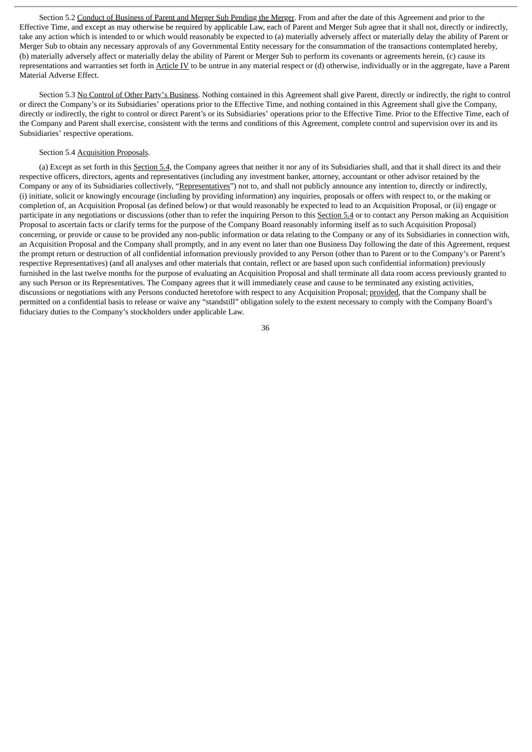Section 5.2 Conduct of Business of Parent and Merger Sub Pending the Merger. From and after the date of this Agreement and prior to the Effective Time, and except as may otherwise be required by applicable Law, each of Parent and Merger Sub agree that it shall not, directly or indirectly, take any action which is intended to or which would reasonably be expected to (a) materially adversely affect or materially delay the ability of Parent or Merger Sub to obtain any necessary approvals of any Governmental Entity necessary for the consummation of the transactions contemplated hereby, (b) materially adversely affect or materially delay the ability of Parent or Merger Sub to perform its covenants or agreements herein, (c) cause its representations and warranties set forth in Article IV to be untrue in any material respect or (d) otherwise, individually or in the aggregate, have a Parent Material Adverse Effect.

Section 5.3 No Control of Other Party's Business. Nothing contained in this Agreement shall give Parent, directly or indirectly, the right to control or direct the Company's or its Subsidiaries' operations prior to the Effective Time, and nothing contained in this Agreement shall give the Company, directly or indirectly, the right to control or direct Parent's or its Subsidiaries' operations prior to the Effective Time. Prior to the Effective Time, each of the Company and Parent shall exercise, consistent with the terms and conditions of this Agreement, complete control and supervision over its and its Subsidiaries' respective operations.

## Section 5.4 Acquisition Proposals.

(a) Except as set forth in this Section 5.4, the Company agrees that neither it nor any of its Subsidiaries shall, and that it shall direct its and their respective officers, directors, agents and representatives (including any investment banker, attorney, accountant or other advisor retained by the Company or any of its Subsidiaries collectively, "Representatives") not to, and shall not publicly announce any intention to, directly or indirectly, (i) initiate, solicit or knowingly encourage (including by providing information) any inquiries, proposals or offers with respect to, or the making or completion of, an Acquisition Proposal (as defined below) or that would reasonably be expected to lead to an Acquisition Proposal, or (ii) engage or participate in any negotiations or discussions (other than to refer the inquiring Person to this Section 5.4 or to contact any Person making an Acquisition Proposal to ascertain facts or clarify terms for the purpose of the Company Board reasonably informing itself as to such Acquisition Proposal) concerning, or provide or cause to be provided any non-public information or data relating to the Company or any of its Subsidiaries in connection with, an Acquisition Proposal and the Company shall promptly, and in any event no later than one Business Day following the date of this Agreement, request the prompt return or destruction of all confidential information previously provided to any Person (other than to Parent or to the Company's or Parent's respective Representatives) (and all analyses and other materials that contain, reflect or are based upon such confidential information) previously furnished in the last twelve months for the purpose of evaluating an Acquisition Proposal and shall terminate all data room access previously granted to any such Person or its Representatives. The Company agrees that it will immediately cease and cause to be terminated any existing activities, discussions or negotiations with any Persons conducted heretofore with respect to any Acquisition Proposal; provided, that the Company shall be permitted on a confidential basis to release or waive any "standstill" obligation solely to the extent necessary to comply with the Company Board's fiduciary duties to the Company's stockholders under applicable Law.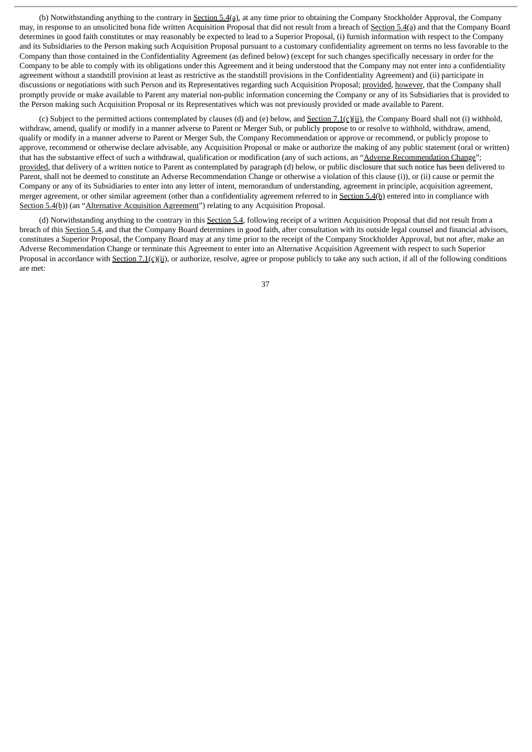(b) Notwithstanding anything to the contrary in Section 5.4(a), at any time prior to obtaining the Company Stockholder Approval, the Company may, in response to an unsolicited bona fide written Acquisition Proposal that did not result from a breach of Section 5.4(a) and that the Company Board determines in good faith constitutes or may reasonably be expected to lead to a Superior Proposal, (i) furnish information with respect to the Company and its Subsidiaries to the Person making such Acquisition Proposal pursuant to a customary confidentiality agreement on terms no less favorable to the Company than those contained in the Confidentiality Agreement (as defined below) (except for such changes specifically necessary in order for the Company to be able to comply with its obligations under this Agreement and it being understood that the Company may not enter into a confidentiality agreement without a standstill provision at least as restrictive as the standstill provisions in the Confidentiality Agreement) and (ii) participate in discussions or negotiations with such Person and its Representatives regarding such Acquisition Proposal; provided, however, that the Company shall promptly provide or make available to Parent any material non-public information concerning the Company or any of its Subsidiaries that is provided to the Person making such Acquisition Proposal or its Representatives which was not previously provided or made available to Parent.

(c) Subject to the permitted actions contemplated by clauses (d) and (e) below, and Section 7.1(c)(ii), the Company Board shall not (i) withhold, withdraw, amend, qualify or modify in a manner adverse to Parent or Merger Sub, or publicly propose to or resolve to withhold, withdraw, amend, qualify or modify in a manner adverse to Parent or Merger Sub, the Company Recommendation or approve or recommend, or publicly propose to approve, recommend or otherwise declare advisable, any Acquisition Proposal or make or authorize the making of any public statement (oral or written) that has the substantive effect of such a withdrawal, qualification or modification (any of such actions, an "Adverse Recommendation Change"; provided, that delivery of a written notice to Parent as contemplated by paragraph (d) below, or public disclosure that such notice has been delivered to Parent, shall not be deemed to constitute an Adverse Recommendation Change or otherwise a violation of this clause (i)), or (ii) cause or permit the Company or any of its Subsidiaries to enter into any letter of intent, memorandum of understanding, agreement in principle, acquisition agreement, merger agreement, or other similar agreement (other than a confidentiality agreement referred to in Section 5.4(b) entered into in compliance with Section 5.4(b)) (an "Alternative Acquisition Agreement") relating to any Acquisition Proposal.

(d) Notwithstanding anything to the contrary in this Section 5.4, following receipt of a written Acquisition Proposal that did not result from a breach of this Section 5.4, and that the Company Board determines in good faith, after consultation with its outside legal counsel and financial advisors, constitutes a Superior Proposal, the Company Board may at any time prior to the receipt of the Company Stockholder Approval, but not after, make an Adverse Recommendation Change or terminate this Agreement to enter into an Alternative Acquisition Agreement with respect to such Superior Proposal in accordance with **Section 7.1(c)(ii)**, or authorize, resolve, agree or propose publicly to take any such action, if all of the following conditions are met: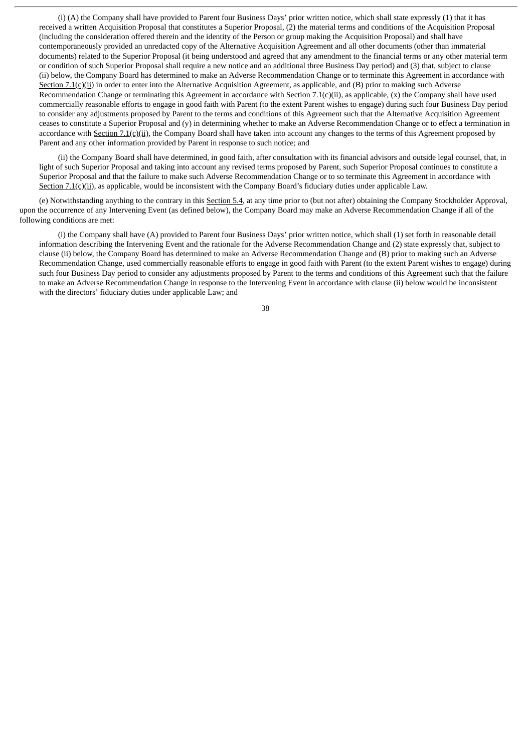(i) (A) the Company shall have provided to Parent four Business Days' prior written notice, which shall state expressly (1) that it has received a written Acquisition Proposal that constitutes a Superior Proposal, (2) the material terms and conditions of the Acquisition Proposal (including the consideration offered therein and the identity of the Person or group making the Acquisition Proposal) and shall have contemporaneously provided an unredacted copy of the Alternative Acquisition Agreement and all other documents (other than immaterial documents) related to the Superior Proposal (it being understood and agreed that any amendment to the financial terms or any other material term or condition of such Superior Proposal shall require a new notice and an additional three Business Day period) and (3) that, subject to clause (ii) below, the Company Board has determined to make an Adverse Recommendation Change or to terminate this Agreement in accordance with Section 7.1(c)(ii) in order to enter into the Alternative Acquisition Agreement, as applicable, and (B) prior to making such Adverse Recommendation Change or terminating this Agreement in accordance with Section 7.1(c)(ii), as applicable, (x) the Company shall have used commercially reasonable efforts to engage in good faith with Parent (to the extent Parent wishes to engage) during such four Business Day period to consider any adjustments proposed by Parent to the terms and conditions of this Agreement such that the Alternative Acquisition Agreement ceases to constitute a Superior Proposal and (y) in determining whether to make an Adverse Recommendation Change or to effect a termination in accordance with Section 7.1(c)(ii), the Company Board shall have taken into account any changes to the terms of this Agreement proposed by Parent and any other information provided by Parent in response to such notice; and

(ii) the Company Board shall have determined, in good faith, after consultation with its financial advisors and outside legal counsel, that, in light of such Superior Proposal and taking into account any revised terms proposed by Parent, such Superior Proposal continues to constitute a Superior Proposal and that the failure to make such Adverse Recommendation Change or to so terminate this Agreement in accordance with Section  $7.1(c)$ (ii), as applicable, would be inconsistent with the Company Board's fiduciary duties under applicable Law.

(e) Notwithstanding anything to the contrary in this Section 5.4, at any time prior to (but not after) obtaining the Company Stockholder Approval, upon the occurrence of any Intervening Event (as defined below), the Company Board may make an Adverse Recommendation Change if all of the following conditions are met:

(i) the Company shall have (A) provided to Parent four Business Days' prior written notice, which shall (1) set forth in reasonable detail information describing the Intervening Event and the rationale for the Adverse Recommendation Change and (2) state expressly that, subject to clause (ii) below, the Company Board has determined to make an Adverse Recommendation Change and (B) prior to making such an Adverse Recommendation Change, used commercially reasonable efforts to engage in good faith with Parent (to the extent Parent wishes to engage) during such four Business Day period to consider any adjustments proposed by Parent to the terms and conditions of this Agreement such that the failure to make an Adverse Recommendation Change in response to the Intervening Event in accordance with clause (ii) below would be inconsistent with the directors' fiduciary duties under applicable Law; and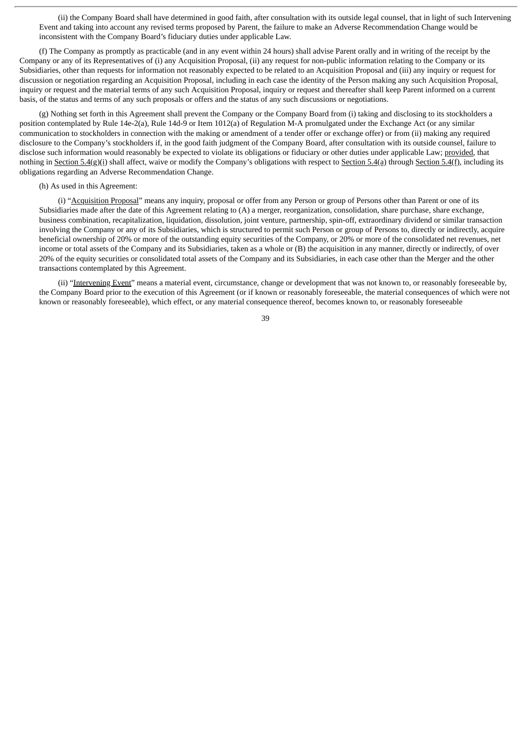(ii) the Company Board shall have determined in good faith, after consultation with its outside legal counsel, that in light of such Intervening Event and taking into account any revised terms proposed by Parent, the failure to make an Adverse Recommendation Change would be inconsistent with the Company Board's fiduciary duties under applicable Law.

(f) The Company as promptly as practicable (and in any event within 24 hours) shall advise Parent orally and in writing of the receipt by the Company or any of its Representatives of (i) any Acquisition Proposal, (ii) any request for non-public information relating to the Company or its Subsidiaries, other than requests for information not reasonably expected to be related to an Acquisition Proposal and (iii) any inquiry or request for discussion or negotiation regarding an Acquisition Proposal, including in each case the identity of the Person making any such Acquisition Proposal, inquiry or request and the material terms of any such Acquisition Proposal, inquiry or request and thereafter shall keep Parent informed on a current basis, of the status and terms of any such proposals or offers and the status of any such discussions or negotiations.

(g) Nothing set forth in this Agreement shall prevent the Company or the Company Board from (i) taking and disclosing to its stockholders a position contemplated by Rule 14e-2(a), Rule 14d-9 or Item 1012(a) of Regulation M-A promulgated under the Exchange Act (or any similar communication to stockholders in connection with the making or amendment of a tender offer or exchange offer) or from (ii) making any required disclosure to the Company's stockholders if, in the good faith judgment of the Company Board, after consultation with its outside counsel, failure to disclose such information would reasonably be expected to violate its obligations or fiduciary or other duties under applicable Law; provided, that nothing in Section 5.4(g)(i) shall affect, waive or modify the Company's obligations with respect to Section 5.4(a) through Section 5.4(f), including its obligations regarding an Adverse Recommendation Change.

### (h) As used in this Agreement:

(i) "Acquisition Proposal" means any inquiry, proposal or offer from any Person or group of Persons other than Parent or one of its Subsidiaries made after the date of this Agreement relating to (A) a merger, reorganization, consolidation, share purchase, share exchange, business combination, recapitalization, liquidation, dissolution, joint venture, partnership, spin-off, extraordinary dividend or similar transaction involving the Company or any of its Subsidiaries, which is structured to permit such Person or group of Persons to, directly or indirectly, acquire beneficial ownership of 20% or more of the outstanding equity securities of the Company, or 20% or more of the consolidated net revenues, net income or total assets of the Company and its Subsidiaries, taken as a whole or (B) the acquisition in any manner, directly or indirectly, of over 20% of the equity securities or consolidated total assets of the Company and its Subsidiaries, in each case other than the Merger and the other transactions contemplated by this Agreement.

(ii) "Intervening Event" means a material event, circumstance, change or development that was not known to, or reasonably foreseeable by, the Company Board prior to the execution of this Agreement (or if known or reasonably foreseeable, the material consequences of which were not known or reasonably foreseeable), which effect, or any material consequence thereof, becomes known to, or reasonably foreseeable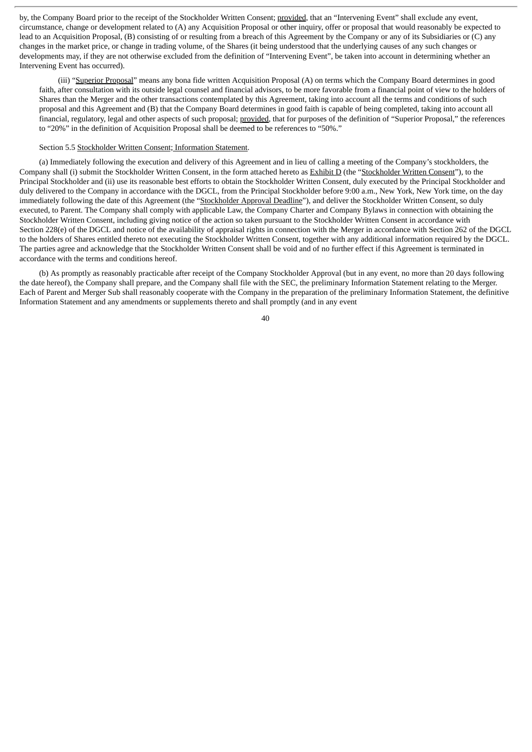by, the Company Board prior to the receipt of the Stockholder Written Consent; provided, that an "Intervening Event" shall exclude any event, circumstance, change or development related to (A) any Acquisition Proposal or other inquiry, offer or proposal that would reasonably be expected to lead to an Acquisition Proposal, (B) consisting of or resulting from a breach of this Agreement by the Company or any of its Subsidiaries or (C) any changes in the market price, or change in trading volume, of the Shares (it being understood that the underlying causes of any such changes or developments may, if they are not otherwise excluded from the definition of "Intervening Event", be taken into account in determining whether an Intervening Event has occurred).

(iii) "Superior Proposal" means any bona fide written Acquisition Proposal (A) on terms which the Company Board determines in good faith, after consultation with its outside legal counsel and financial advisors, to be more favorable from a financial point of view to the holders of Shares than the Merger and the other transactions contemplated by this Agreement, taking into account all the terms and conditions of such proposal and this Agreement and (B) that the Company Board determines in good faith is capable of being completed, taking into account all financial, regulatory, legal and other aspects of such proposal; provided, that for purposes of the definition of "Superior Proposal," the references to "20%" in the definition of Acquisition Proposal shall be deemed to be references to "50%."

### Section 5.5 Stockholder Written Consent; Information Statement.

(a) Immediately following the execution and delivery of this Agreement and in lieu of calling a meeting of the Company's stockholders, the Company shall (i) submit the Stockholder Written Consent, in the form attached hereto as **Exhibit D** (the "Stockholder Written Consent"), to the Principal Stockholder and (ii) use its reasonable best efforts to obtain the Stockholder Written Consent, duly executed by the Principal Stockholder and duly delivered to the Company in accordance with the DGCL, from the Principal Stockholder before 9:00 a.m., New York, New York time, on the day immediately following the date of this Agreement (the "Stockholder Approval Deadline"), and deliver the Stockholder Written Consent, so duly executed, to Parent. The Company shall comply with applicable Law, the Company Charter and Company Bylaws in connection with obtaining the Stockholder Written Consent, including giving notice of the action so taken pursuant to the Stockholder Written Consent in accordance with Section 228(e) of the DGCL and notice of the availability of appraisal rights in connection with the Merger in accordance with Section 262 of the DGCL to the holders of Shares entitled thereto not executing the Stockholder Written Consent, together with any additional information required by the DGCL. The parties agree and acknowledge that the Stockholder Written Consent shall be void and of no further effect if this Agreement is terminated in accordance with the terms and conditions hereof.

(b) As promptly as reasonably practicable after receipt of the Company Stockholder Approval (but in any event, no more than 20 days following the date hereof), the Company shall prepare, and the Company shall file with the SEC, the preliminary Information Statement relating to the Merger. Each of Parent and Merger Sub shall reasonably cooperate with the Company in the preparation of the preliminary Information Statement, the definitive Information Statement and any amendments or supplements thereto and shall promptly (and in any event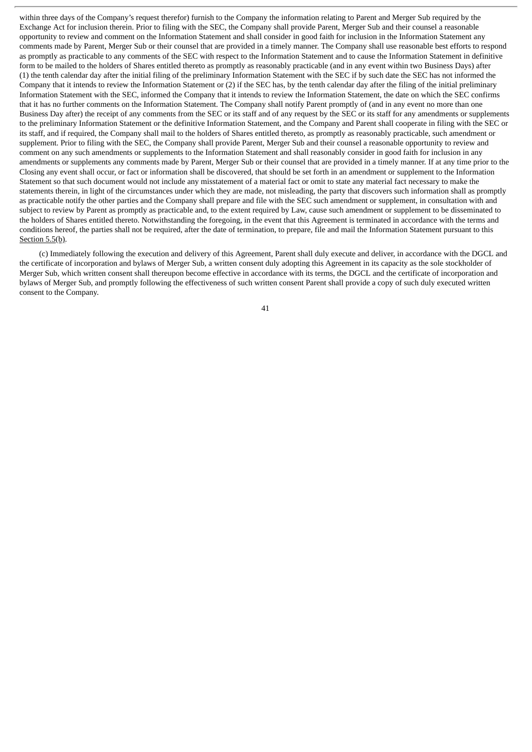within three days of the Company's request therefor) furnish to the Company the information relating to Parent and Merger Sub required by the Exchange Act for inclusion therein. Prior to filing with the SEC, the Company shall provide Parent, Merger Sub and their counsel a reasonable opportunity to review and comment on the Information Statement and shall consider in good faith for inclusion in the Information Statement any comments made by Parent, Merger Sub or their counsel that are provided in a timely manner. The Company shall use reasonable best efforts to respond as promptly as practicable to any comments of the SEC with respect to the Information Statement and to cause the Information Statement in definitive form to be mailed to the holders of Shares entitled thereto as promptly as reasonably practicable (and in any event within two Business Days) after (1) the tenth calendar day after the initial filing of the preliminary Information Statement with the SEC if by such date the SEC has not informed the Company that it intends to review the Information Statement or (2) if the SEC has, by the tenth calendar day after the filing of the initial preliminary Information Statement with the SEC, informed the Company that it intends to review the Information Statement, the date on which the SEC confirms that it has no further comments on the Information Statement. The Company shall notify Parent promptly of (and in any event no more than one Business Day after) the receipt of any comments from the SEC or its staff and of any request by the SEC or its staff for any amendments or supplements to the preliminary Information Statement or the definitive Information Statement, and the Company and Parent shall cooperate in filing with the SEC or its staff, and if required, the Company shall mail to the holders of Shares entitled thereto, as promptly as reasonably practicable, such amendment or supplement. Prior to filing with the SEC, the Company shall provide Parent, Merger Sub and their counsel a reasonable opportunity to review and comment on any such amendments or supplements to the Information Statement and shall reasonably consider in good faith for inclusion in any amendments or supplements any comments made by Parent, Merger Sub or their counsel that are provided in a timely manner. If at any time prior to the Closing any event shall occur, or fact or information shall be discovered, that should be set forth in an amendment or supplement to the Information Statement so that such document would not include any misstatement of a material fact or omit to state any material fact necessary to make the statements therein, in light of the circumstances under which they are made, not misleading, the party that discovers such information shall as promptly as practicable notify the other parties and the Company shall prepare and file with the SEC such amendment or supplement, in consultation with and subject to review by Parent as promptly as practicable and, to the extent required by Law, cause such amendment or supplement to be disseminated to the holders of Shares entitled thereto. Notwithstanding the foregoing, in the event that this Agreement is terminated in accordance with the terms and conditions hereof, the parties shall not be required, after the date of termination, to prepare, file and mail the Information Statement pursuant to this Section 5.5(b).

(c) Immediately following the execution and delivery of this Agreement, Parent shall duly execute and deliver, in accordance with the DGCL and the certificate of incorporation and bylaws of Merger Sub, a written consent duly adopting this Agreement in its capacity as the sole stockholder of Merger Sub, which written consent shall thereupon become effective in accordance with its terms, the DGCL and the certificate of incorporation and bylaws of Merger Sub, and promptly following the effectiveness of such written consent Parent shall provide a copy of such duly executed written consent to the Company.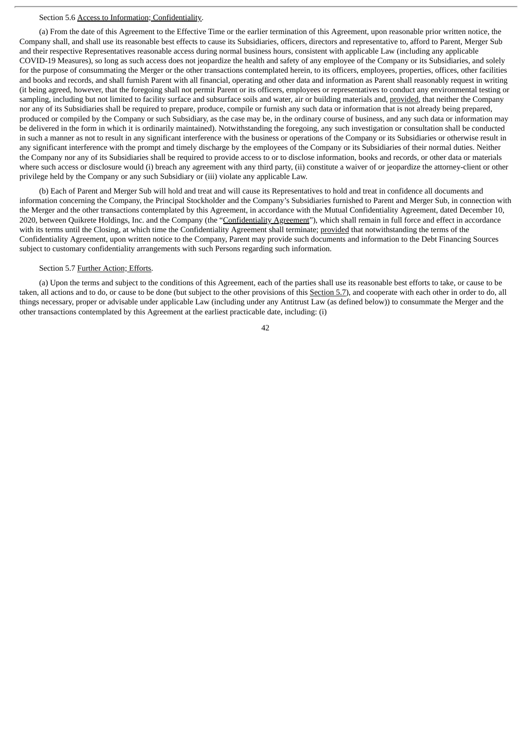## Section 5.6 Access to Information; Confidentiality.

(a) From the date of this Agreement to the Effective Time or the earlier termination of this Agreement, upon reasonable prior written notice, the Company shall, and shall use its reasonable best effects to cause its Subsidiaries, officers, directors and representative to, afford to Parent, Merger Sub and their respective Representatives reasonable access during normal business hours, consistent with applicable Law (including any applicable COVID-19 Measures), so long as such access does not jeopardize the health and safety of any employee of the Company or its Subsidiaries, and solely for the purpose of consummating the Merger or the other transactions contemplated herein, to its officers, employees, properties, offices, other facilities and books and records, and shall furnish Parent with all financial, operating and other data and information as Parent shall reasonably request in writing (it being agreed, however, that the foregoing shall not permit Parent or its officers, employees or representatives to conduct any environmental testing or sampling, including but not limited to facility surface and subsurface soils and water, air or building materials and, provided, that neither the Company nor any of its Subsidiaries shall be required to prepare, produce, compile or furnish any such data or information that is not already being prepared, produced or compiled by the Company or such Subsidiary, as the case may be, in the ordinary course of business, and any such data or information may be delivered in the form in which it is ordinarily maintained). Notwithstanding the foregoing, any such investigation or consultation shall be conducted in such a manner as not to result in any significant interference with the business or operations of the Company or its Subsidiaries or otherwise result in any significant interference with the prompt and timely discharge by the employees of the Company or its Subsidiaries of their normal duties. Neither the Company nor any of its Subsidiaries shall be required to provide access to or to disclose information, books and records, or other data or materials where such access or disclosure would (i) breach any agreement with any third party, (ii) constitute a waiver of or jeopardize the attorney-client or other privilege held by the Company or any such Subsidiary or (iii) violate any applicable Law.

(b) Each of Parent and Merger Sub will hold and treat and will cause its Representatives to hold and treat in confidence all documents and information concerning the Company, the Principal Stockholder and the Company's Subsidiaries furnished to Parent and Merger Sub, in connection with the Merger and the other transactions contemplated by this Agreement, in accordance with the Mutual Confidentiality Agreement, dated December 10, 2020, between Quikrete Holdings, Inc. and the Company (the "Confidentiality Agreement"), which shall remain in full force and effect in accordance with its terms until the Closing, at which time the Confidentiality Agreement shall terminate; provided that notwithstanding the terms of the Confidentiality Agreement, upon written notice to the Company, Parent may provide such documents and information to the Debt Financing Sources subject to customary confidentiality arrangements with such Persons regarding such information.

### Section 5.7 Further Action; Efforts.

(a) Upon the terms and subject to the conditions of this Agreement, each of the parties shall use its reasonable best efforts to take, or cause to be taken, all actions and to do, or cause to be done (but subject to the other provisions of this Section 5.7), and cooperate with each other in order to do, all things necessary, proper or advisable under applicable Law (including under any Antitrust Law (as defined below)) to consummate the Merger and the other transactions contemplated by this Agreement at the earliest practicable date, including: (i)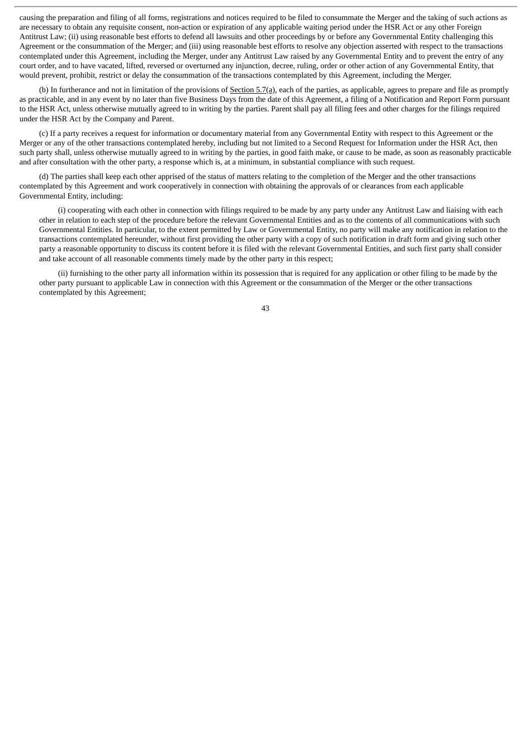causing the preparation and filing of all forms, registrations and notices required to be filed to consummate the Merger and the taking of such actions as are necessary to obtain any requisite consent, non-action or expiration of any applicable waiting period under the HSR Act or any other Foreign Antitrust Law; (ii) using reasonable best efforts to defend all lawsuits and other proceedings by or before any Governmental Entity challenging this Agreement or the consummation of the Merger; and (iii) using reasonable best efforts to resolve any objection asserted with respect to the transactions contemplated under this Agreement, including the Merger, under any Antitrust Law raised by any Governmental Entity and to prevent the entry of any court order, and to have vacated, lifted, reversed or overturned any injunction, decree, ruling, order or other action of any Governmental Entity, that would prevent, prohibit, restrict or delay the consummation of the transactions contemplated by this Agreement, including the Merger.

(b) In furtherance and not in limitation of the provisions of Section 5.7(a), each of the parties, as applicable, agrees to prepare and file as promptly as practicable, and in any event by no later than five Business Days from the date of this Agreement, a filing of a Notification and Report Form pursuant to the HSR Act, unless otherwise mutually agreed to in writing by the parties. Parent shall pay all filing fees and other charges for the filings required under the HSR Act by the Company and Parent.

(c) If a party receives a request for information or documentary material from any Governmental Entity with respect to this Agreement or the Merger or any of the other transactions contemplated hereby, including but not limited to a Second Request for Information under the HSR Act, then such party shall, unless otherwise mutually agreed to in writing by the parties, in good faith make, or cause to be made, as soon as reasonably practicable and after consultation with the other party, a response which is, at a minimum, in substantial compliance with such request.

(d) The parties shall keep each other apprised of the status of matters relating to the completion of the Merger and the other transactions contemplated by this Agreement and work cooperatively in connection with obtaining the approvals of or clearances from each applicable Governmental Entity, including:

(i) cooperating with each other in connection with filings required to be made by any party under any Antitrust Law and liaising with each other in relation to each step of the procedure before the relevant Governmental Entities and as to the contents of all communications with such Governmental Entities. In particular, to the extent permitted by Law or Governmental Entity, no party will make any notification in relation to the transactions contemplated hereunder, without first providing the other party with a copy of such notification in draft form and giving such other party a reasonable opportunity to discuss its content before it is filed with the relevant Governmental Entities, and such first party shall consider and take account of all reasonable comments timely made by the other party in this respect;

(ii) furnishing to the other party all information within its possession that is required for any application or other filing to be made by the other party pursuant to applicable Law in connection with this Agreement or the consummation of the Merger or the other transactions contemplated by this Agreement;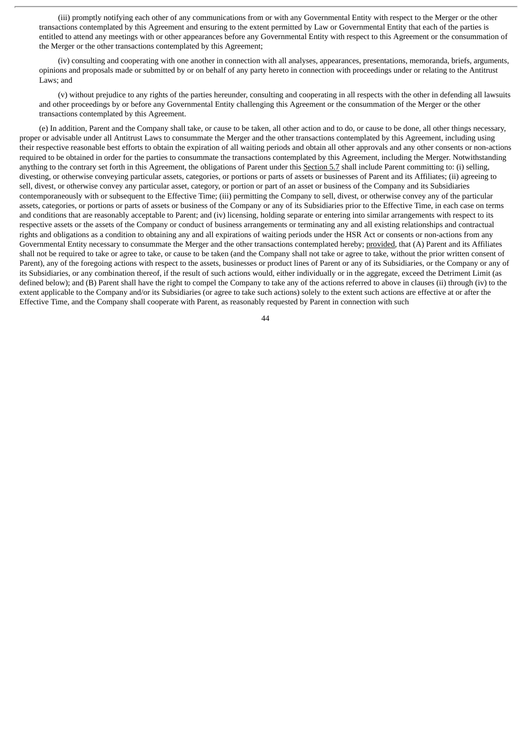(iii) promptly notifying each other of any communications from or with any Governmental Entity with respect to the Merger or the other transactions contemplated by this Agreement and ensuring to the extent permitted by Law or Governmental Entity that each of the parties is entitled to attend any meetings with or other appearances before any Governmental Entity with respect to this Agreement or the consummation of the Merger or the other transactions contemplated by this Agreement;

(iv) consulting and cooperating with one another in connection with all analyses, appearances, presentations, memoranda, briefs, arguments, opinions and proposals made or submitted by or on behalf of any party hereto in connection with proceedings under or relating to the Antitrust Laws; and

(v) without prejudice to any rights of the parties hereunder, consulting and cooperating in all respects with the other in defending all lawsuits and other proceedings by or before any Governmental Entity challenging this Agreement or the consummation of the Merger or the other transactions contemplated by this Agreement.

(e) In addition, Parent and the Company shall take, or cause to be taken, all other action and to do, or cause to be done, all other things necessary, proper or advisable under all Antitrust Laws to consummate the Merger and the other transactions contemplated by this Agreement, including using their respective reasonable best efforts to obtain the expiration of all waiting periods and obtain all other approvals and any other consents or non-actions required to be obtained in order for the parties to consummate the transactions contemplated by this Agreement, including the Merger. Notwithstanding anything to the contrary set forth in this Agreement, the obligations of Parent under this Section 5.7 shall include Parent committing to: (i) selling, divesting, or otherwise conveying particular assets, categories, or portions or parts of assets or businesses of Parent and its Affiliates; (ii) agreeing to sell, divest, or otherwise convey any particular asset, category, or portion or part of an asset or business of the Company and its Subsidiaries contemporaneously with or subsequent to the Effective Time; (iii) permitting the Company to sell, divest, or otherwise convey any of the particular assets, categories, or portions or parts of assets or business of the Company or any of its Subsidiaries prior to the Effective Time, in each case on terms and conditions that are reasonably acceptable to Parent; and (iv) licensing, holding separate or entering into similar arrangements with respect to its respective assets or the assets of the Company or conduct of business arrangements or terminating any and all existing relationships and contractual rights and obligations as a condition to obtaining any and all expirations of waiting periods under the HSR Act or consents or non-actions from any Governmental Entity necessary to consummate the Merger and the other transactions contemplated hereby; provided, that (A) Parent and its Affiliates shall not be required to take or agree to take, or cause to be taken (and the Company shall not take or agree to take, without the prior written consent of Parent), any of the foregoing actions with respect to the assets, businesses or product lines of Parent or any of its Subsidiaries, or the Company or any of its Subsidiaries, or any combination thereof, if the result of such actions would, either individually or in the aggregate, exceed the Detriment Limit (as defined below); and (B) Parent shall have the right to compel the Company to take any of the actions referred to above in clauses (ii) through (iv) to the extent applicable to the Company and/or its Subsidiaries (or agree to take such actions) solely to the extent such actions are effective at or after the Effective Time, and the Company shall cooperate with Parent, as reasonably requested by Parent in connection with such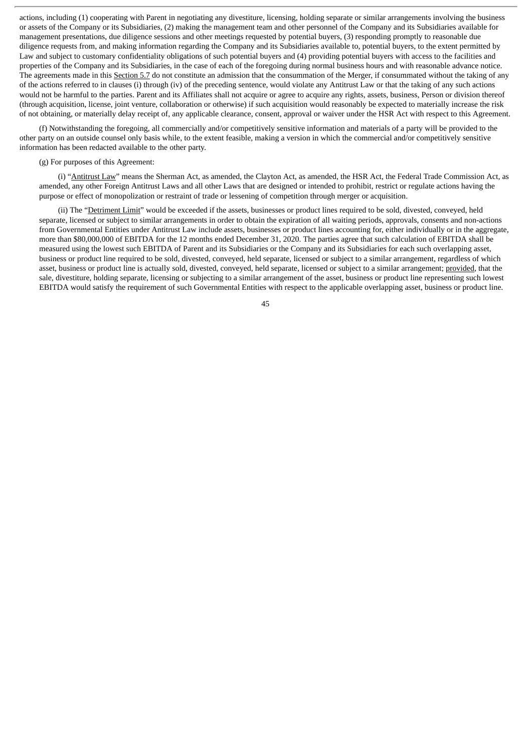actions, including (1) cooperating with Parent in negotiating any divestiture, licensing, holding separate or similar arrangements involving the business or assets of the Company or its Subsidiaries, (2) making the management team and other personnel of the Company and its Subsidiaries available for management presentations, due diligence sessions and other meetings requested by potential buyers, (3) responding promptly to reasonable due diligence requests from, and making information regarding the Company and its Subsidiaries available to, potential buyers, to the extent permitted by Law and subject to customary confidentiality obligations of such potential buyers and (4) providing potential buyers with access to the facilities and properties of the Company and its Subsidiaries, in the case of each of the foregoing during normal business hours and with reasonable advance notice. The agreements made in this Section 5.7 do not constitute an admission that the consummation of the Merger, if consummated without the taking of any of the actions referred to in clauses (i) through (iv) of the preceding sentence, would violate any Antitrust Law or that the taking of any such actions would not be harmful to the parties. Parent and its Affiliates shall not acquire or agree to acquire any rights, assets, business, Person or division thereof (through acquisition, license, joint venture, collaboration or otherwise) if such acquisition would reasonably be expected to materially increase the risk of not obtaining, or materially delay receipt of, any applicable clearance, consent, approval or waiver under the HSR Act with respect to this Agreement.

(f) Notwithstanding the foregoing, all commercially and/or competitively sensitive information and materials of a party will be provided to the other party on an outside counsel only basis while, to the extent feasible, making a version in which the commercial and/or competitively sensitive information has been redacted available to the other party.

### (g) For purposes of this Agreement:

(i) "Antitrust Law" means the Sherman Act, as amended, the Clayton Act, as amended, the HSR Act, the Federal Trade Commission Act, as amended, any other Foreign Antitrust Laws and all other Laws that are designed or intended to prohibit, restrict or regulate actions having the purpose or effect of monopolization or restraint of trade or lessening of competition through merger or acquisition.

(ii) The "Detriment Limit" would be exceeded if the assets, businesses or product lines required to be sold, divested, conveyed, held separate, licensed or subject to similar arrangements in order to obtain the expiration of all waiting periods, approvals, consents and non-actions from Governmental Entities under Antitrust Law include assets, businesses or product lines accounting for, either individually or in the aggregate, more than \$80,000,000 of EBITDA for the 12 months ended December 31, 2020. The parties agree that such calculation of EBITDA shall be measured using the lowest such EBITDA of Parent and its Subsidiaries or the Company and its Subsidiaries for each such overlapping asset, business or product line required to be sold, divested, conveyed, held separate, licensed or subject to a similar arrangement, regardless of which asset, business or product line is actually sold, divested, conveyed, held separate, licensed or subject to a similar arrangement; provided, that the sale, divestiture, holding separate, licensing or subjecting to a similar arrangement of the asset, business or product line representing such lowest EBITDA would satisfy the requirement of such Governmental Entities with respect to the applicable overlapping asset, business or product line.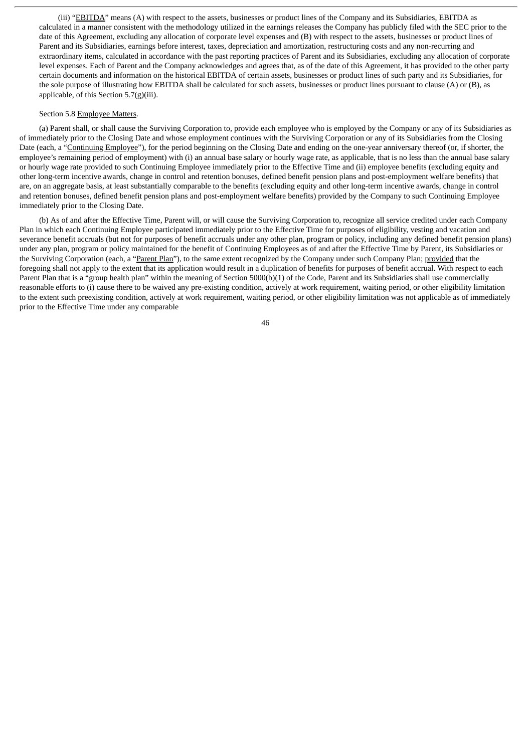(iii) "EBITDA" means (A) with respect to the assets, businesses or product lines of the Company and its Subsidiaries, EBITDA as calculated in a manner consistent with the methodology utilized in the earnings releases the Company has publicly filed with the SEC prior to the date of this Agreement, excluding any allocation of corporate level expenses and (B) with respect to the assets, businesses or product lines of Parent and its Subsidiaries, earnings before interest, taxes, depreciation and amortization, restructuring costs and any non-recurring and extraordinary items, calculated in accordance with the past reporting practices of Parent and its Subsidiaries, excluding any allocation of corporate level expenses. Each of Parent and the Company acknowledges and agrees that, as of the date of this Agreement, it has provided to the other party certain documents and information on the historical EBITDA of certain assets, businesses or product lines of such party and its Subsidiaries, for the sole purpose of illustrating how EBITDA shall be calculated for such assets, businesses or product lines pursuant to clause (A) or (B), as applicable, of this Section 5.7(g)(iii).

### Section 5.8 Employee Matters.

(a) Parent shall, or shall cause the Surviving Corporation to, provide each employee who is employed by the Company or any of its Subsidiaries as of immediately prior to the Closing Date and whose employment continues with the Surviving Corporation or any of its Subsidiaries from the Closing Date (each, a "Continuing Employee"), for the period beginning on the Closing Date and ending on the one-year anniversary thereof (or, if shorter, the employee's remaining period of employment) with (i) an annual base salary or hourly wage rate, as applicable, that is no less than the annual base salary or hourly wage rate provided to such Continuing Employee immediately prior to the Effective Time and (ii) employee benefits (excluding equity and other long-term incentive awards, change in control and retention bonuses, defined benefit pension plans and post-employment welfare benefits) that are, on an aggregate basis, at least substantially comparable to the benefits (excluding equity and other long-term incentive awards, change in control and retention bonuses, defined benefit pension plans and post-employment welfare benefits) provided by the Company to such Continuing Employee immediately prior to the Closing Date.

(b) As of and after the Effective Time, Parent will, or will cause the Surviving Corporation to, recognize all service credited under each Company Plan in which each Continuing Employee participated immediately prior to the Effective Time for purposes of eligibility, vesting and vacation and severance benefit accruals (but not for purposes of benefit accruals under any other plan, program or policy, including any defined benefit pension plans) under any plan, program or policy maintained for the benefit of Continuing Employees as of and after the Effective Time by Parent, its Subsidiaries or the Surviving Corporation (each, a "Parent Plan"), to the same extent recognized by the Company under such Company Plan; provided that the foregoing shall not apply to the extent that its application would result in a duplication of benefits for purposes of benefit accrual. With respect to each Parent Plan that is a "group health plan" within the meaning of Section 5000(b)(1) of the Code, Parent and its Subsidiaries shall use commercially reasonable efforts to (i) cause there to be waived any pre-existing condition, actively at work requirement, waiting period, or other eligibility limitation to the extent such preexisting condition, actively at work requirement, waiting period, or other eligibility limitation was not applicable as of immediately prior to the Effective Time under any comparable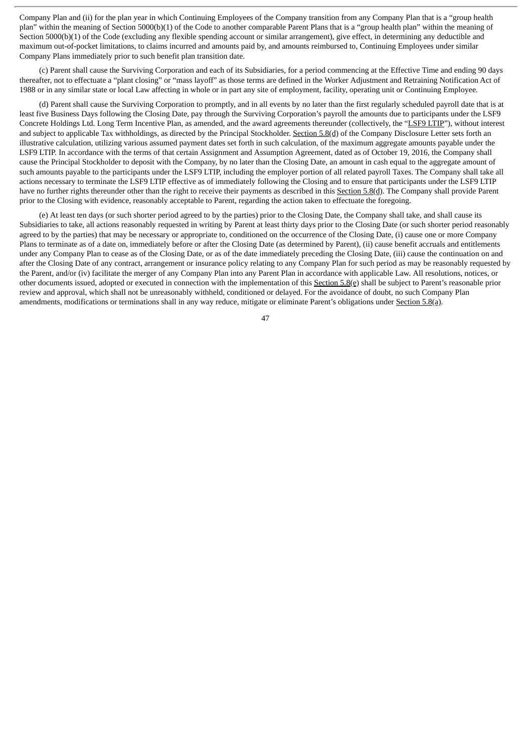Company Plan and (ii) for the plan year in which Continuing Employees of the Company transition from any Company Plan that is a "group health plan" within the meaning of Section 5000(b)(1) of the Code to another comparable Parent Plans that is a "group health plan" within the meaning of Section 5000(b)(1) of the Code (excluding any flexible spending account or similar arrangement), give effect, in determining any deductible and maximum out-of-pocket limitations, to claims incurred and amounts paid by, and amounts reimbursed to, Continuing Employees under similar Company Plans immediately prior to such benefit plan transition date.

(c) Parent shall cause the Surviving Corporation and each of its Subsidiaries, for a period commencing at the Effective Time and ending 90 days thereafter, not to effectuate a "plant closing" or "mass layoff" as those terms are defined in the Worker Adjustment and Retraining Notification Act of 1988 or in any similar state or local Law affecting in whole or in part any site of employment, facility, operating unit or Continuing Employee.

(d) Parent shall cause the Surviving Corporation to promptly, and in all events by no later than the first regularly scheduled payroll date that is at least five Business Days following the Closing Date, pay through the Surviving Corporation's payroll the amounts due to participants under the LSF9 Concrete Holdings Ltd. Long Term Incentive Plan, as amended, and the award agreements thereunder (collectively, the "LSF9 LTIP"), without interest and subject to applicable Tax withholdings, as directed by the Principal Stockholder. Section 5.8(d) of the Company Disclosure Letter sets forth an illustrative calculation, utilizing various assumed payment dates set forth in such calculation, of the maximum aggregate amounts payable under the LSF9 LTIP. In accordance with the terms of that certain Assignment and Assumption Agreement, dated as of October 19, 2016, the Company shall cause the Principal Stockholder to deposit with the Company, by no later than the Closing Date, an amount in cash equal to the aggregate amount of such amounts payable to the participants under the LSF9 LTIP, including the employer portion of all related payroll Taxes. The Company shall take all actions necessary to terminate the LSF9 LTIP effective as of immediately following the Closing and to ensure that participants under the LSF9 LTIP have no further rights thereunder other than the right to receive their payments as described in this Section 5.8(d). The Company shall provide Parent prior to the Closing with evidence, reasonably acceptable to Parent, regarding the action taken to effectuate the foregoing.

(e) At least ten days (or such shorter period agreed to by the parties) prior to the Closing Date, the Company shall take, and shall cause its Subsidiaries to take, all actions reasonably requested in writing by Parent at least thirty days prior to the Closing Date (or such shorter period reasonably agreed to by the parties) that may be necessary or appropriate to, conditioned on the occurrence of the Closing Date, (i) cause one or more Company Plans to terminate as of a date on, immediately before or after the Closing Date (as determined by Parent), (ii) cause benefit accruals and entitlements under any Company Plan to cease as of the Closing Date, or as of the date immediately preceding the Closing Date, (iii) cause the continuation on and after the Closing Date of any contract, arrangement or insurance policy relating to any Company Plan for such period as may be reasonably requested by the Parent, and/or (iv) facilitate the merger of any Company Plan into any Parent Plan in accordance with applicable Law. All resolutions, notices, or other documents issued, adopted or executed in connection with the implementation of this Section  $5.8(e)$  shall be subject to Parent's reasonable prior review and approval, which shall not be unreasonably withheld, conditioned or delayed. For the avoidance of doubt, no such Company Plan amendments, modifications or terminations shall in any way reduce, mitigate or eliminate Parent's obligations under Section 5.8(a).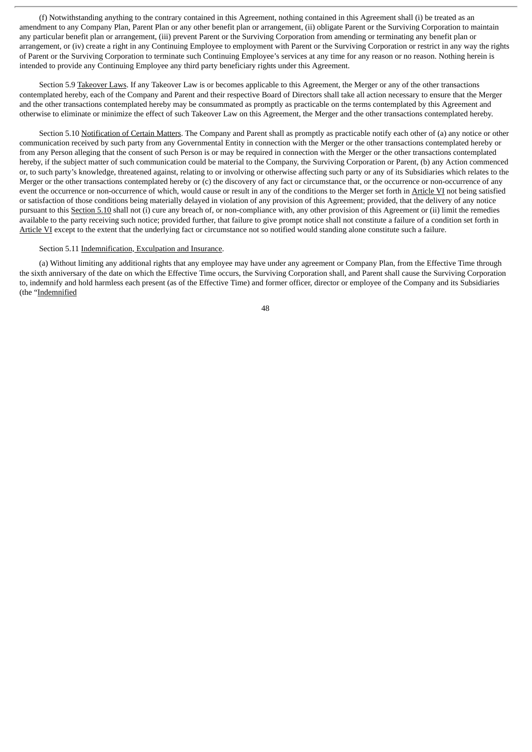(f) Notwithstanding anything to the contrary contained in this Agreement, nothing contained in this Agreement shall (i) be treated as an amendment to any Company Plan, Parent Plan or any other benefit plan or arrangement, (ii) obligate Parent or the Surviving Corporation to maintain any particular benefit plan or arrangement, (iii) prevent Parent or the Surviving Corporation from amending or terminating any benefit plan or arrangement, or (iv) create a right in any Continuing Employee to employment with Parent or the Surviving Corporation or restrict in any way the rights of Parent or the Surviving Corporation to terminate such Continuing Employee's services at any time for any reason or no reason. Nothing herein is intended to provide any Continuing Employee any third party beneficiary rights under this Agreement.

Section 5.9 Takeover Laws. If any Takeover Law is or becomes applicable to this Agreement, the Merger or any of the other transactions contemplated hereby, each of the Company and Parent and their respective Board of Directors shall take all action necessary to ensure that the Merger and the other transactions contemplated hereby may be consummated as promptly as practicable on the terms contemplated by this Agreement and otherwise to eliminate or minimize the effect of such Takeover Law on this Agreement, the Merger and the other transactions contemplated hereby.

Section 5.10 Notification of Certain Matters. The Company and Parent shall as promptly as practicable notify each other of (a) any notice or other communication received by such party from any Governmental Entity in connection with the Merger or the other transactions contemplated hereby or from any Person alleging that the consent of such Person is or may be required in connection with the Merger or the other transactions contemplated hereby, if the subject matter of such communication could be material to the Company, the Surviving Corporation or Parent, (b) any Action commenced or, to such party's knowledge, threatened against, relating to or involving or otherwise affecting such party or any of its Subsidiaries which relates to the Merger or the other transactions contemplated hereby or (c) the discovery of any fact or circumstance that, or the occurrence or non-occurrence of any event the occurrence or non-occurrence of which, would cause or result in any of the conditions to the Merger set forth in Article VI not being satisfied or satisfaction of those conditions being materially delayed in violation of any provision of this Agreement; provided, that the delivery of any notice pursuant to this Section 5.10 shall not (i) cure any breach of, or non-compliance with, any other provision of this Agreement or (ii) limit the remedies available to the party receiving such notice; provided further, that failure to give prompt notice shall not constitute a failure of a condition set forth in Article VI except to the extent that the underlying fact or circumstance not so notified would standing alone constitute such a failure.

# Section 5.11 Indemnification, Exculpation and Insurance.

(a) Without limiting any additional rights that any employee may have under any agreement or Company Plan, from the Effective Time through the sixth anniversary of the date on which the Effective Time occurs, the Surviving Corporation shall, and Parent shall cause the Surviving Corporation to, indemnify and hold harmless each present (as of the Effective Time) and former officer, director or employee of the Company and its Subsidiaries (the "Indemnified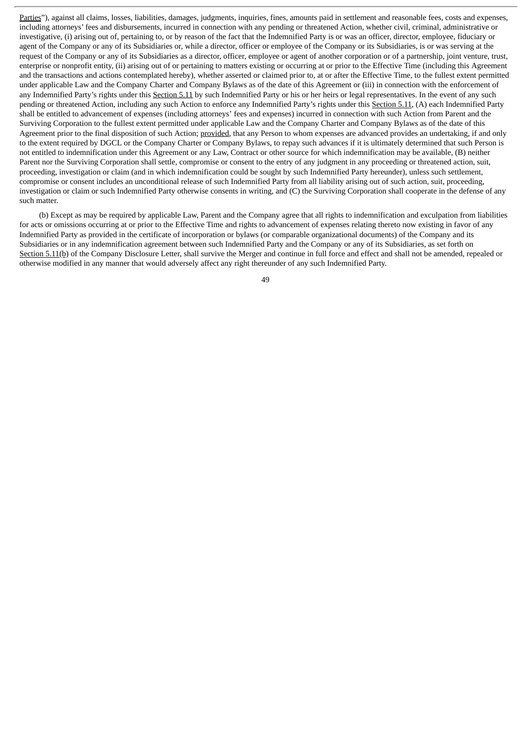Parties"), against all claims, losses, liabilities, damages, judgments, inquiries, fines, amounts paid in settlement and reasonable fees, costs and expenses, including attorneys' fees and disbursements, incurred in connection with any pending or threatened Action, whether civil, criminal, administrative or investigative, (i) arising out of, pertaining to, or by reason of the fact that the Indemnified Party is or was an officer, director, employee, fiduciary or agent of the Company or any of its Subsidiaries or, while a director, officer or employee of the Company or its Subsidiaries, is or was serving at the request of the Company or any of its Subsidiaries as a director, officer, employee or agent of another corporation or of a partnership, joint venture, trust, enterprise or nonprofit entity, (ii) arising out of or pertaining to matters existing or occurring at or prior to the Effective Time (including this Agreement and the transactions and actions contemplated hereby), whether asserted or claimed prior to, at or after the Effective Time, to the fullest extent permitted under applicable Law and the Company Charter and Company Bylaws as of the date of this Agreement or (iii) in connection with the enforcement of any Indemnified Party's rights under this Section 5.11 by such Indemnified Party or his or her heirs or legal representatives. In the event of any such pending or threatened Action, including any such Action to enforce any Indemnified Party's rights under this Section 5.11, (A) each Indemnified Party shall be entitled to advancement of expenses (including attorneys' fees and expenses) incurred in connection with such Action from Parent and the Surviving Corporation to the fullest extent permitted under applicable Law and the Company Charter and Company Bylaws as of the date of this Agreement prior to the final disposition of such Action; provided, that any Person to whom expenses are advanced provides an undertaking, if and only to the extent required by DGCL or the Company Charter or Company Bylaws, to repay such advances if it is ultimately determined that such Person is not entitled to indemnification under this Agreement or any Law, Contract or other source for which indemnification may be available, (B) neither Parent nor the Surviving Corporation shall settle, compromise or consent to the entry of any judgment in any proceeding or threatened action, suit, proceeding, investigation or claim (and in which indemnification could be sought by such Indemnified Party hereunder), unless such settlement, compromise or consent includes an unconditional release of such Indemnified Party from all liability arising out of such action, suit, proceeding, investigation or claim or such Indemnified Party otherwise consents in writing, and (C) the Surviving Corporation shall cooperate in the defense of any such matter.

(b) Except as may be required by applicable Law, Parent and the Company agree that all rights to indemnification and exculpation from liabilities for acts or omissions occurring at or prior to the Effective Time and rights to advancement of expenses relating thereto now existing in favor of any Indemnified Party as provided in the certificate of incorporation or bylaws (or comparable organizational documents) of the Company and its Subsidiaries or in any indemnification agreement between such Indemnified Party and the Company or any of its Subsidiaries, as set forth on Section 5.11(b) of the Company Disclosure Letter, shall survive the Merger and continue in full force and effect and shall not be amended, repealed or otherwise modified in any manner that would adversely affect any right thereunder of any such Indemnified Party.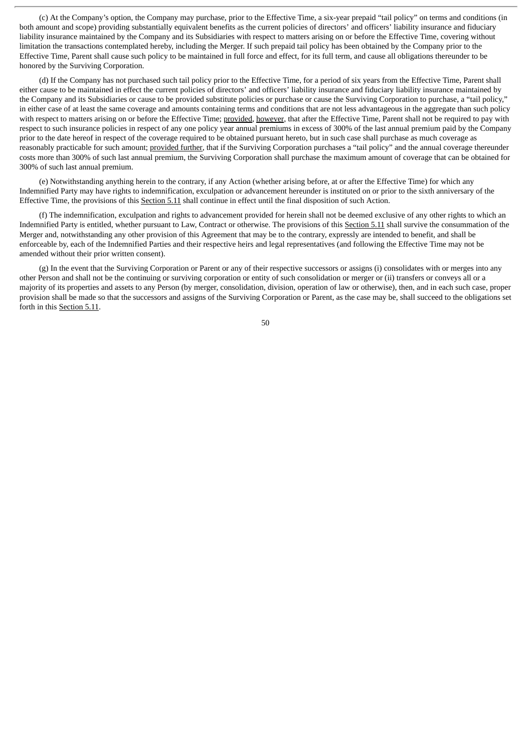(c) At the Company's option, the Company may purchase, prior to the Effective Time, a six-year prepaid "tail policy" on terms and conditions (in both amount and scope) providing substantially equivalent benefits as the current policies of directors' and officers' liability insurance and fiduciary liability insurance maintained by the Company and its Subsidiaries with respect to matters arising on or before the Effective Time, covering without limitation the transactions contemplated hereby, including the Merger. If such prepaid tail policy has been obtained by the Company prior to the Effective Time, Parent shall cause such policy to be maintained in full force and effect, for its full term, and cause all obligations thereunder to be honored by the Surviving Corporation.

(d) If the Company has not purchased such tail policy prior to the Effective Time, for a period of six years from the Effective Time, Parent shall either cause to be maintained in effect the current policies of directors' and officers' liability insurance and fiduciary liability insurance maintained by the Company and its Subsidiaries or cause to be provided substitute policies or purchase or cause the Surviving Corporation to purchase, a "tail policy," in either case of at least the same coverage and amounts containing terms and conditions that are not less advantageous in the aggregate than such policy with respect to matters arising on or before the Effective Time; provided, however, that after the Effective Time, Parent shall not be required to pay with respect to such insurance policies in respect of any one policy year annual premiums in excess of 300% of the last annual premium paid by the Company prior to the date hereof in respect of the coverage required to be obtained pursuant hereto, but in such case shall purchase as much coverage as reasonably practicable for such amount; provided further, that if the Surviving Corporation purchases a "tail policy" and the annual coverage thereunder costs more than 300% of such last annual premium, the Surviving Corporation shall purchase the maximum amount of coverage that can be obtained for 300% of such last annual premium.

(e) Notwithstanding anything herein to the contrary, if any Action (whether arising before, at or after the Effective Time) for which any Indemnified Party may have rights to indemnification, exculpation or advancement hereunder is instituted on or prior to the sixth anniversary of the Effective Time, the provisions of this Section 5.11 shall continue in effect until the final disposition of such Action.

(f) The indemnification, exculpation and rights to advancement provided for herein shall not be deemed exclusive of any other rights to which an Indemnified Party is entitled, whether pursuant to Law, Contract or otherwise. The provisions of this Section 5.11 shall survive the consummation of the Merger and, notwithstanding any other provision of this Agreement that may be to the contrary, expressly are intended to benefit, and shall be enforceable by, each of the Indemnified Parties and their respective heirs and legal representatives (and following the Effective Time may not be amended without their prior written consent).

(g) In the event that the Surviving Corporation or Parent or any of their respective successors or assigns (i) consolidates with or merges into any other Person and shall not be the continuing or surviving corporation or entity of such consolidation or merger or (ii) transfers or conveys all or a majority of its properties and assets to any Person (by merger, consolidation, division, operation of law or otherwise), then, and in each such case, proper provision shall be made so that the successors and assigns of the Surviving Corporation or Parent, as the case may be, shall succeed to the obligations set forth in this Section 5.11.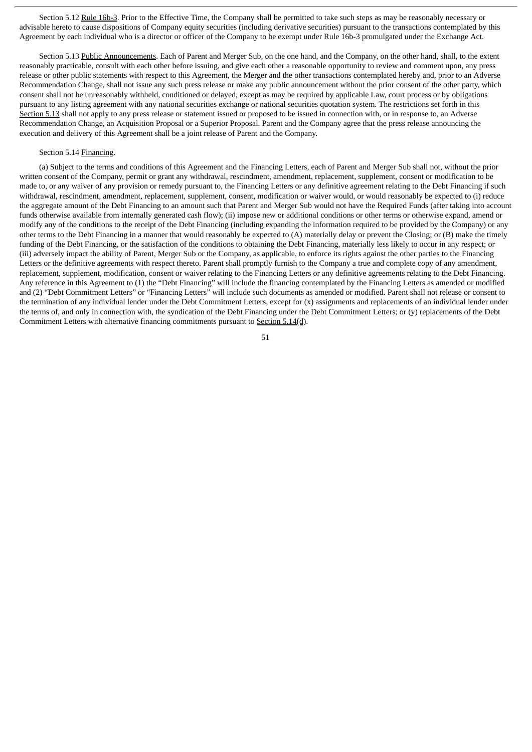Section 5.12 Rule 16b-3. Prior to the Effective Time, the Company shall be permitted to take such steps as may be reasonably necessary or advisable hereto to cause dispositions of Company equity securities (including derivative securities) pursuant to the transactions contemplated by this Agreement by each individual who is a director or officer of the Company to be exempt under Rule 16b-3 promulgated under the Exchange Act.

Section 5.13 Public Announcements. Each of Parent and Merger Sub, on the one hand, and the Company, on the other hand, shall, to the extent reasonably practicable, consult with each other before issuing, and give each other a reasonable opportunity to review and comment upon, any press release or other public statements with respect to this Agreement, the Merger and the other transactions contemplated hereby and, prior to an Adverse Recommendation Change, shall not issue any such press release or make any public announcement without the prior consent of the other party, which consent shall not be unreasonably withheld, conditioned or delayed, except as may be required by applicable Law, court process or by obligations pursuant to any listing agreement with any national securities exchange or national securities quotation system. The restrictions set forth in this Section 5.13 shall not apply to any press release or statement issued or proposed to be issued in connection with, or in response to, an Adverse Recommendation Change, an Acquisition Proposal or a Superior Proposal. Parent and the Company agree that the press release announcing the execution and delivery of this Agreement shall be a joint release of Parent and the Company.

## Section 5.14 Financing.

(a) Subject to the terms and conditions of this Agreement and the Financing Letters, each of Parent and Merger Sub shall not, without the prior written consent of the Company, permit or grant any withdrawal, rescindment, amendment, replacement, supplement, consent or modification to be made to, or any waiver of any provision or remedy pursuant to, the Financing Letters or any definitive agreement relating to the Debt Financing if such withdrawal, rescindment, amendment, replacement, supplement, consent, modification or waiver would, or would reasonably be expected to (i) reduce the aggregate amount of the Debt Financing to an amount such that Parent and Merger Sub would not have the Required Funds (after taking into account funds otherwise available from internally generated cash flow); (ii) impose new or additional conditions or other terms or otherwise expand, amend or modify any of the conditions to the receipt of the Debt Financing (including expanding the information required to be provided by the Company) or any other terms to the Debt Financing in a manner that would reasonably be expected to (A) materially delay or prevent the Closing; or (B) make the timely funding of the Debt Financing, or the satisfaction of the conditions to obtaining the Debt Financing, materially less likely to occur in any respect; or (iii) adversely impact the ability of Parent, Merger Sub or the Company, as applicable, to enforce its rights against the other parties to the Financing Letters or the definitive agreements with respect thereto. Parent shall promptly furnish to the Company a true and complete copy of any amendment, replacement, supplement, modification, consent or waiver relating to the Financing Letters or any definitive agreements relating to the Debt Financing. Any reference in this Agreement to (1) the "Debt Financing" will include the financing contemplated by the Financing Letters as amended or modified and (2) "Debt Commitment Letters" or "Financing Letters" will include such documents as amended or modified. Parent shall not release or consent to the termination of any individual lender under the Debt Commitment Letters, except for (x) assignments and replacements of an individual lender under the terms of, and only in connection with, the syndication of the Debt Financing under the Debt Commitment Letters; or (y) replacements of the Debt Commitment Letters with alternative financing commitments pursuant to Section 5.14(d).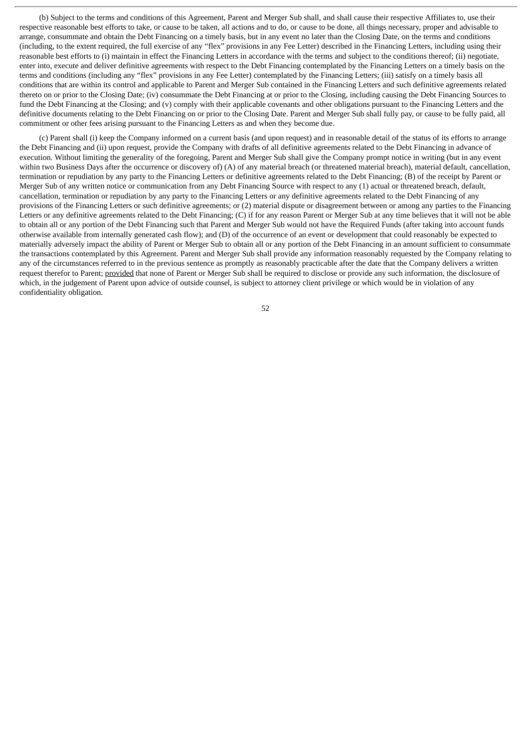(b) Subject to the terms and conditions of this Agreement, Parent and Merger Sub shall, and shall cause their respective Affiliates to, use their respective reasonable best efforts to take, or cause to be taken, all actions and to do, or cause to be done, all things necessary, proper and advisable to arrange, consummate and obtain the Debt Financing on a timely basis, but in any event no later than the Closing Date, on the terms and conditions (including, to the extent required, the full exercise of any "flex" provisions in any Fee Letter) described in the Financing Letters, including using their reasonable best efforts to (i) maintain in effect the Financing Letters in accordance with the terms and subject to the conditions thereof; (ii) negotiate, enter into, execute and deliver definitive agreements with respect to the Debt Financing contemplated by the Financing Letters on a timely basis on the terms and conditions (including any "flex" provisions in any Fee Letter) contemplated by the Financing Letters; (iii) satisfy on a timely basis all conditions that are within its control and applicable to Parent and Merger Sub contained in the Financing Letters and such definitive agreements related thereto on or prior to the Closing Date; (iv) consummate the Debt Financing at or prior to the Closing, including causing the Debt Financing Sources to fund the Debt Financing at the Closing; and (v) comply with their applicable covenants and other obligations pursuant to the Financing Letters and the definitive documents relating to the Debt Financing on or prior to the Closing Date. Parent and Merger Sub shall fully pay, or cause to be fully paid, all commitment or other fees arising pursuant to the Financing Letters as and when they become due.

(c) Parent shall (i) keep the Company informed on a current basis (and upon request) and in reasonable detail of the status of its efforts to arrange the Debt Financing and (ii) upon request, provide the Company with drafts of all definitive agreements related to the Debt Financing in advance of execution. Without limiting the generality of the foregoing, Parent and Merger Sub shall give the Company prompt notice in writing (but in any event within two Business Days after the occurrence or discovery of) (A) of any material breach (or threatened material breach), material default, cancellation, termination or repudiation by any party to the Financing Letters or definitive agreements related to the Debt Financing; (B) of the receipt by Parent or Merger Sub of any written notice or communication from any Debt Financing Source with respect to any (1) actual or threatened breach, default, cancellation, termination or repudiation by any party to the Financing Letters or any definitive agreements related to the Debt Financing of any provisions of the Financing Letters or such definitive agreements; or (2) material dispute or disagreement between or among any parties to the Financing Letters or any definitive agreements related to the Debt Financing; (C) if for any reason Parent or Merger Sub at any time believes that it will not be able to obtain all or any portion of the Debt Financing such that Parent and Merger Sub would not have the Required Funds (after taking into account funds otherwise available from internally generated cash flow); and (D) of the occurrence of an event or development that could reasonably be expected to materially adversely impact the ability of Parent or Merger Sub to obtain all or any portion of the Debt Financing in an amount sufficient to consummate the transactions contemplated by this Agreement. Parent and Merger Sub shall provide any information reasonably requested by the Company relating to any of the circumstances referred to in the previous sentence as promptly as reasonably practicable after the date that the Company delivers a written request therefor to Parent; provided that none of Parent or Merger Sub shall be required to disclose or provide any such information, the disclosure of which, in the judgement of Parent upon advice of outside counsel, is subject to attorney client privilege or which would be in violation of any confidentiality obligation.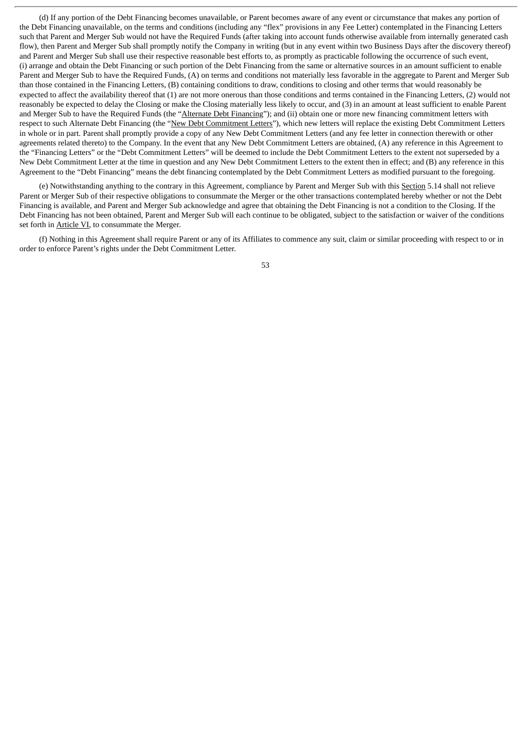(d) If any portion of the Debt Financing becomes unavailable, or Parent becomes aware of any event or circumstance that makes any portion of the Debt Financing unavailable, on the terms and conditions (including any "flex" provisions in any Fee Letter) contemplated in the Financing Letters such that Parent and Merger Sub would not have the Required Funds (after taking into account funds otherwise available from internally generated cash flow), then Parent and Merger Sub shall promptly notify the Company in writing (but in any event within two Business Days after the discovery thereof) and Parent and Merger Sub shall use their respective reasonable best efforts to, as promptly as practicable following the occurrence of such event, (i) arrange and obtain the Debt Financing or such portion of the Debt Financing from the same or alternative sources in an amount sufficient to enable Parent and Merger Sub to have the Required Funds, (A) on terms and conditions not materially less favorable in the aggregate to Parent and Merger Sub than those contained in the Financing Letters, (B) containing conditions to draw, conditions to closing and other terms that would reasonably be expected to affect the availability thereof that (1) are not more onerous than those conditions and terms contained in the Financing Letters, (2) would not reasonably be expected to delay the Closing or make the Closing materially less likely to occur, and (3) in an amount at least sufficient to enable Parent and Merger Sub to have the Required Funds (the "Alternate Debt Financing"); and (ii) obtain one or more new financing commitment letters with respect to such Alternate Debt Financing (the "New Debt Commitment Letters"), which new letters will replace the existing Debt Commitment Letters in whole or in part. Parent shall promptly provide a copy of any New Debt Commitment Letters (and any fee letter in connection therewith or other agreements related thereto) to the Company. In the event that any New Debt Commitment Letters are obtained, (A) any reference in this Agreement to the "Financing Letters" or the "Debt Commitment Letters" will be deemed to include the Debt Commitment Letters to the extent not superseded by a New Debt Commitment Letter at the time in question and any New Debt Commitment Letters to the extent then in effect; and (B) any reference in this Agreement to the "Debt Financing" means the debt financing contemplated by the Debt Commitment Letters as modified pursuant to the foregoing.

(e) Notwithstanding anything to the contrary in this Agreement, compliance by Parent and Merger Sub with this Section 5.14 shall not relieve Parent or Merger Sub of their respective obligations to consummate the Merger or the other transactions contemplated hereby whether or not the Debt Financing is available, and Parent and Merger Sub acknowledge and agree that obtaining the Debt Financing is not a condition to the Closing. If the Debt Financing has not been obtained, Parent and Merger Sub will each continue to be obligated, subject to the satisfaction or waiver of the conditions set forth in Article VI, to consummate the Merger.

(f) Nothing in this Agreement shall require Parent or any of its Affiliates to commence any suit, claim or similar proceeding with respect to or in order to enforce Parent's rights under the Debt Commitment Letter.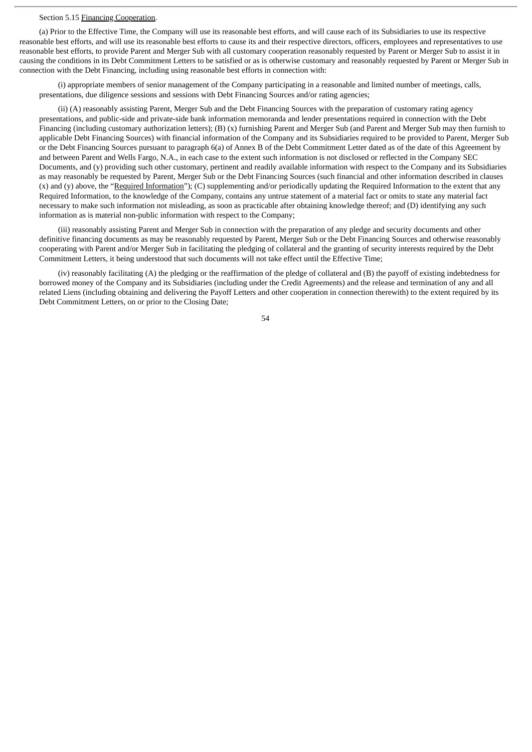#### Section 5.15 Financing Cooperation.

(a) Prior to the Effective Time, the Company will use its reasonable best efforts, and will cause each of its Subsidiaries to use its respective reasonable best efforts, and will use its reasonable best efforts to cause its and their respective directors, officers, employees and representatives to use reasonable best efforts, to provide Parent and Merger Sub with all customary cooperation reasonably requested by Parent or Merger Sub to assist it in causing the conditions in its Debt Commitment Letters to be satisfied or as is otherwise customary and reasonably requested by Parent or Merger Sub in connection with the Debt Financing, including using reasonable best efforts in connection with:

(i) appropriate members of senior management of the Company participating in a reasonable and limited number of meetings, calls, presentations, due diligence sessions and sessions with Debt Financing Sources and/or rating agencies;

(ii) (A) reasonably assisting Parent, Merger Sub and the Debt Financing Sources with the preparation of customary rating agency presentations, and public-side and private-side bank information memoranda and lender presentations required in connection with the Debt Financing (including customary authorization letters); (B) (x) furnishing Parent and Merger Sub (and Parent and Merger Sub may then furnish to applicable Debt Financing Sources) with financial information of the Company and its Subsidiaries required to be provided to Parent, Merger Sub or the Debt Financing Sources pursuant to paragraph 6(a) of Annex B of the Debt Commitment Letter dated as of the date of this Agreement by and between Parent and Wells Fargo, N.A., in each case to the extent such information is not disclosed or reflected in the Company SEC Documents, and (y) providing such other customary, pertinent and readily available information with respect to the Company and its Subsidiaries as may reasonably be requested by Parent, Merger Sub or the Debt Financing Sources (such financial and other information described in clauses  $(x)$  and  $(y)$  above, the "Required Information");  $(C)$  supplementing and/or periodically updating the Required Information to the extent that any Required Information, to the knowledge of the Company, contains any untrue statement of a material fact or omits to state any material fact necessary to make such information not misleading, as soon as practicable after obtaining knowledge thereof; and (D) identifying any such information as is material non-public information with respect to the Company;

(iii) reasonably assisting Parent and Merger Sub in connection with the preparation of any pledge and security documents and other definitive financing documents as may be reasonably requested by Parent, Merger Sub or the Debt Financing Sources and otherwise reasonably cooperating with Parent and/or Merger Sub in facilitating the pledging of collateral and the granting of security interests required by the Debt Commitment Letters, it being understood that such documents will not take effect until the Effective Time;

(iv) reasonably facilitating (A) the pledging or the reaffirmation of the pledge of collateral and (B) the payoff of existing indebtedness for borrowed money of the Company and its Subsidiaries (including under the Credit Agreements) and the release and termination of any and all related Liens (including obtaining and delivering the Payoff Letters and other cooperation in connection therewith) to the extent required by its Debt Commitment Letters, on or prior to the Closing Date;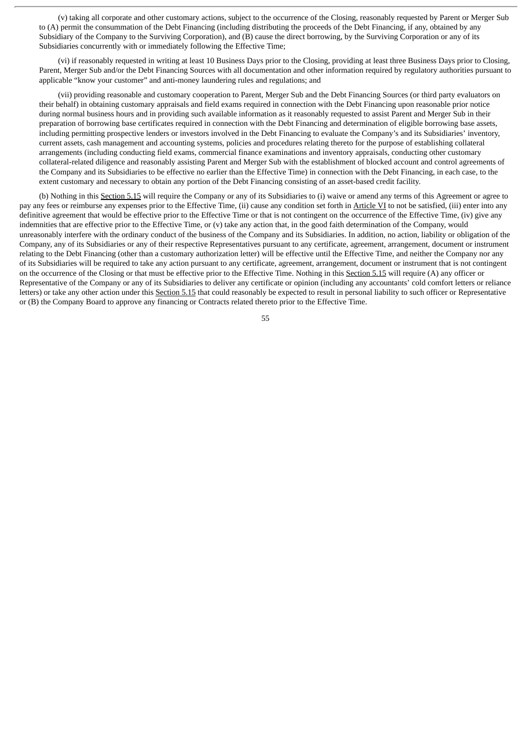(v) taking all corporate and other customary actions, subject to the occurrence of the Closing, reasonably requested by Parent or Merger Sub to (A) permit the consummation of the Debt Financing (including distributing the proceeds of the Debt Financing, if any, obtained by any Subsidiary of the Company to the Surviving Corporation), and (B) cause the direct borrowing, by the Surviving Corporation or any of its Subsidiaries concurrently with or immediately following the Effective Time;

(vi) if reasonably requested in writing at least 10 Business Days prior to the Closing, providing at least three Business Days prior to Closing, Parent, Merger Sub and/or the Debt Financing Sources with all documentation and other information required by regulatory authorities pursuant to applicable "know your customer" and anti-money laundering rules and regulations; and

(vii) providing reasonable and customary cooperation to Parent, Merger Sub and the Debt Financing Sources (or third party evaluators on their behalf) in obtaining customary appraisals and field exams required in connection with the Debt Financing upon reasonable prior notice during normal business hours and in providing such available information as it reasonably requested to assist Parent and Merger Sub in their preparation of borrowing base certificates required in connection with the Debt Financing and determination of eligible borrowing base assets, including permitting prospective lenders or investors involved in the Debt Financing to evaluate the Company's and its Subsidiaries' inventory, current assets, cash management and accounting systems, policies and procedures relating thereto for the purpose of establishing collateral arrangements (including conducting field exams, commercial finance examinations and inventory appraisals, conducting other customary collateral-related diligence and reasonably assisting Parent and Merger Sub with the establishment of blocked account and control agreements of the Company and its Subsidiaries to be effective no earlier than the Effective Time) in connection with the Debt Financing, in each case, to the extent customary and necessary to obtain any portion of the Debt Financing consisting of an asset-based credit facility.

(b) Nothing in this Section 5.15 will require the Company or any of its Subsidiaries to (i) waive or amend any terms of this Agreement or agree to pay any fees or reimburse any expenses prior to the Effective Time, (ii) cause any condition set forth in Article VI to not be satisfied, (iii) enter into any definitive agreement that would be effective prior to the Effective Time or that is not contingent on the occurrence of the Effective Time, (iv) give any indemnities that are effective prior to the Effective Time, or (v) take any action that, in the good faith determination of the Company, would unreasonably interfere with the ordinary conduct of the business of the Company and its Subsidiaries. In addition, no action, liability or obligation of the Company, any of its Subsidiaries or any of their respective Representatives pursuant to any certificate, agreement, arrangement, document or instrument relating to the Debt Financing (other than a customary authorization letter) will be effective until the Effective Time, and neither the Company nor any of its Subsidiaries will be required to take any action pursuant to any certificate, agreement, arrangement, document or instrument that is not contingent on the occurrence of the Closing or that must be effective prior to the Effective Time. Nothing in this Section 5.15 will require (A) any officer or Representative of the Company or any of its Subsidiaries to deliver any certificate or opinion (including any accountants' cold comfort letters or reliance letters) or take any other action under this Section 5.15 that could reasonably be expected to result in personal liability to such officer or Representative or (B) the Company Board to approve any financing or Contracts related thereto prior to the Effective Time.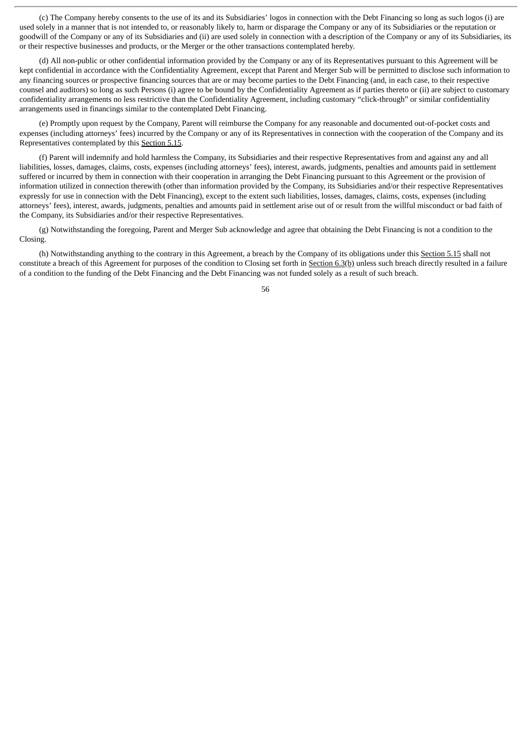(c) The Company hereby consents to the use of its and its Subsidiaries' logos in connection with the Debt Financing so long as such logos (i) are used solely in a manner that is not intended to, or reasonably likely to, harm or disparage the Company or any of its Subsidiaries or the reputation or goodwill of the Company or any of its Subsidiaries and (ii) are used solely in connection with a description of the Company or any of its Subsidiaries, its or their respective businesses and products, or the Merger or the other transactions contemplated hereby.

(d) All non-public or other confidential information provided by the Company or any of its Representatives pursuant to this Agreement will be kept confidential in accordance with the Confidentiality Agreement, except that Parent and Merger Sub will be permitted to disclose such information to any financing sources or prospective financing sources that are or may become parties to the Debt Financing (and, in each case, to their respective counsel and auditors) so long as such Persons (i) agree to be bound by the Confidentiality Agreement as if parties thereto or (ii) are subject to customary confidentiality arrangements no less restrictive than the Confidentiality Agreement, including customary "click-through" or similar confidentiality arrangements used in financings similar to the contemplated Debt Financing.

(e) Promptly upon request by the Company, Parent will reimburse the Company for any reasonable and documented out-of-pocket costs and expenses (including attorneys' fees) incurred by the Company or any of its Representatives in connection with the cooperation of the Company and its Representatives contemplated by this Section 5.15.

(f) Parent will indemnify and hold harmless the Company, its Subsidiaries and their respective Representatives from and against any and all liabilities, losses, damages, claims, costs, expenses (including attorneys' fees), interest, awards, judgments, penalties and amounts paid in settlement suffered or incurred by them in connection with their cooperation in arranging the Debt Financing pursuant to this Agreement or the provision of information utilized in connection therewith (other than information provided by the Company, its Subsidiaries and/or their respective Representatives expressly for use in connection with the Debt Financing), except to the extent such liabilities, losses, damages, claims, costs, expenses (including attorneys' fees), interest, awards, judgments, penalties and amounts paid in settlement arise out of or result from the willful misconduct or bad faith of the Company, its Subsidiaries and/or their respective Representatives.

(g) Notwithstanding the foregoing, Parent and Merger Sub acknowledge and agree that obtaining the Debt Financing is not a condition to the Closing.

(h) Notwithstanding anything to the contrary in this Agreement, a breach by the Company of its obligations under this Section 5.15 shall not constitute a breach of this Agreement for purposes of the condition to Closing set forth in Section 6.3(b) unless such breach directly resulted in a failure of a condition to the funding of the Debt Financing and the Debt Financing was not funded solely as a result of such breach.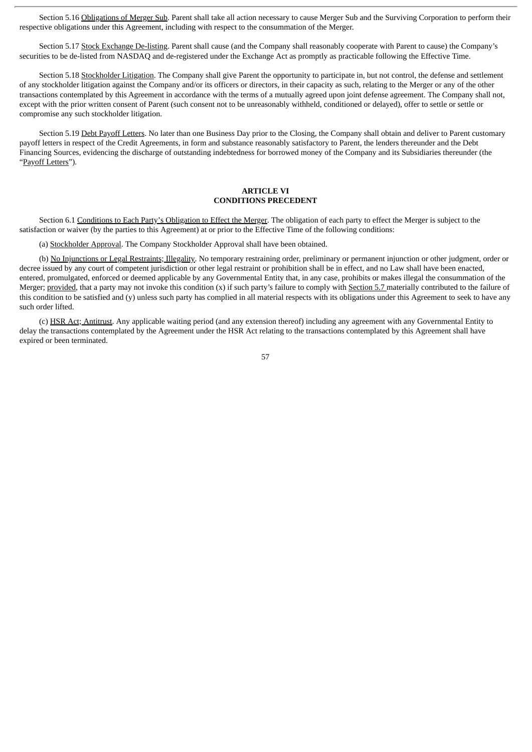Section 5.16 Obligations of Merger Sub. Parent shall take all action necessary to cause Merger Sub and the Surviving Corporation to perform their respective obligations under this Agreement, including with respect to the consummation of the Merger.

Section 5.17 Stock Exchange De-listing. Parent shall cause (and the Company shall reasonably cooperate with Parent to cause) the Company's securities to be de-listed from NASDAQ and de-registered under the Exchange Act as promptly as practicable following the Effective Time.

Section 5.18 Stockholder Litigation. The Company shall give Parent the opportunity to participate in, but not control, the defense and settlement of any stockholder litigation against the Company and/or its officers or directors, in their capacity as such, relating to the Merger or any of the other transactions contemplated by this Agreement in accordance with the terms of a mutually agreed upon joint defense agreement. The Company shall not, except with the prior written consent of Parent (such consent not to be unreasonably withheld, conditioned or delayed), offer to settle or settle or compromise any such stockholder litigation.

Section 5.19 Debt Payoff Letters. No later than one Business Day prior to the Closing, the Company shall obtain and deliver to Parent customary payoff letters in respect of the Credit Agreements, in form and substance reasonably satisfactory to Parent, the lenders thereunder and the Debt Financing Sources, evidencing the discharge of outstanding indebtedness for borrowed money of the Company and its Subsidiaries thereunder (the "Payoff Letters").

## **ARTICLE VI CONDITIONS PRECEDENT**

Section 6.1 Conditions to Each Party's Obligation to Effect the Merger</u>. The obligation of each party to effect the Merger is subject to the satisfaction or waiver (by the parties to this Agreement) at or prior to the Effective Time of the following conditions:

(a) Stockholder Approval. The Company Stockholder Approval shall have been obtained.

(b) No Injunctions or Legal Restraints; Illegality. No temporary restraining order, preliminary or permanent injunction or other judgment, order or decree issued by any court of competent jurisdiction or other legal restraint or prohibition shall be in effect, and no Law shall have been enacted, entered, promulgated, enforced or deemed applicable by any Governmental Entity that, in any case, prohibits or makes illegal the consummation of the Merger; provided, that a party may not invoke this condition (x) if such party's failure to comply with Section 5.7 materially contributed to the failure of this condition to be satisfied and (y) unless such party has complied in all material respects with its obligations under this Agreement to seek to have any such order lifted.

(c) HSR Act; Antitrust. Any applicable waiting period (and any extension thereof) including any agreement with any Governmental Entity to delay the transactions contemplated by the Agreement under the HSR Act relating to the transactions contemplated by this Agreement shall have expired or been terminated.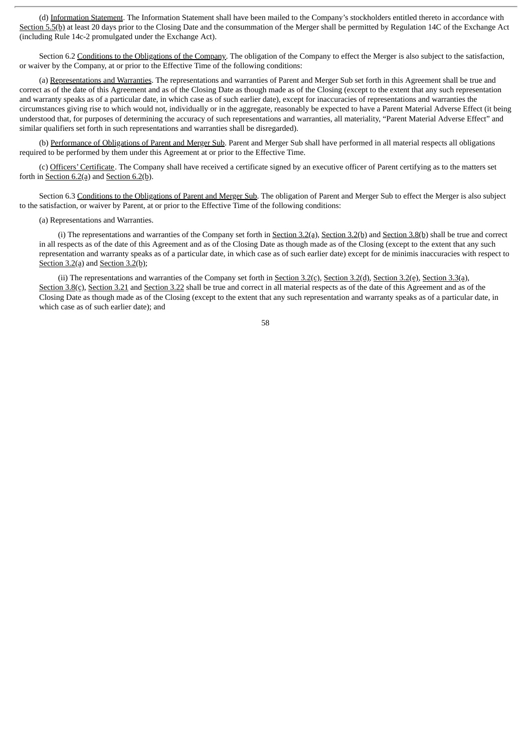(d) Information Statement. The Information Statement shall have been mailed to the Company's stockholders entitled thereto in accordance with Section 5.5(b) at least 20 days prior to the Closing Date and the consummation of the Merger shall be permitted by Regulation 14C of the Exchange Act (including Rule 14c-2 promulgated under the Exchange Act).

Section 6.2 Conditions to the Obligations of the Company. The obligation of the Company to effect the Merger is also subject to the satisfaction, or waiver by the Company, at or prior to the Effective Time of the following conditions:

(a) Representations and Warranties. The representations and warranties of Parent and Merger Sub set forth in this Agreement shall be true and correct as of the date of this Agreement and as of the Closing Date as though made as of the Closing (except to the extent that any such representation and warranty speaks as of a particular date, in which case as of such earlier date), except for inaccuracies of representations and warranties the circumstances giving rise to which would not, individually or in the aggregate, reasonably be expected to have a Parent Material Adverse Effect (it being understood that, for purposes of determining the accuracy of such representations and warranties, all materiality, "Parent Material Adverse Effect" and similar qualifiers set forth in such representations and warranties shall be disregarded).

(b) Performance of Obligations of Parent and Merger Sub. Parent and Merger Sub shall have performed in all material respects all obligations required to be performed by them under this Agreement at or prior to the Effective Time.

(c) Officers' Certificate. The Company shall have received a certificate signed by an executive officer of Parent certifying as to the matters set forth in Section  $6.2$ (a) and Section  $6.2$ (b).

Section 6.3 Conditions to the Obligations of Parent and Merger Sub. The obligation of Parent and Merger Sub to effect the Merger is also subject to the satisfaction, or waiver by Parent, at or prior to the Effective Time of the following conditions:

(a) Representations and Warranties.

(i) The representations and warranties of the Company set forth in Section  $3.2(a)$ , Section  $3.2(b)$  and Section  $3.8(b)$  shall be true and correct in all respects as of the date of this Agreement and as of the Closing Date as though made as of the Closing (except to the extent that any such representation and warranty speaks as of a particular date, in which case as of such earlier date) except for de minimis inaccuracies with respect to Section 3.2(a) and Section 3.2(b);

(ii) The representations and warranties of the Company set forth in Section 3.2(c), Section 3.2(d), Section 3.2(e), Section 3.3(a), Section 3.8(c), Section 3.21 and Section 3.22 shall be true and correct in all material respects as of the date of this Agreement and as of the Closing Date as though made as of the Closing (except to the extent that any such representation and warranty speaks as of a particular date, in which case as of such earlier date); and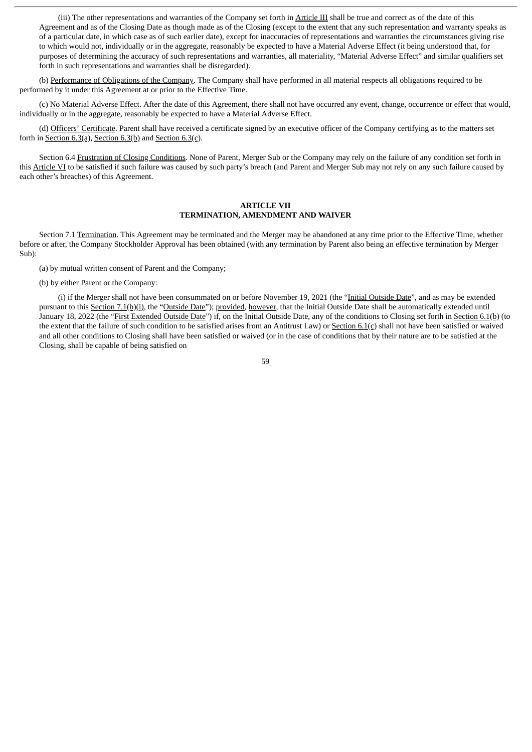(iii) The other representations and warranties of the Company set forth in Article III shall be true and correct as of the date of this Agreement and as of the Closing Date as though made as of the Closing (except to the extent that any such representation and warranty speaks as of a particular date, in which case as of such earlier date), except for inaccuracies of representations and warranties the circumstances giving rise to which would not, individually or in the aggregate, reasonably be expected to have a Material Adverse Effect (it being understood that, for purposes of determining the accuracy of such representations and warranties, all materiality, "Material Adverse Effect" and similar qualifiers set forth in such representations and warranties shall be disregarded).

(b) Performance of Obligations of the Company. The Company shall have performed in all material respects all obligations required to be performed by it under this Agreement at or prior to the Effective Time.

(c) No Material Adverse Effect. After the date of this Agreement, there shall not have occurred any event, change, occurrence or effect that would, individually or in the aggregate, reasonably be expected to have a Material Adverse Effect.

(d) Officers' Certificate. Parent shall have received a certificate signed by an executive officer of the Company certifying as to the matters set forth in Section  $6.3(a)$ , Section  $6.3(b)$  and Section  $6.3(c)$ .

Section 6.4 Frustration of Closing Conditions. None of Parent, Merger Sub or the Company may rely on the failure of any condition set forth in this Article VI to be satisfied if such failure was caused by such party's breach (and Parent and Merger Sub may not rely on any such failure caused by each other's breaches) of this Agreement.

### **ARTICLE VII TERMINATION, AMENDMENT AND WAIVER**

Section 7.1 Termination. This Agreement may be terminated and the Merger may be abandoned at any time prior to the Effective Time, whether before or after, the Company Stockholder Approval has been obtained (with any termination by Parent also being an effective termination by Merger Sub):

(a) by mutual written consent of Parent and the Company;

(b) by either Parent or the Company:

(i) if the Merger shall not have been consummated on or before November 19, 2021 (the "Initial Outside Date", and as may be extended pursuant to this Section 7.1(b)(i), the "Outside Date"); provided, however, that the Initial Outside Date shall be automatically extended until January 18, 2022 (the "*First Extended Outside Date"*) if, on the Initial Outside Date, any of the conditions to Closing set forth in **Section 6.1(b)** (to the extent that the failure of such condition to be satisfied arises from an Antitrust Law) or Section  $6.1(c)$  shall not have been satisfied or waived and all other conditions to Closing shall have been satisfied or waived (or in the case of conditions that by their nature are to be satisfied at the Closing, shall be capable of being satisfied on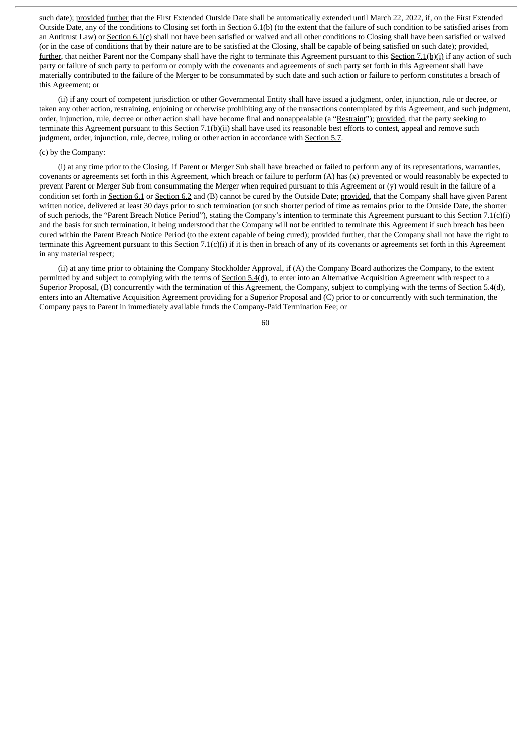such date); provided further that the First Extended Outside Date shall be automatically extended until March 22, 2022, if, on the First Extended Outside Date, any of the conditions to Closing set forth in Section 6.1(b) (to the extent that the failure of such condition to be satisfied arises from an Antitrust Law) or Section 6.1(c) shall not have been satisfied or waived and all other conditions to Closing shall have been satisfied or waived (or in the case of conditions that by their nature are to be satisfied at the Closing, shall be capable of being satisfied on such date); provided, further, that neither Parent nor the Company shall have the right to terminate this Agreement pursuant to this Section 7.1(b)(i) if any action of such party or failure of such party to perform or comply with the covenants and agreements of such party set forth in this Agreement shall have materially contributed to the failure of the Merger to be consummated by such date and such action or failure to perform constitutes a breach of this Agreement; or

(ii) if any court of competent jurisdiction or other Governmental Entity shall have issued a judgment, order, injunction, rule or decree, or taken any other action, restraining, enjoining or otherwise prohibiting any of the transactions contemplated by this Agreement, and such judgment, order, injunction, rule, decree or other action shall have become final and nonappealable (a "Restraint"); provided, that the party seeking to terminate this Agreement pursuant to this Section  $7.1(b)(ii)$  shall have used its reasonable best efforts to contest, appeal and remove such judgment, order, injunction, rule, decree, ruling or other action in accordance with Section 5.7.

## (c) by the Company:

(i) at any time prior to the Closing, if Parent or Merger Sub shall have breached or failed to perform any of its representations, warranties, covenants or agreements set forth in this Agreement, which breach or failure to perform (A) has (x) prevented or would reasonably be expected to prevent Parent or Merger Sub from consummating the Merger when required pursuant to this Agreement or (y) would result in the failure of a condition set forth in Section 6.1 or Section 6.2 and (B) cannot be cured by the Outside Date; provided, that the Company shall have given Parent written notice, delivered at least 30 days prior to such termination (or such shorter period of time as remains prior to the Outside Date, the shorter of such periods, the "Parent Breach Notice Period"), stating the Company's intention to terminate this Agreement pursuant to this Section 7.1(c)(i) and the basis for such termination, it being understood that the Company will not be entitled to terminate this Agreement if such breach has been cured within the Parent Breach Notice Period (to the extent capable of being cured); provided further, that the Company shall not have the right to terminate this Agreement pursuant to this Section  $7.1(c)(i)$  if it is then in breach of any of its covenants or agreements set forth in this Agreement in any material respect;

(ii) at any time prior to obtaining the Company Stockholder Approval, if (A) the Company Board authorizes the Company, to the extent permitted by and subject to complying with the terms of Section 5.4(d), to enter into an Alternative Acquisition Agreement with respect to a Superior Proposal, (B) concurrently with the termination of this Agreement, the Company, subject to complying with the terms of Section 5.4(d), enters into an Alternative Acquisition Agreement providing for a Superior Proposal and (C) prior to or concurrently with such termination, the Company pays to Parent in immediately available funds the Company-Paid Termination Fee; or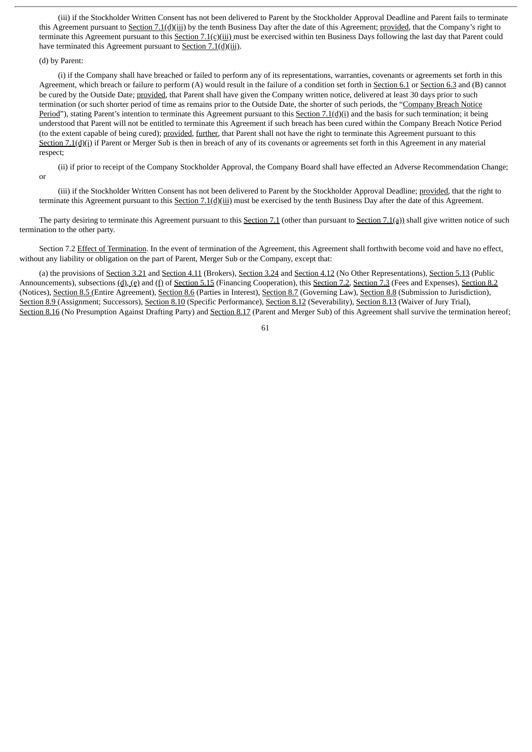(iii) if the Stockholder Written Consent has not been delivered to Parent by the Stockholder Approval Deadline and Parent fails to terminate this Agreement pursuant to Section 7.1(d)(iii) by the tenth Business Day after the date of this Agreement; provided, that the Company's right to terminate this Agreement pursuant to this Section  $7.1(c)$ (iii) must be exercised within ten Business Days following the last day that Parent could have terminated this Agreement pursuant to Section 7.1(d)(iii).

### (d) by Parent:

(i) if the Company shall have breached or failed to perform any of its representations, warranties, covenants or agreements set forth in this Agreement, which breach or failure to perform (A) would result in the failure of a condition set forth in Section 6.1 or Section 6.3 and (B) cannot be cured by the Outside Date; provided, that Parent shall have given the Company written notice, delivered at least 30 davs prior to such termination (or such shorter period of time as remains prior to the Outside Date, the shorter of such periods, the "Company Breach Notice Period"), stating Parent's intention to terminate this Agreement pursuant to this Section 7.1(d)(i) and the basis for such termination; it being understood that Parent will not be entitled to terminate this Agreement if such breach has been cured within the Company Breach Notice Period (to the extent capable of being cured); provided, further, that Parent shall not have the right to terminate this Agreement pursuant to this Section 7.1(d)(i) if Parent or Merger Sub is then in breach of any of its covenants or agreements set forth in this Agreement in any material respect;

(ii) if prior to receipt of the Company Stockholder Approval, the Company Board shall have effected an Adverse Recommendation Change; or

(iii) if the Stockholder Written Consent has not been delivered to Parent by the Stockholder Approval Deadline; provided, that the right to terminate this Agreement pursuant to this Section  $7.1(d)(iii)$  must be exercised by the tenth Business Day after the date of this Agreement.

The party desiring to terminate this Agreement pursuant to this **Section 7.1** (other than pursuant to **Section 7.1(a)**) shall give written notice of such termination to the other party.

Section 7.2 Effect of Termination. In the event of termination of the Agreement, this Agreement shall forthwith become void and have no effect, without any liability or obligation on the part of Parent, Merger Sub or the Company, except that:

(a) the provisions of Section 3.21 and Section 4.11 (Brokers), Section 3.24 and Section 4.12 (No Other Representations), Section 5.13 (Public Announcements), subsections (d), (e) and (f) of Section 5.15 (Financing Cooperation), this Section 7.2, Section 7.3 (Fees and Expenses), Section 8.2 (Notices), Section 8.5 (Entire Agreement), Section 8.6 (Parties in Interest), Section 8.7 (Governing Law), Section 8.8 (Submission to Jurisdiction), Section 8.9 (Assignment; Successors), Section 8.10 (Specific Performance), Section 8.12 (Severability), Section 8.13 (Waiver of Jury Trial), Section 8.16 (No Presumption Against Drafting Party) and Section 8.17 (Parent and Merger Sub) of this Agreement shall survive the termination hereof;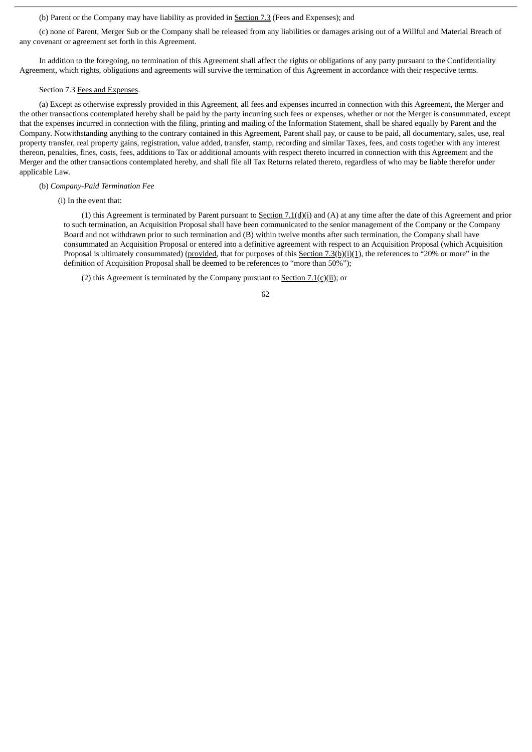# (b) Parent or the Company may have liability as provided in Section 7.3 (Fees and Expenses); and

(c) none of Parent, Merger Sub or the Company shall be released from any liabilities or damages arising out of a Willful and Material Breach of any covenant or agreement set forth in this Agreement.

In addition to the foregoing, no termination of this Agreement shall affect the rights or obligations of any party pursuant to the Confidentiality Agreement, which rights, obligations and agreements will survive the termination of this Agreement in accordance with their respective terms.

#### Section 7.3 Fees and Expenses.

(a) Except as otherwise expressly provided in this Agreement, all fees and expenses incurred in connection with this Agreement, the Merger and the other transactions contemplated hereby shall be paid by the party incurring such fees or expenses, whether or not the Merger is consummated, except that the expenses incurred in connection with the filing, printing and mailing of the Information Statement, shall be shared equally by Parent and the Company. Notwithstanding anything to the contrary contained in this Agreement, Parent shall pay, or cause to be paid, all documentary, sales, use, real property transfer, real property gains, registration, value added, transfer, stamp, recording and similar Taxes, fees, and costs together with any interest thereon, penalties, fines, costs, fees, additions to Tax or additional amounts with respect thereto incurred in connection with this Agreement and the Merger and the other transactions contemplated hereby, and shall file all Tax Returns related thereto, regardless of who may be liable therefor under applicable Law.

## (b) *Company-Paid Termination Fee*

(i) In the event that:

(1) this Agreement is terminated by Parent pursuant to Section  $7.1(d)(i)$  and (A) at any time after the date of this Agreement and prior to such termination, an Acquisition Proposal shall have been communicated to the senior management of the Company or the Company Board and not withdrawn prior to such termination and (B) within twelve months after such termination, the Company shall have consummated an Acquisition Proposal or entered into a definitive agreement with respect to an Acquisition Proposal (which Acquisition Proposal is ultimately consummated) (provided, that for purposes of this Section  $7.3(b)(i)(1)$ , the references to "20% or more" in the definition of Acquisition Proposal shall be deemed to be references to "more than 50%");

(2) this Agreement is terminated by the Company pursuant to Section  $7.1(c)(ii)$ ; or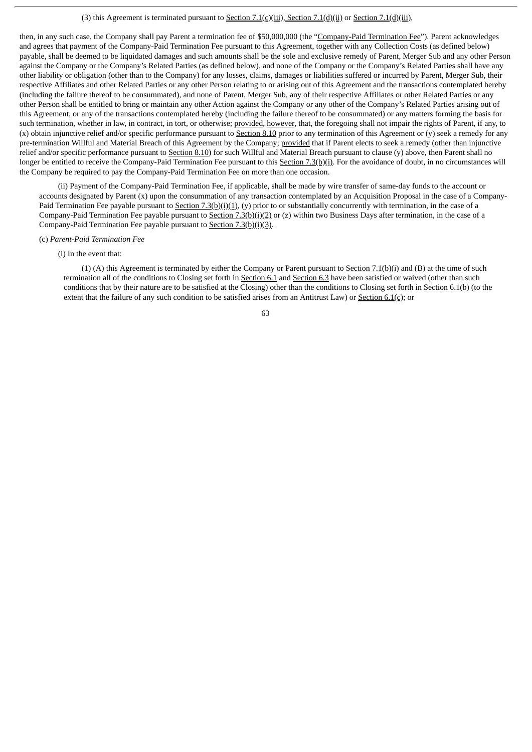# (3) this Agreement is terminated pursuant to Section 7.1(c)(iii), Section 7.1(d)(ii) or Section 7.1(d)(iii),

then, in any such case, the Company shall pay Parent a termination fee of \$50,000,000 (the "Company-Paid Termination Fee"). Parent acknowledges and agrees that payment of the Company-Paid Termination Fee pursuant to this Agreement, together with any Collection Costs (as defined below) payable, shall be deemed to be liquidated damages and such amounts shall be the sole and exclusive remedy of Parent, Merger Sub and any other Person against the Company or the Company's Related Parties (as defined below), and none of the Company or the Company's Related Parties shall have any other liability or obligation (other than to the Company) for any losses, claims, damages or liabilities suffered or incurred by Parent, Merger Sub, their respective Affiliates and other Related Parties or any other Person relating to or arising out of this Agreement and the transactions contemplated hereby (including the failure thereof to be consummated), and none of Parent, Merger Sub, any of their respective Affiliates or other Related Parties or any other Person shall be entitled to bring or maintain any other Action against the Company or any other of the Company's Related Parties arising out of this Agreement, or any of the transactions contemplated hereby (including the failure thereof to be consummated) or any matters forming the basis for such termination, whether in law, in contract, in tort, or otherwise; provided, however, that, the foregoing shall not impair the rights of Parent, if any, to (x) obtain injunctive relief and/or specific performance pursuant to Section 8.10 prior to any termination of this Agreement or  $(\bar{v})$  seek a remedy for any pre-termination Willful and Material Breach of this Agreement by the Company; provided that if Parent elects to seek a remedy (other than injunctive relief and/or specific performance pursuant to Section 8.10) for such Willful and Material Breach pursuant to clause (y) above, then Parent shall no longer be entitled to receive the Company-Paid Termination Fee pursuant to this Section 7.3(b)(i). For the avoidance of doubt, in no circumstances will the Company be required to pay the Company-Paid Termination Fee on more than one occasion.

(ii) Payment of the Company-Paid Termination Fee, if applicable, shall be made by wire transfer of same-day funds to the account or accounts designated by Parent (x) upon the consummation of any transaction contemplated by an Acquisition Proposal in the case of a Company-Paid Termination Fee payable pursuant to  $Section 7.3(b)(i)(1), (y) prior to or substantially concurrently with termination, in the case of a$ </u> Company-Paid Termination Fee payable pursuant to Section 7.3(b)(i)(2) or (z) within two Business Days after termination, in the case of a Company-Paid Termination Fee payable pursuant to Section  $7.3(b)(i)(3)$ .

### (c) *Parent-Paid Termination Fee*

# (i) In the event that:

(1) (A) this Agreement is terminated by either the Company or Parent pursuant to Section 7.1(b)(i) and (B) at the time of such termination all of the conditions to Closing set forth in Section 6.1 and Section 6.3 have been satisfied or waived (other than such conditions that by their nature are to be satisfied at the Closing) other than the conditions to Closing set forth in Section 6.1(b) (to the extent that the failure of any such condition to be satisfied arises from an Antitrust Law) or Section  $6.1(c)$ ; or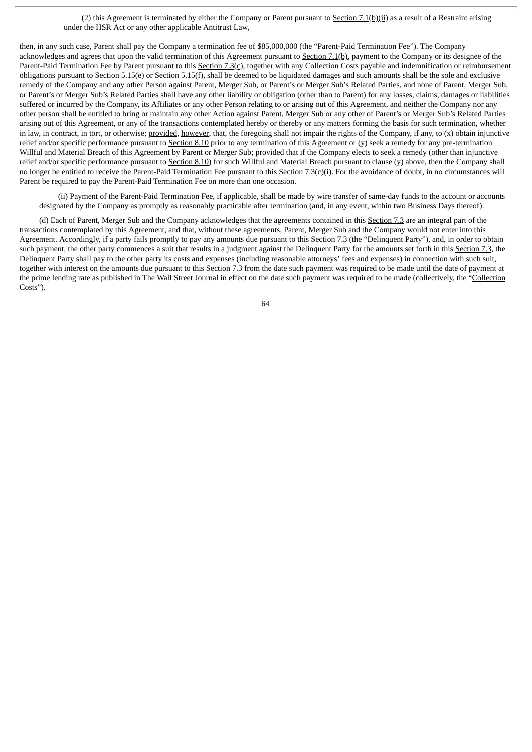(2) this Agreement is terminated by either the Company or Parent pursuant to Section 7.1(b)(ii) as a result of a Restraint arising under the HSR Act or any other applicable Antitrust Law,

then, in any such case, Parent shall pay the Company a termination fee of \$85,000,000 (the "Parent-Paid Termination Fee"). The Company acknowledges and agrees that upon the valid termination of this Agreement pursuant to Section 7.1(b), payment to the Company or its designee of the Parent-Paid Termination Fee by Parent pursuant to this Section 7.3(c), together with any Collection Costs payable and indemnification or reimbursement obligations pursuant to Section 5.15(e) or Section 5.15(f), shall be deemed to be liquidated damages and such amounts shall be the sole and exclusive remedy of the Company and any other Person against Parent, Merger Sub, or Parent's or Merger Sub's Related Parties, and none of Parent, Merger Sub, or Parent's or Merger Sub's Related Parties shall have any other liability or obligation (other than to Parent) for any losses, claims, damages or liabilities suffered or incurred by the Company, its Affiliates or any other Person relating to or arising out of this Agreement, and neither the Company nor any other person shall be entitled to bring or maintain any other Action against Parent, Merger Sub or any other of Parent's or Merger Sub's Related Parties arising out of this Agreement, or any of the transactions contemplated hereby or thereby or any matters forming the basis for such termination, whether in law, in contract, in tort, or otherwise; provided, however, that, the foregoing shall not impair the rights of the Company, if any, to (x) obtain injunctive relief and/or specific performance pursuant to Section 8.10 prior to any termination of this Agreement or (y) seek a remedy for any pre-termination Willful and Material Breach of this Agreement by Parent or Merger Sub; provided that if the Company elects to seek a remedy (other than injunctive relief and/or specific performance pursuant to Section 8.10) for such Willful and Material Breach pursuant to clause (y) above, then the Company shall no longer be entitled to receive the Parent-Paid Termination Fee pursuant to this Section 7.3(c)(i). For the avoidance of doubt, in no circumstances will Parent be required to pay the Parent-Paid Termination Fee on more than one occasion.

(ii) Payment of the Parent-Paid Termination Fee, if applicable, shall be made by wire transfer of same-day funds to the account or accounts designated by the Company as promptly as reasonably practicable after termination (and, in any event, within two Business Days thereof).

(d) Each of Parent, Merger Sub and the Company acknowledges that the agreements contained in this Section 7.3 are an integral part of the transactions contemplated by this Agreement, and that, without these agreements, Parent, Merger Sub and the Company would not enter into this Agreement. Accordingly, if a party fails promptly to pay any amounts due pursuant to this Section 7.3 (the "Delinquent Party"), and, in order to obtain such payment, the other party commences a suit that results in a judgment against the Delinquent Party for the amounts set forth in this Section 7.3, the Delinquent Party shall pay to the other party its costs and expenses (including reasonable attorneys' fees and expenses) in connection with such suit, together with interest on the amounts due pursuant to this Section 7.3 from the date such payment was required to be made until the date of payment at the prime lending rate as published in The Wall Street Journal in effect on the date such payment was required to be made (collectively, the "Collection Costs").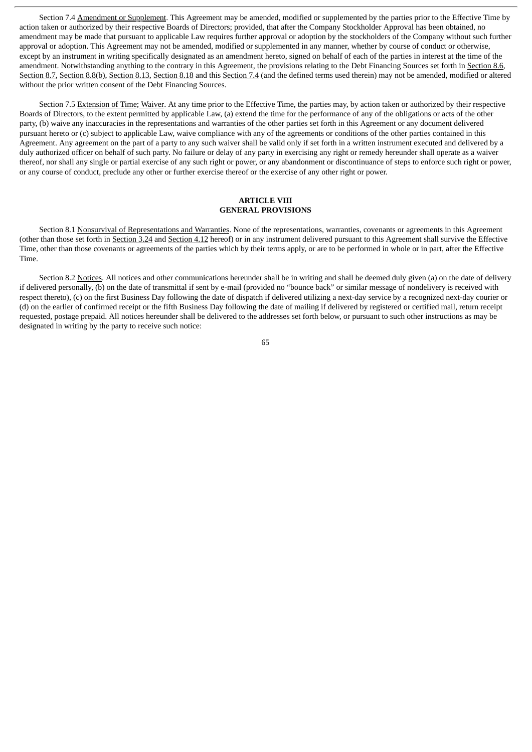Section 7.4 Amendment or Supplement. This Agreement may be amended, modified or supplemented by the parties prior to the Effective Time by action taken or authorized by their respective Boards of Directors; provided, that after the Company Stockholder Approval has been obtained, no amendment may be made that pursuant to applicable Law requires further approval or adoption by the stockholders of the Company without such further approval or adoption. This Agreement may not be amended, modified or supplemented in any manner, whether by course of conduct or otherwise, except by an instrument in writing specifically designated as an amendment hereto, signed on behalf of each of the parties in interest at the time of the amendment. Notwithstanding anything to the contrary in this Agreement, the provisions relating to the Debt Financing Sources set forth in Section 8.6, Section 8.7, Section 8.8(b), Section 8.13, Section 8.18 and this Section 7.4 (and the defined terms used therein) may not be amended, modified or altered without the prior written consent of the Debt Financing Sources.

Section 7.5 Extension of Time; Waiver. At any time prior to the Effective Time, the parties may, by action taken or authorized by their respective Boards of Directors, to the extent permitted by applicable Law, (a) extend the time for the performance of any of the obligations or acts of the other party, (b) waive any inaccuracies in the representations and warranties of the other parties set forth in this Agreement or any document delivered pursuant hereto or (c) subject to applicable Law, waive compliance with any of the agreements or conditions of the other parties contained in this Agreement. Any agreement on the part of a party to any such waiver shall be valid only if set forth in a written instrument executed and delivered by a duly authorized officer on behalf of such party. No failure or delay of any party in exercising any right or remedy hereunder shall operate as a waiver thereof, nor shall any single or partial exercise of any such right or power, or any abandonment or discontinuance of steps to enforce such right or power, or any course of conduct, preclude any other or further exercise thereof or the exercise of any other right or power.

## **ARTICLE VIII GENERAL PROVISIONS**

Section 8.1 Nonsurvival of Representations and Warranties. None of the representations, warranties, covenants or agreements in this Agreement (other than those set forth in Section 3.24 and Section 4.12 hereof) or in any instrument delivered pursuant to this Agreement shall survive the Effective Time, other than those covenants or agreements of the parties which by their terms apply, or are to be performed in whole or in part, after the Effective Time.

Section 8.2 Notices. All notices and other communications hereunder shall be in writing and shall be deemed duly given (a) on the date of delivery if delivered personally, (b) on the date of transmittal if sent by e-mail (provided no "bounce back" or similar message of nondelivery is received with respect thereto), (c) on the first Business Day following the date of dispatch if delivered utilizing a next-day service by a recognized next-day courier or (d) on the earlier of confirmed receipt or the fifth Business Day following the date of mailing if delivered by registered or certified mail, return receipt requested, postage prepaid. All notices hereunder shall be delivered to the addresses set forth below, or pursuant to such other instructions as may be designated in writing by the party to receive such notice: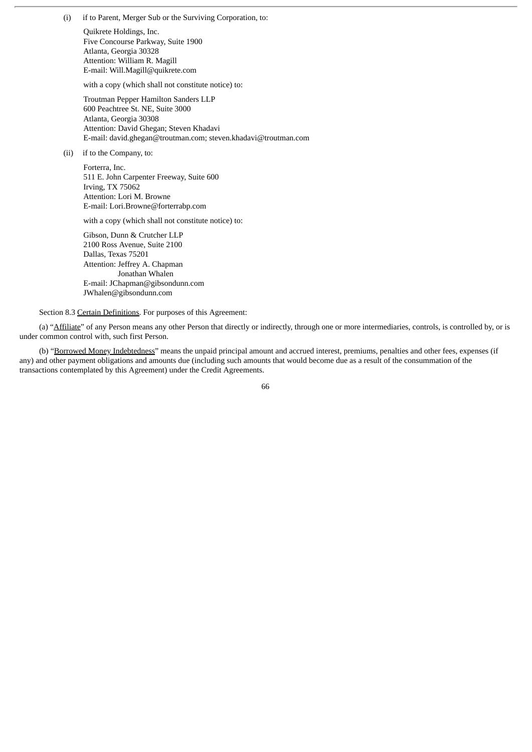(i) if to Parent, Merger Sub or the Surviving Corporation, to:

Quikrete Holdings, Inc. Five Concourse Parkway, Suite 1900 Atlanta, Georgia 30328 Attention: William R. Magill E-mail: Will.Magill@quikrete.com

with a copy (which shall not constitute notice) to:

Troutman Pepper Hamilton Sanders LLP 600 Peachtree St. NE, Suite 3000 Atlanta, Georgia 30308 Attention: David Ghegan; Steven Khadavi E-mail: david.ghegan@troutman.com; steven.khadavi@troutman.com

(ii) if to the Company, to:

Forterra, Inc. 511 E. John Carpenter Freeway, Suite 600 Irving, TX 75062 Attention: Lori M. Browne E-mail: Lori.Browne@forterrabp.com

with a copy (which shall not constitute notice) to:

Gibson, Dunn & Crutcher LLP 2100 Ross Avenue, Suite 2100 Dallas, Texas 75201 Attention: Jeffrey A. Chapman Jonathan Whalen E-mail: JChapman@gibsondunn.com JWhalen@gibsondunn.com

Section 8.3 Certain Definitions. For purposes of this Agreement:

(a) "Affiliate" of any Person means any other Person that directly or indirectly, through one or more intermediaries, controls, is controlled by, or is under common control with, such first Person.

(b) "Borrowed Money Indebtedness" means the unpaid principal amount and accrued interest, premiums, penalties and other fees, expenses (if any) and other payment obligations and amounts due (including such amounts that would become due as a result of the consummation of the transactions contemplated by this Agreement) under the Credit Agreements.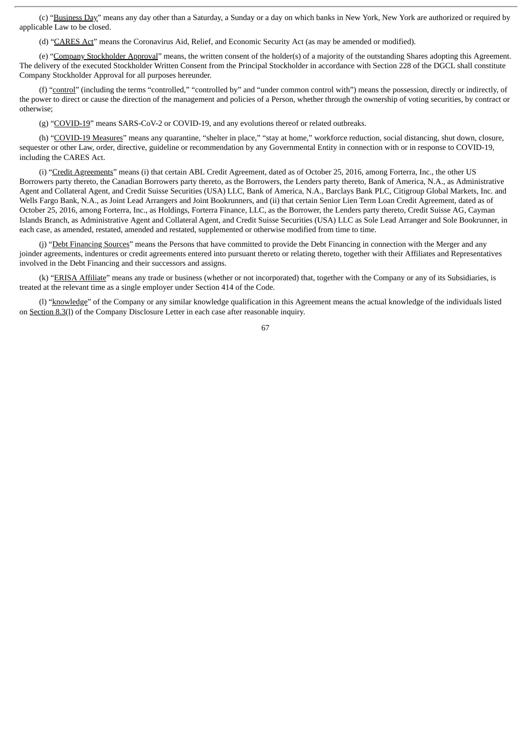(c) "Business Day" means any day other than a Saturday, a Sunday or a day on which banks in New York, New York are authorized or required by applicable Law to be closed.

(d) "CARES Act" means the Coronavirus Aid, Relief, and Economic Security Act (as may be amended or modified).

(e) "Company Stockholder Approval" means, the written consent of the holder(s) of a majority of the outstanding Shares adopting this Agreement. The delivery of the executed Stockholder Written Consent from the Principal Stockholder in accordance with Section 228 of the DGCL shall constitute Company Stockholder Approval for all purposes hereunder.

(f) "control" (including the terms "controlled," "controlled by" and "under common control with") means the possession, directly or indirectly, of the power to direct or cause the direction of the management and policies of a Person, whether through the ownership of voting securities, by contract or otherwise;

(g) "COVID-19" means SARS-CoV-2 or COVID-19, and any evolutions thereof or related outbreaks.

(h) "COVID-19 Measures" means any quarantine, "shelter in place," "stay at home," workforce reduction, social distancing, shut down, closure, sequester or other Law, order, directive, guideline or recommendation by any Governmental Entity in connection with or in response to COVID-19, including the CARES Act.

(i) "Credit Agreements" means (i) that certain ABL Credit Agreement, dated as of October 25, 2016, among Forterra, Inc., the other US Borrowers party thereto, the Canadian Borrowers party thereto, as the Borrowers, the Lenders party thereto, Bank of America, N.A., as Administrative Agent and Collateral Agent, and Credit Suisse Securities (USA) LLC, Bank of America, N.A., Barclays Bank PLC, Citigroup Global Markets, Inc. and Wells Fargo Bank, N.A., as Joint Lead Arrangers and Joint Bookrunners, and (ii) that certain Senior Lien Term Loan Credit Agreement, dated as of October 25, 2016, among Forterra, Inc., as Holdings, Forterra Finance, LLC, as the Borrower, the Lenders party thereto, Credit Suisse AG, Cayman Islands Branch, as Administrative Agent and Collateral Agent, and Credit Suisse Securities (USA) LLC as Sole Lead Arranger and Sole Bookrunner, in each case, as amended, restated, amended and restated, supplemented or otherwise modified from time to time.

(j) "Debt Financing Sources" means the Persons that have committed to provide the Debt Financing in connection with the Merger and any joinder agreements, indentures or credit agreements entered into pursuant thereto or relating thereto, together with their Affiliates and Representatives involved in the Debt Financing and their successors and assigns.

(k) "ERISA Affiliate" means any trade or business (whether or not incorporated) that, together with the Company or any of its Subsidiaries, is treated at the relevant time as a single employer under Section 414 of the Code.

(l) "knowledge" of the Company or any similar knowledge qualification in this Agreement means the actual knowledge of the individuals listed on Section 8.3(l) of the Company Disclosure Letter in each case after reasonable inquiry.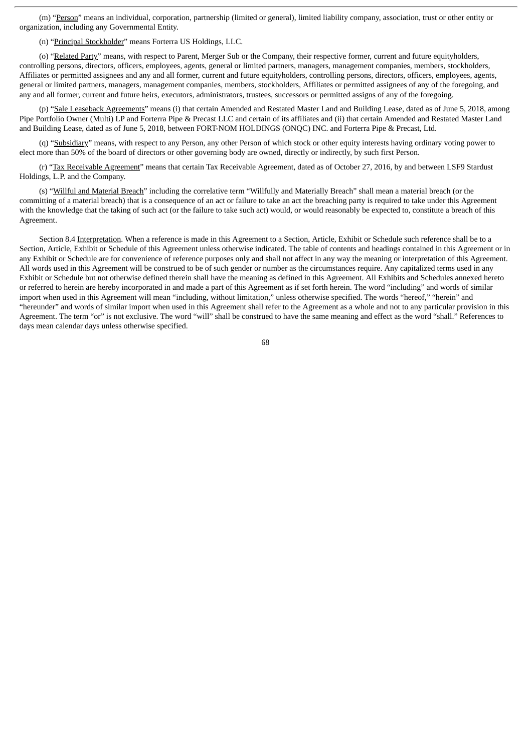(m) "Person" means an individual, corporation, partnership (limited or general), limited liability company, association, trust or other entity or organization, including any Governmental Entity.

(n) "Principal Stockholder" means Forterra US Holdings, LLC.

(o) "Related Party" means, with respect to Parent, Merger Sub or the Company, their respective former, current and future equityholders, controlling persons, directors, officers, employees, agents, general or limited partners, managers, management companies, members, stockholders, Affiliates or permitted assignees and any and all former, current and future equityholders, controlling persons, directors, officers, employees, agents, general or limited partners, managers, management companies, members, stockholders, Affiliates or permitted assignees of any of the foregoing, and any and all former, current and future heirs, executors, administrators, trustees, successors or permitted assigns of any of the foregoing.

(p) "Sale Leaseback Agreements" means (i) that certain Amended and Restated Master Land and Building Lease, dated as of June 5, 2018, among Pipe Portfolio Owner (Multi) LP and Forterra Pipe & Precast LLC and certain of its affiliates and (ii) that certain Amended and Restated Master Land and Building Lease, dated as of June 5, 2018, between FORT-NOM HOLDINGS (ONQC) INC. and Forterra Pipe & Precast, Ltd.

(q) "Subsidiary" means, with respect to any Person, any other Person of which stock or other equity interests having ordinary voting power to elect more than 50% of the board of directors or other governing body are owned, directly or indirectly, by such first Person.

(r) "Tax Receivable Agreement" means that certain Tax Receivable Agreement, dated as of October 27, 2016, by and between LSF9 Stardust Holdings, L.P. and the Company.

(s) "Willful and Material Breach" including the correlative term "Willfully and Materially Breach" shall mean a material breach (or the committing of a material breach) that is a consequence of an act or failure to take an act the breaching party is required to take under this Agreement with the knowledge that the taking of such act (or the failure to take such act) would, or would reasonably be expected to, constitute a breach of this Agreement.

Section 8.4 Interpretation. When a reference is made in this Agreement to a Section, Article, Exhibit or Schedule such reference shall be to a Section, Article, Exhibit or Schedule of this Agreement unless otherwise indicated. The table of contents and headings contained in this Agreement or in any Exhibit or Schedule are for convenience of reference purposes only and shall not affect in any way the meaning or interpretation of this Agreement. All words used in this Agreement will be construed to be of such gender or number as the circumstances require. Any capitalized terms used in any Exhibit or Schedule but not otherwise defined therein shall have the meaning as defined in this Agreement. All Exhibits and Schedules annexed hereto or referred to herein are hereby incorporated in and made a part of this Agreement as if set forth herein. The word "including" and words of similar import when used in this Agreement will mean "including, without limitation," unless otherwise specified. The words "hereof," "herein" and "hereunder" and words of similar import when used in this Agreement shall refer to the Agreement as a whole and not to any particular provision in this Agreement. The term "or" is not exclusive. The word "will" shall be construed to have the same meaning and effect as the word "shall." References to days mean calendar days unless otherwise specified.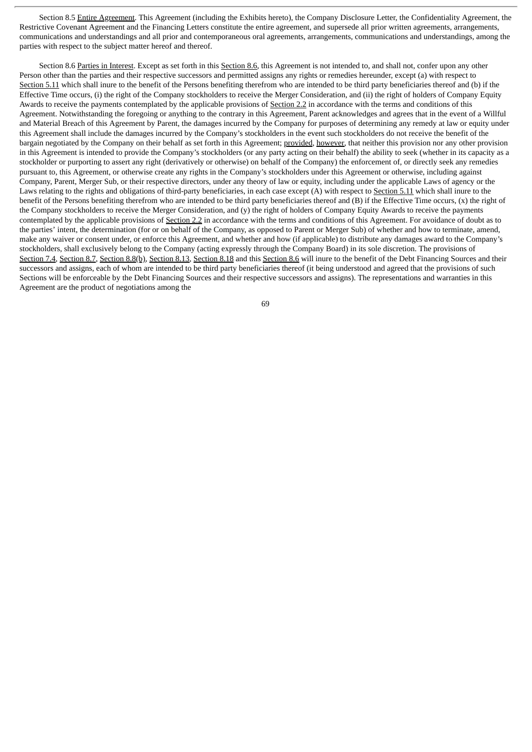Section 8.5 Entire Agreement. This Agreement (including the Exhibits hereto), the Company Disclosure Letter, the Confidentiality Agreement, the Restrictive Covenant Agreement and the Financing Letters constitute the entire agreement, and supersede all prior written agreements, arrangements, communications and understandings and all prior and contemporaneous oral agreements, arrangements, communications and understandings, among the parties with respect to the subject matter hereof and thereof.

Section 8.6 Parties in Interest. Except as set forth in this Section 8.6, this Agreement is not intended to, and shall not, confer upon any other Person other than the parties and their respective successors and permitted assigns any rights or remedies hereunder, except (a) with respect to Section 5.11 which shall inure to the benefit of the Persons benefiting therefrom who are intended to be third party beneficiaries thereof and (b) if the Effective Time occurs, (i) the right of the Company stockholders to receive the Merger Consideration, and (ii) the right of holders of Company Equity Awards to receive the payments contemplated by the applicable provisions of Section 2.2 in accordance with the terms and conditions of this Agreement. Notwithstanding the foregoing or anything to the contrary in this Agreement, Parent acknowledges and agrees that in the event of a Willful and Material Breach of this Agreement by Parent, the damages incurred by the Company for purposes of determining any remedy at law or equity under this Agreement shall include the damages incurred by the Company's stockholders in the event such stockholders do not receive the benefit of the bargain negotiated by the Company on their behalf as set forth in this Agreement; provided, however, that neither this provision nor any other provision in this Agreement is intended to provide the Company's stockholders (or any party acting on their behalf) the ability to seek (whether in its capacity as a stockholder or purporting to assert any right (derivatively or otherwise) on behalf of the Company) the enforcement of, or directly seek any remedies pursuant to, this Agreement, or otherwise create any rights in the Company's stockholders under this Agreement or otherwise, including against Company, Parent, Merger Sub, or their respective directors, under any theory of law or equity, including under the applicable Laws of agency or the Laws relating to the rights and obligations of third-party beneficiaries, in each case except (A) with respect to Section 5.11 which shall inure to the benefit of the Persons benefiting therefrom who are intended to be third party beneficiaries thereof and (B) if the Effective Time occurs, (x) the right of the Company stockholders to receive the Merger Consideration, and (y) the right of holders of Company Equity Awards to receive the payments contemplated by the applicable provisions of Section 2.2 in accordance with the terms and conditions of this Agreement. For avoidance of doubt as to the parties' intent, the determination (for or on behalf of the Company, as opposed to Parent or Merger Sub) of whether and how to terminate, amend, make any waiver or consent under, or enforce this Agreement, and whether and how (if applicable) to distribute any damages award to the Company's stockholders, shall exclusively belong to the Company (acting expressly through the Company Board) in its sole discretion. The provisions of Section 7.4, Section 8.7, Section 8.8(b), Section 8.13, Section 8.18 and this Section 8.6 will inure to the benefit of the Debt Financing Sources and their successors and assigns, each of whom are intended to be third party beneficiaries thereof (it being understood and agreed that the provisions of such Sections will be enforceable by the Debt Financing Sources and their respective successors and assigns). The representations and warranties in this Agreement are the product of negotiations among the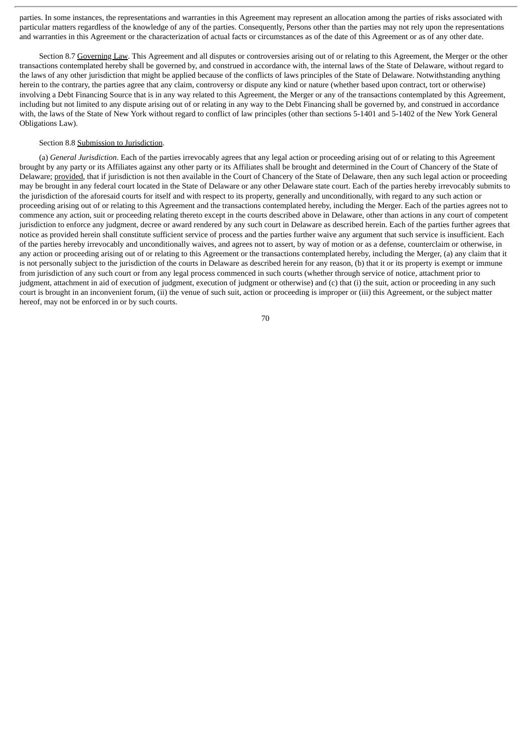parties. In some instances, the representations and warranties in this Agreement may represent an allocation among the parties of risks associated with particular matters regardless of the knowledge of any of the parties. Consequently, Persons other than the parties may not rely upon the representations and warranties in this Agreement or the characterization of actual facts or circumstances as of the date of this Agreement or as of any other date.

Section 8.7 Governing Law. This Agreement and all disputes or controversies arising out of or relating to this Agreement, the Merger or the other transactions contemplated hereby shall be governed by, and construed in accordance with, the internal laws of the State of Delaware, without regard to the laws of any other jurisdiction that might be applied because of the conflicts of laws principles of the State of Delaware. Notwithstanding anything herein to the contrary, the parties agree that any claim, controversy or dispute any kind or nature (whether based upon contract, tort or otherwise) involving a Debt Financing Source that is in any way related to this Agreement, the Merger or any of the transactions contemplated by this Agreement, including but not limited to any dispute arising out of or relating in any way to the Debt Financing shall be governed by, and construed in accordance with, the laws of the State of New York without regard to conflict of law principles (other than sections 5-1401 and 5-1402 of the New York General Obligations Law).

# Section 8.8 Submission to Jurisdiction.

(a) *General Jurisdiction*. Each of the parties irrevocably agrees that any legal action or proceeding arising out of or relating to this Agreement brought by any party or its Affiliates against any other party or its Affiliates shall be brought and determined in the Court of Chancery of the State of Delaware; provided, that if jurisdiction is not then available in the Court of Chancery of the State of Delaware, then any such legal action or proceeding may be brought in any federal court located in the State of Delaware or any other Delaware state court. Each of the parties hereby irrevocably submits to the jurisdiction of the aforesaid courts for itself and with respect to its property, generally and unconditionally, with regard to any such action or proceeding arising out of or relating to this Agreement and the transactions contemplated hereby, including the Merger. Each of the parties agrees not to commence any action, suit or proceeding relating thereto except in the courts described above in Delaware, other than actions in any court of competent jurisdiction to enforce any judgment, decree or award rendered by any such court in Delaware as described herein. Each of the parties further agrees that notice as provided herein shall constitute sufficient service of process and the parties further waive any argument that such service is insufficient. Each of the parties hereby irrevocably and unconditionally waives, and agrees not to assert, by way of motion or as a defense, counterclaim or otherwise, in any action or proceeding arising out of or relating to this Agreement or the transactions contemplated hereby, including the Merger, (a) any claim that it is not personally subject to the jurisdiction of the courts in Delaware as described herein for any reason, (b) that it or its property is exempt or immune from jurisdiction of any such court or from any legal process commenced in such courts (whether through service of notice, attachment prior to judgment, attachment in aid of execution of judgment, execution of judgment or otherwise) and (c) that (i) the suit, action or proceeding in any such court is brought in an inconvenient forum, (ii) the venue of such suit, action or proceeding is improper or (iii) this Agreement, or the subject matter hereof, may not be enforced in or by such courts.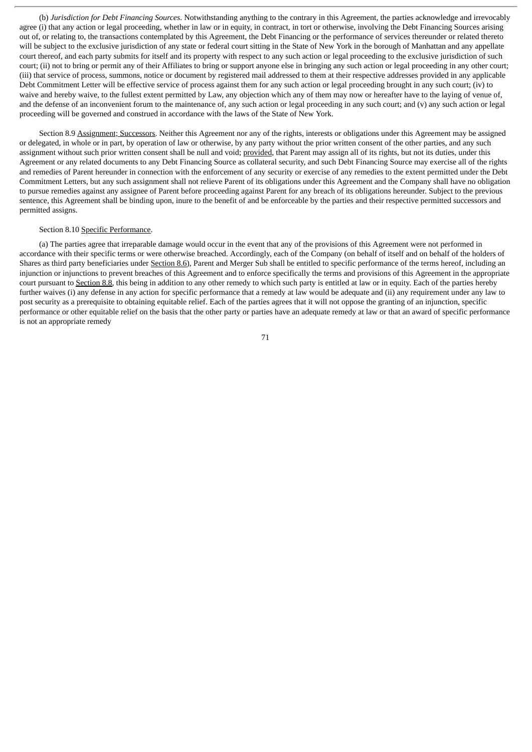(b) *Jurisdiction for Debt Financing Sources*. Notwithstanding anything to the contrary in this Agreement, the parties acknowledge and irrevocably agree (i) that any action or legal proceeding, whether in law or in equity, in contract, in tort or otherwise, involving the Debt Financing Sources arising out of, or relating to, the transactions contemplated by this Agreement, the Debt Financing or the performance of services thereunder or related thereto will be subject to the exclusive jurisdiction of any state or federal court sitting in the State of New York in the borough of Manhattan and any appellate court thereof, and each party submits for itself and its property with respect to any such action or legal proceeding to the exclusive jurisdiction of such court; (ii) not to bring or permit any of their Affiliates to bring or support anyone else in bringing any such action or legal proceeding in any other court; (iii) that service of process, summons, notice or document by registered mail addressed to them at their respective addresses provided in any applicable Debt Commitment Letter will be effective service of process against them for any such action or legal proceeding brought in any such court; (iv) to waive and hereby waive, to the fullest extent permitted by Law, any objection which any of them may now or hereafter have to the laying of venue of, and the defense of an inconvenient forum to the maintenance of, any such action or legal proceeding in any such court; and (v) any such action or legal proceeding will be governed and construed in accordance with the laws of the State of New York.

Section 8.9 Assignment; Successors. Neither this Agreement nor any of the rights, interests or obligations under this Agreement may be assigned or delegated, in whole or in part, by operation of law or otherwise, by any party without the prior written consent of the other parties, and any such assignment without such prior written consent shall be null and void; provided, that Parent may assign all of its rights, but not its duties, under this Agreement or any related documents to any Debt Financing Source as collateral security, and such Debt Financing Source may exercise all of the rights and remedies of Parent hereunder in connection with the enforcement of any security or exercise of any remedies to the extent permitted under the Debt Commitment Letters, but any such assignment shall not relieve Parent of its obligations under this Agreement and the Company shall have no obligation to pursue remedies against any assignee of Parent before proceeding against Parent for any breach of its obligations hereunder. Subject to the previous sentence, this Agreement shall be binding upon, inure to the benefit of and be enforceable by the parties and their respective permitted successors and permitted assigns.

### Section 8.10 Specific Performance.

(a) The parties agree that irreparable damage would occur in the event that any of the provisions of this Agreement were not performed in accordance with their specific terms or were otherwise breached. Accordingly, each of the Company (on behalf of itself and on behalf of the holders of Shares as third party beneficiaries under Section 8.6), Parent and Merger Sub shall be entitled to specific performance of the terms hereof, including an injunction or injunctions to prevent breaches of this Agreement and to enforce specifically the terms and provisions of this Agreement in the appropriate court pursuant to Section 8.8, this being in addition to any other remedy to which such party is entitled at law or in equity. Each of the parties hereby further waives (i) any defense in any action for specific performance that a remedy at law would be adequate and (ii) any requirement under any law to post security as a prerequisite to obtaining equitable relief. Each of the parties agrees that it will not oppose the granting of an injunction, specific performance or other equitable relief on the basis that the other party or parties have an adequate remedy at law or that an award of specific performance is not an appropriate remedy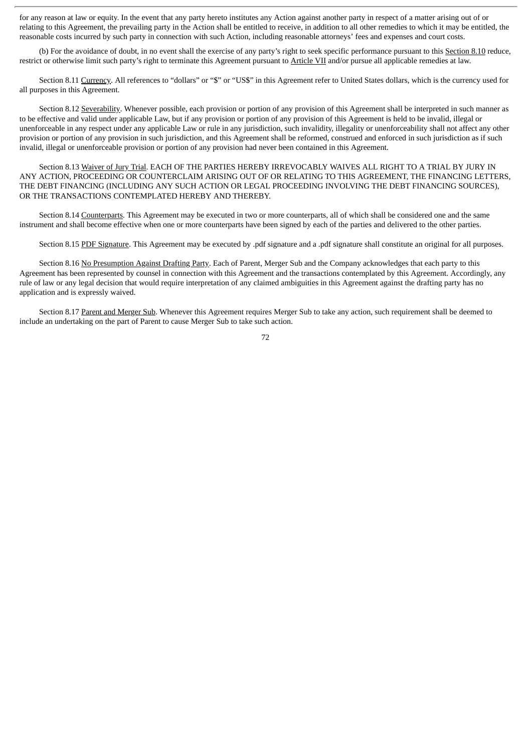for any reason at law or equity. In the event that any party hereto institutes any Action against another party in respect of a matter arising out of or relating to this Agreement, the prevailing party in the Action shall be entitled to receive, in addition to all other remedies to which it may be entitled, the reasonable costs incurred by such party in connection with such Action, including reasonable attorneys' fees and expenses and court costs.

(b) For the avoidance of doubt, in no event shall the exercise of any party's right to seek specific performance pursuant to this Section 8.10 reduce, restrict or otherwise limit such party's right to terminate this Agreement pursuant to Article VII and/or pursue all applicable remedies at law.

Section 8.11 Currency. All references to "dollars" or "\$" or "US\$" in this Agreement refer to United States dollars, which is the currency used for all purposes in this Agreement.

Section 8.12 Severability. Whenever possible, each provision or portion of any provision of this Agreement shall be interpreted in such manner as to be effective and valid under applicable Law, but if any provision or portion of any provision of this Agreement is held to be invalid, illegal or unenforceable in any respect under any applicable Law or rule in any jurisdiction, such invalidity, illegality or unenforceability shall not affect any other provision or portion of any provision in such jurisdiction, and this Agreement shall be reformed, construed and enforced in such jurisdiction as if such invalid, illegal or unenforceable provision or portion of any provision had never been contained in this Agreement.

Section 8.13 Waiver of Jury Trial. EACH OF THE PARTIES HEREBY IRREVOCABLY WAIVES ALL RIGHT TO A TRIAL BY JURY IN ANY ACTION, PROCEEDING OR COUNTERCLAIM ARISING OUT OF OR RELATING TO THIS AGREEMENT, THE FINANCING LETTERS, THE DEBT FINANCING (INCLUDING ANY SUCH ACTION OR LEGAL PROCEEDING INVOLVING THE DEBT FINANCING SOURCES), OR THE TRANSACTIONS CONTEMPLATED HEREBY AND THEREBY.

Section 8.14 Counterparts. This Agreement may be executed in two or more counterparts, all of which shall be considered one and the same instrument and shall become effective when one or more counterparts have been signed by each of the parties and delivered to the other parties.

Section 8.15 PDF Signature. This Agreement may be executed by .pdf signature and a .pdf signature shall constitute an original for all purposes.

Section 8.16 No Presumption Against Drafting Party. Each of Parent, Merger Sub and the Company acknowledges that each party to this Agreement has been represented by counsel in connection with this Agreement and the transactions contemplated by this Agreement. Accordingly, any rule of law or any legal decision that would require interpretation of any claimed ambiguities in this Agreement against the drafting party has no application and is expressly waived.

Section 8.17 Parent and Merger Sub. Whenever this Agreement requires Merger Sub to take any action, such requirement shall be deemed to include an undertaking on the part of Parent to cause Merger Sub to take such action.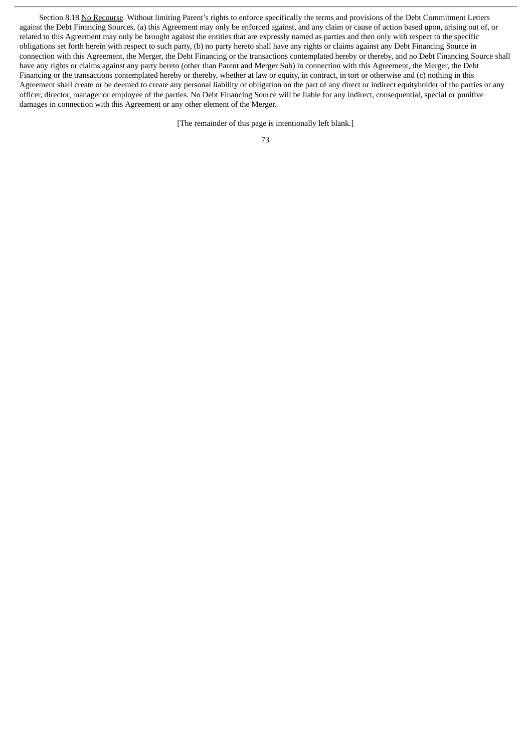Section 8.18 No Recourse. Without limiting Parent's rights to enforce specifically the terms and provisions of the Debt Commitment Letters against the Debt Financing Sources, (a) this Agreement may only be enforced against, and any claim or cause of action based upon, arising out of, or related to this Agreement may only be brought against the entities that are expressly named as parties and then only with respect to the specific obligations set forth herein with respect to such party, (b) no party hereto shall have any rights or claims against any Debt Financing Source in connection with this Agreement, the Merger, the Debt Financing or the transactions contemplated hereby or thereby, and no Debt Financing Source shall have any rights or claims against any party hereto (other than Parent and Merger Sub) in connection with this Agreement, the Merger, the Debt Financing or the transactions contemplated hereby or thereby, whether at law or equity, in contract, in tort or otherwise and (c) nothing in this Agreement shall create or be deemed to create any personal liability or obligation on the part of any direct or indirect equityholder of the parties or any officer, director, manager or employee of the parties. No Debt Financing Source will be liable for any indirect, consequential, special or punitive damages in connection with this Agreement or any other element of the Merger.

[The remainder of this page is intentionally left blank.]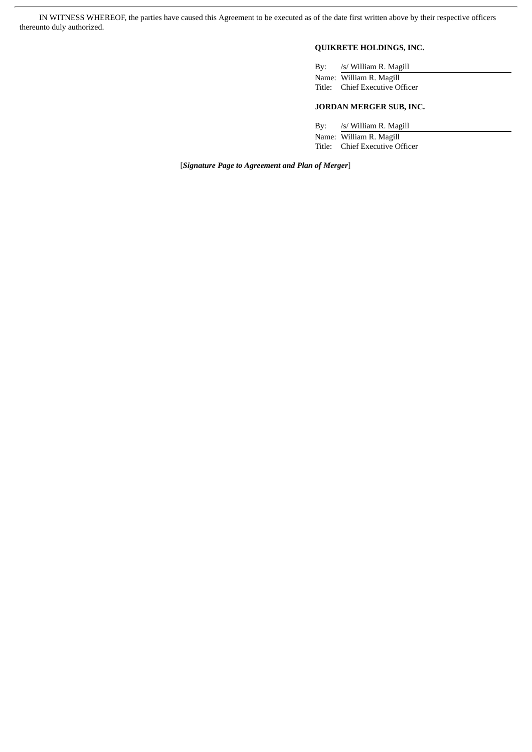IN WITNESS WHEREOF, the parties have caused this Agreement to be executed as of the date first written above by their respective officers thereunto duly authorized.

# **QUIKRETE HOLDINGS, INC.**

By: /s/ William R. Magill Name: William R. Magill Title: Chief Executive Officer

# **JORDAN MERGER SUB, INC.**

By: /s/ William R. Magill Name: William R. Magill

Title: Chief Executive Officer

[*Signature Page to Agreement and Plan of Merger*]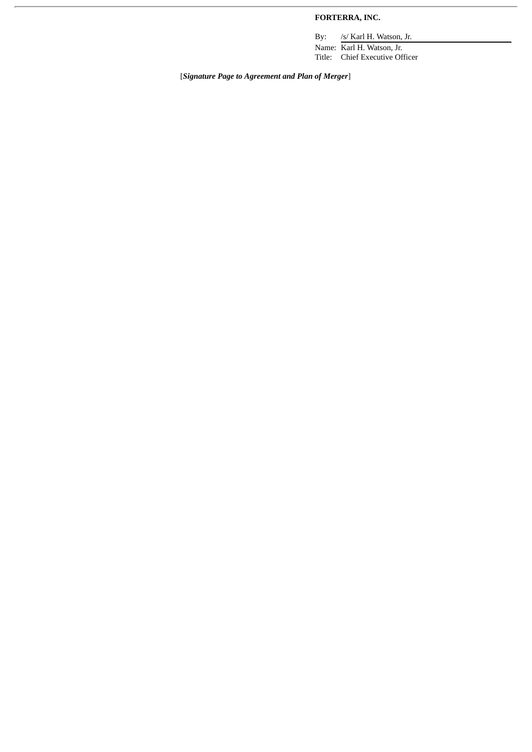# **FORTERRA, INC.**

By: /s/ Karl H. Watson, Jr. Name: Karl H. Watson, Jr.

Title: Chief Executive Officer

[*Signature Page to Agreement and Plan of Merger*]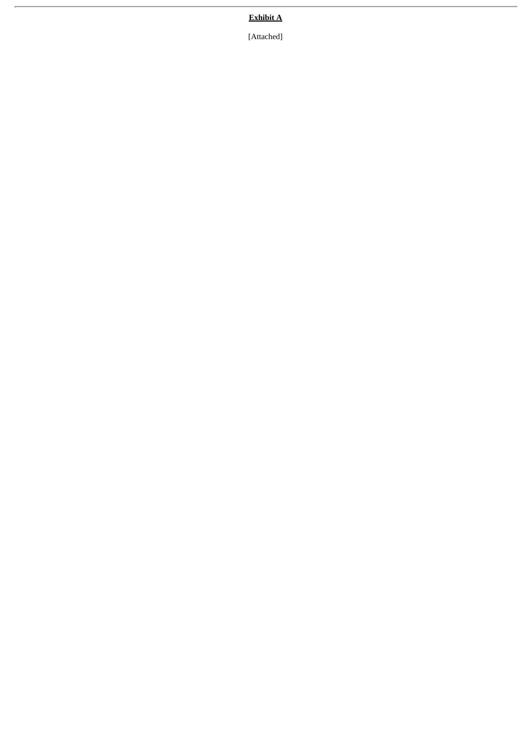# **Exhibit A**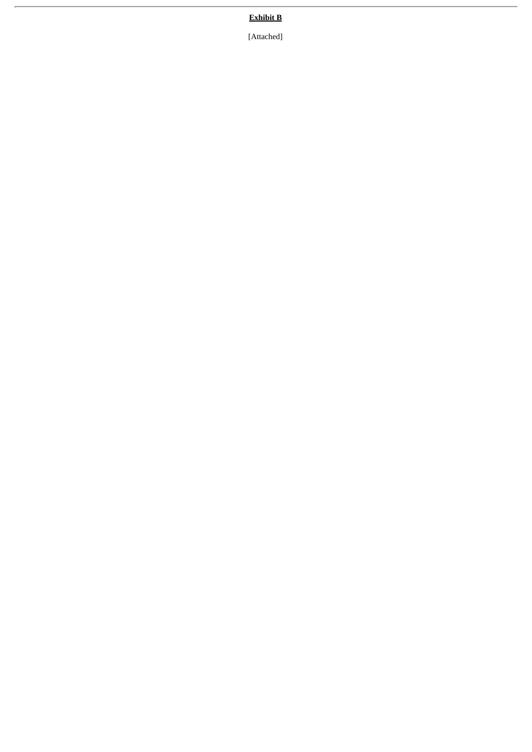# **Exhibit B**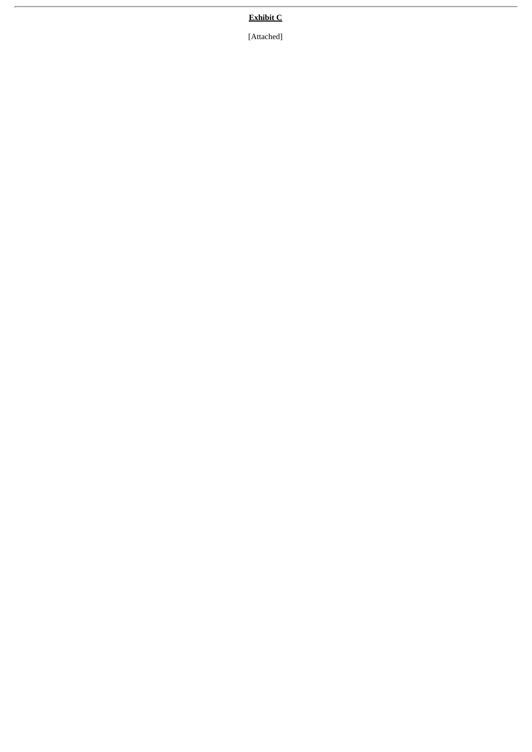# **Exhibit C**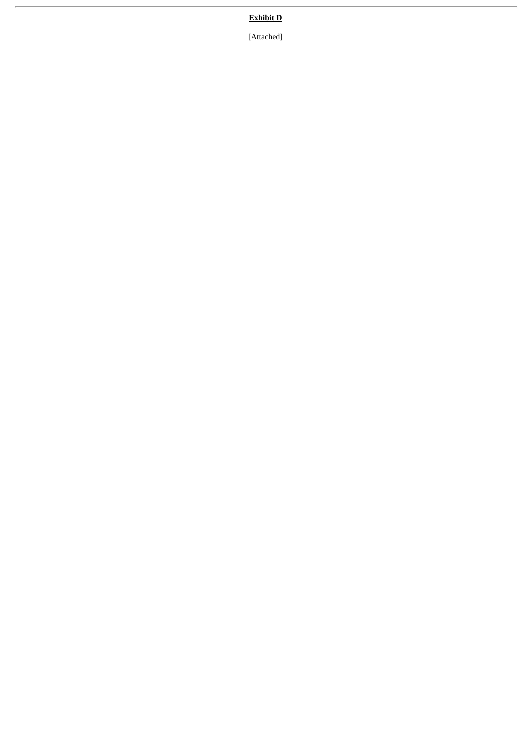# **Exhibit D**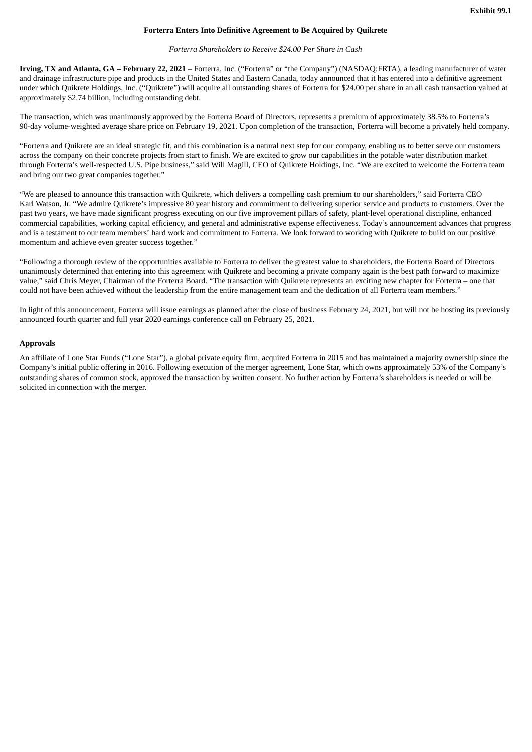### **Forterra Enters Into Definitive Agreement to Be Acquired by Quikrete**

#### *Forterra Shareholders to Receive \$24.00 Per Share in Cash*

**Irving, TX and Atlanta, GA – February 22, 2021** – Forterra, Inc. ("Forterra" or "the Company") (NASDAQ:FRTA), a leading manufacturer of water and drainage infrastructure pipe and products in the United States and Eastern Canada, today announced that it has entered into a definitive agreement under which Quikrete Holdings, Inc. ("Quikrete") will acquire all outstanding shares of Forterra for \$24.00 per share in an all cash transaction valued at approximately \$2.74 billion, including outstanding debt.

The transaction, which was unanimously approved by the Forterra Board of Directors, represents a premium of approximately 38.5% to Forterra's 90-day volume-weighted average share price on February 19, 2021. Upon completion of the transaction, Forterra will become a privately held company.

"Forterra and Quikrete are an ideal strategic fit, and this combination is a natural next step for our company, enabling us to better serve our customers across the company on their concrete projects from start to finish. We are excited to grow our capabilities in the potable water distribution market through Forterra's well-respected U.S. Pipe business," said Will Magill, CEO of Quikrete Holdings, Inc. "We are excited to welcome the Forterra team and bring our two great companies together."

"We are pleased to announce this transaction with Quikrete, which delivers a compelling cash premium to our shareholders," said Forterra CEO Karl Watson, Jr. "We admire Quikrete's impressive 80 year history and commitment to delivering superior service and products to customers. Over the past two years, we have made significant progress executing on our five improvement pillars of safety, plant-level operational discipline, enhanced commercial capabilities, working capital efficiency, and general and administrative expense effectiveness. Today's announcement advances that progress and is a testament to our team members' hard work and commitment to Forterra. We look forward to working with Quikrete to build on our positive momentum and achieve even greater success together."

"Following a thorough review of the opportunities available to Forterra to deliver the greatest value to shareholders, the Forterra Board of Directors unanimously determined that entering into this agreement with Quikrete and becoming a private company again is the best path forward to maximize value," said Chris Meyer, Chairman of the Forterra Board. "The transaction with Quikrete represents an exciting new chapter for Forterra – one that could not have been achieved without the leadership from the entire management team and the dedication of all Forterra team members."

In light of this announcement, Forterra will issue earnings as planned after the close of business February 24, 2021, but will not be hosting its previously announced fourth quarter and full year 2020 earnings conference call on February 25, 2021.

#### **Approvals**

An affiliate of Lone Star Funds ("Lone Star"), a global private equity firm, acquired Forterra in 2015 and has maintained a majority ownership since the Company's initial public offering in 2016. Following execution of the merger agreement, Lone Star, which owns approximately 53% of the Company's outstanding shares of common stock, approved the transaction by written consent. No further action by Forterra's shareholders is needed or will be solicited in connection with the merger.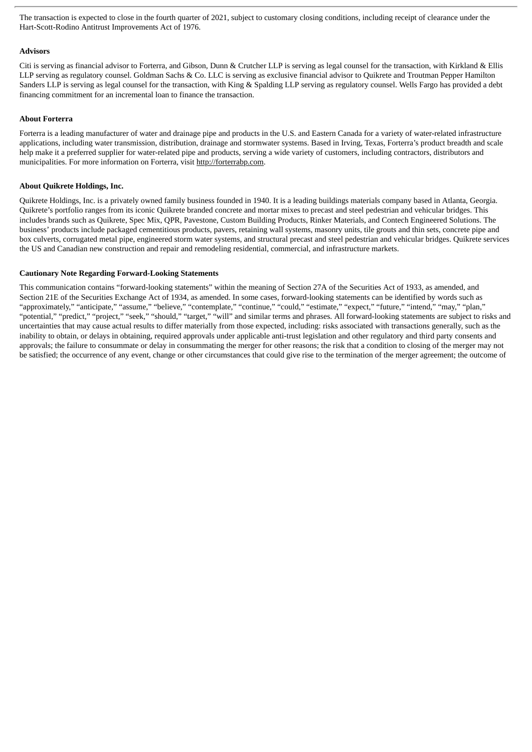The transaction is expected to close in the fourth quarter of 2021, subject to customary closing conditions, including receipt of clearance under the Hart-Scott-Rodino Antitrust Improvements Act of 1976.

### **Advisors**

Citi is serving as financial advisor to Forterra, and Gibson, Dunn & Crutcher LLP is serving as legal counsel for the transaction, with Kirkland & Ellis LLP serving as regulatory counsel. Goldman Sachs & Co. LLC is serving as exclusive financial advisor to Quikrete and Troutman Pepper Hamilton Sanders LLP is serving as legal counsel for the transaction, with King & Spalding LLP serving as regulatory counsel. Wells Fargo has provided a debt financing commitment for an incremental loan to finance the transaction.

# **About Forterra**

Forterra is a leading manufacturer of water and drainage pipe and products in the U.S. and Eastern Canada for a variety of water-related infrastructure applications, including water transmission, distribution, drainage and stormwater systems. Based in Irving, Texas, Forterra's product breadth and scale help make it a preferred supplier for water-related pipe and products, serving a wide variety of customers, including contractors, distributors and municipalities. For more information on Forterra, visit http://forterrabp.com.

# **About Quikrete Holdings, Inc.**

Quikrete Holdings, Inc. is a privately owned family business founded in 1940. It is a leading buildings materials company based in Atlanta, Georgia. Quikrete's portfolio ranges from its iconic Quikrete branded concrete and mortar mixes to precast and steel pedestrian and vehicular bridges. This includes brands such as Quikrete, Spec Mix, QPR, Pavestone, Custom Building Products, Rinker Materials, and Contech Engineered Solutions. The business' products include packaged cementitious products, pavers, retaining wall systems, masonry units, tile grouts and thin sets, concrete pipe and box culverts, corrugated metal pipe, engineered storm water systems, and structural precast and steel pedestrian and vehicular bridges. Quikrete services the US and Canadian new construction and repair and remodeling residential, commercial, and infrastructure markets.

# **Cautionary Note Regarding Forward-Looking Statements**

This communication contains "forward-looking statements" within the meaning of Section 27A of the Securities Act of 1933, as amended, and Section 21E of the Securities Exchange Act of 1934, as amended. In some cases, forward-looking statements can be identified by words such as "approximately," "anticipate," "assume," "believe," "contemplate," "continue," "could," "estimate," "expect," "future," "intend," "may," "plan," "potential," "predict," "project," "seek," "should," "target," "will" and similar terms and phrases. All forward-looking statements are subject to risks and uncertainties that may cause actual results to differ materially from those expected, including: risks associated with transactions generally, such as the inability to obtain, or delays in obtaining, required approvals under applicable anti-trust legislation and other regulatory and third party consents and approvals; the failure to consummate or delay in consummating the merger for other reasons; the risk that a condition to closing of the merger may not be satisfied; the occurrence of any event, change or other circumstances that could give rise to the termination of the merger agreement; the outcome of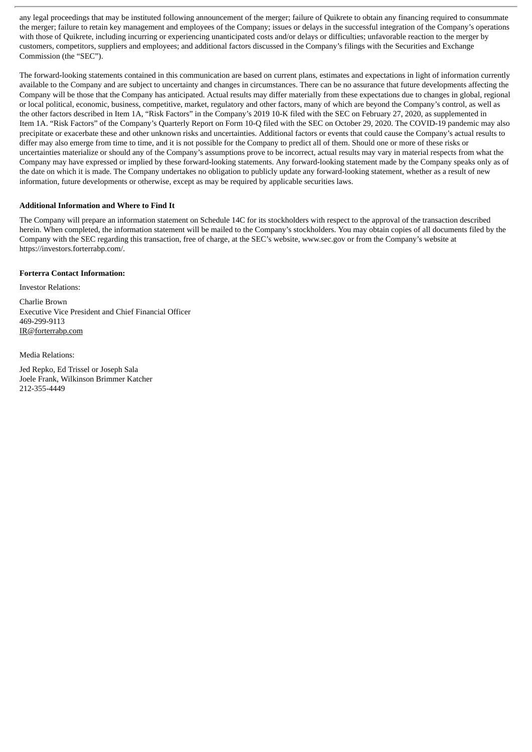any legal proceedings that may be instituted following announcement of the merger; failure of Quikrete to obtain any financing required to consummate the merger; failure to retain key management and employees of the Company; issues or delays in the successful integration of the Company's operations with those of Quikrete, including incurring or experiencing unanticipated costs and/or delays or difficulties; unfavorable reaction to the merger by customers, competitors, suppliers and employees; and additional factors discussed in the Company's filings with the Securities and Exchange Commission (the "SEC").

The forward-looking statements contained in this communication are based on current plans, estimates and expectations in light of information currently available to the Company and are subject to uncertainty and changes in circumstances. There can be no assurance that future developments affecting the Company will be those that the Company has anticipated. Actual results may differ materially from these expectations due to changes in global, regional or local political, economic, business, competitive, market, regulatory and other factors, many of which are beyond the Company's control, as well as the other factors described in Item 1A, "Risk Factors" in the Company's 2019 10-K filed with the SEC on February 27, 2020, as supplemented in Item 1A. "Risk Factors" of the Company's Quarterly Report on Form 10-Q filed with the SEC on October 29, 2020. The COVID-19 pandemic may also precipitate or exacerbate these and other unknown risks and uncertainties. Additional factors or events that could cause the Company's actual results to differ may also emerge from time to time, and it is not possible for the Company to predict all of them. Should one or more of these risks or uncertainties materialize or should any of the Company's assumptions prove to be incorrect, actual results may vary in material respects from what the Company may have expressed or implied by these forward-looking statements. Any forward-looking statement made by the Company speaks only as of the date on which it is made. The Company undertakes no obligation to publicly update any forward-looking statement, whether as a result of new information, future developments or otherwise, except as may be required by applicable securities laws.

# **Additional Information and Where to Find It**

The Company will prepare an information statement on Schedule 14C for its stockholders with respect to the approval of the transaction described herein. When completed, the information statement will be mailed to the Company's stockholders. You may obtain copies of all documents filed by the Company with the SEC regarding this transaction, free of charge, at the SEC's website, www.sec.gov or from the Company's website at https://investors.forterrabp.com/.

# **Forterra Contact Information:**

Investor Relations:

Charlie Brown Executive Vice President and Chief Financial Officer 469-299-9113 IR@forterrabp.com

Media Relations:

Jed Repko, Ed Trissel or Joseph Sala Joele Frank, Wilkinson Brimmer Katcher 212-355-4449